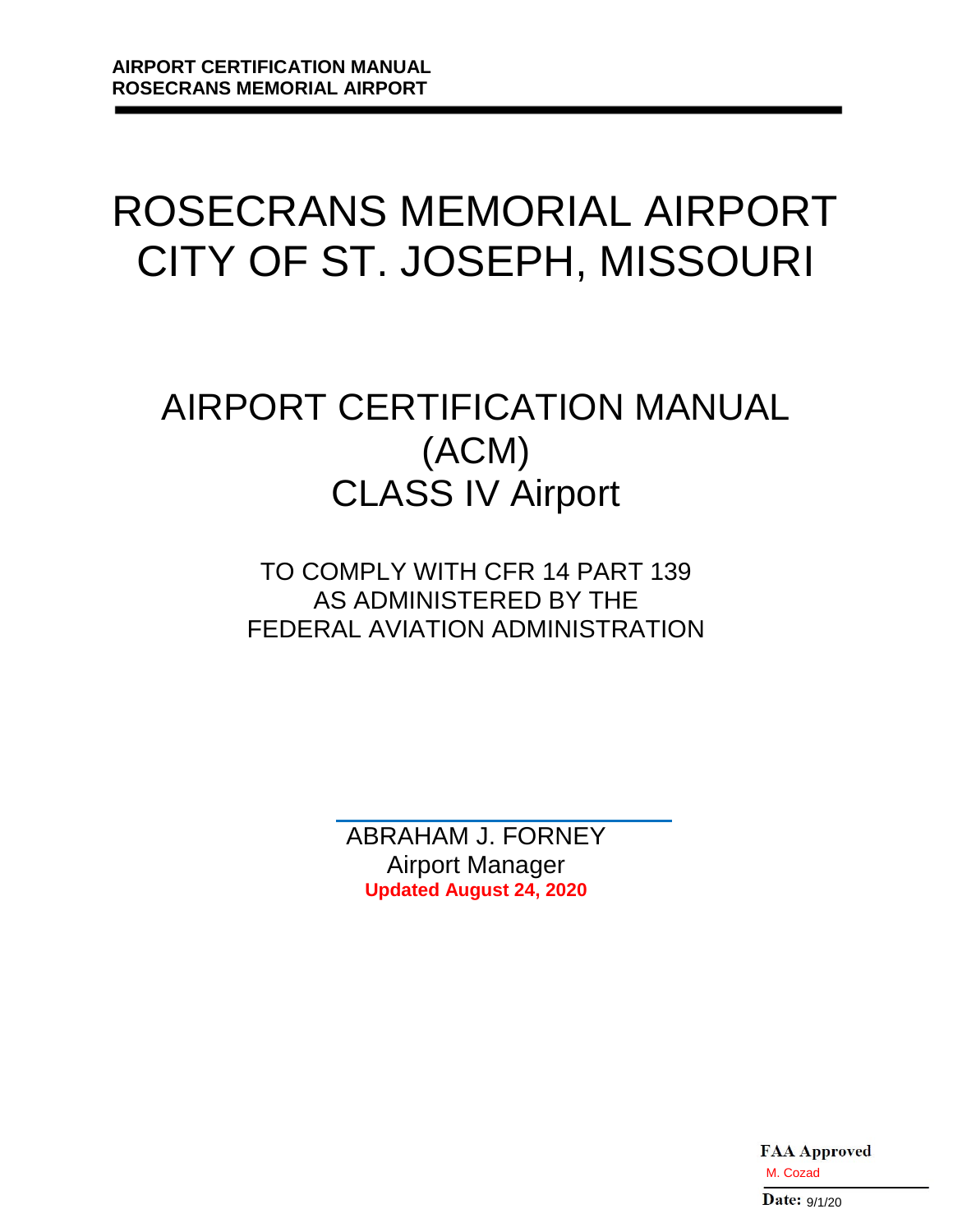# ROSECRANS MEMORIAL AIRPORT CITY OF ST. JOSEPH, MISSOURI

# AIRPORT CERTIFICATION MANUAL (ACM) CLASS IV Airport

TO COMPLY WITH CFR 14 PART 139 AS ADMINISTERED BY THE FEDERAL AVIATION ADMINISTRATION

> ABRAHAM J. FORNEY Airport Manager **Updated August 24, 2020**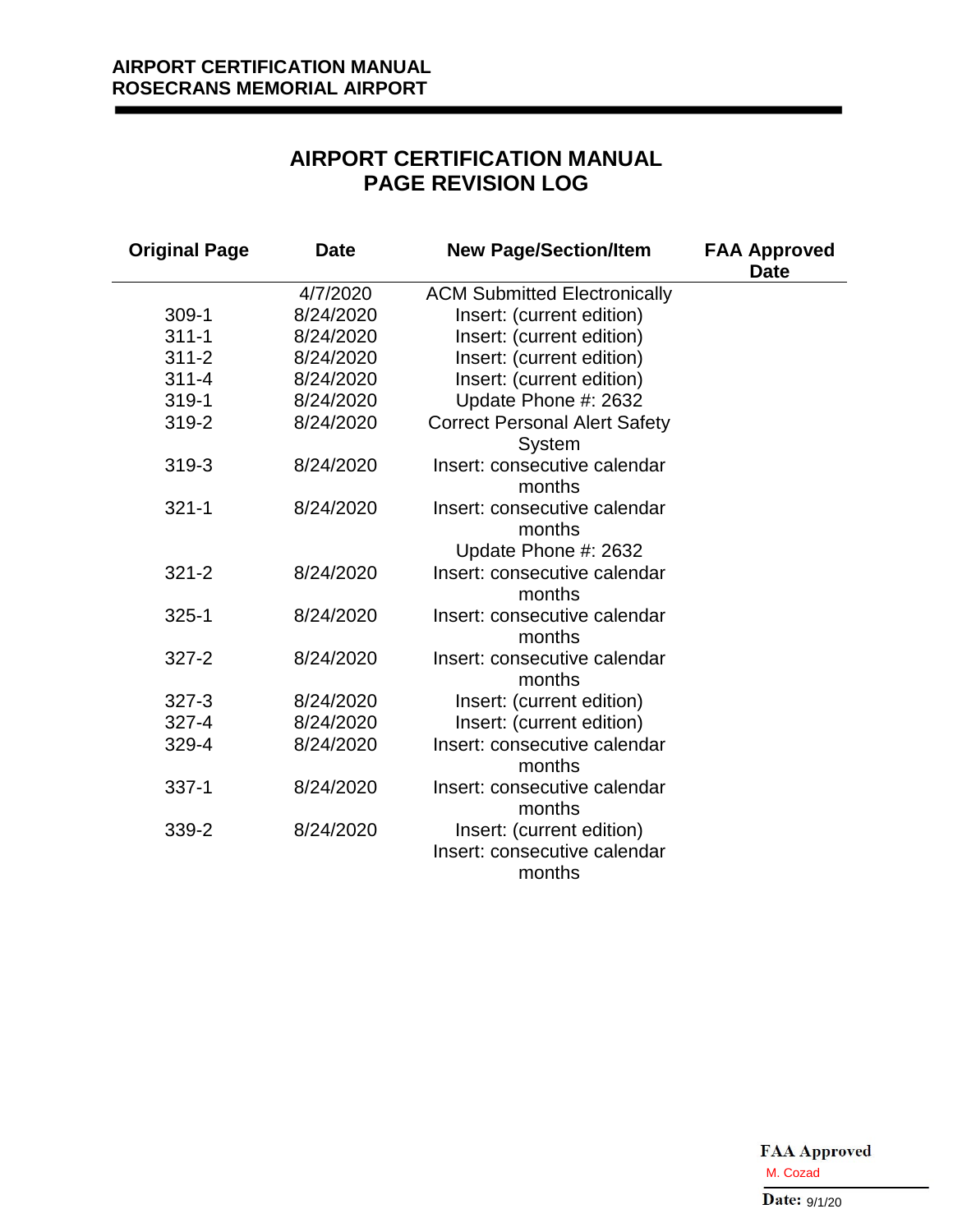# **AIRPORT CERTIFICATION MANUAL PAGE REVISION LOG**

| <b>Original Page</b> | <b>Date</b> | <b>New Page/Section/Item</b>                                        | <b>FAA Approved</b><br><b>Date</b> |  |  |
|----------------------|-------------|---------------------------------------------------------------------|------------------------------------|--|--|
|                      | 4/7/2020    | <b>ACM Submitted Electronically</b>                                 |                                    |  |  |
| $309-1$              | 8/24/2020   | Insert: (current edition)                                           |                                    |  |  |
| $311 - 1$            | 8/24/2020   | Insert: (current edition)                                           |                                    |  |  |
| $311 - 2$            | 8/24/2020   | Insert: (current edition)                                           |                                    |  |  |
| $311 - 4$            | 8/24/2020   | Insert: (current edition)                                           |                                    |  |  |
| 319-1                | 8/24/2020   | Update Phone #: 2632                                                |                                    |  |  |
| 319-2                | 8/24/2020   | <b>Correct Personal Alert Safety</b><br>System                      |                                    |  |  |
| 319-3                | 8/24/2020   | Insert: consecutive calendar<br>months                              |                                    |  |  |
| $321 - 1$            | 8/24/2020   | Insert: consecutive calendar<br>months<br>Update Phone #: 2632      |                                    |  |  |
| $321 - 2$            | 8/24/2020   | Insert: consecutive calendar<br>months                              |                                    |  |  |
| $325 - 1$            | 8/24/2020   | Insert: consecutive calendar<br>months                              |                                    |  |  |
| $327 - 2$            | 8/24/2020   | Insert: consecutive calendar<br>months                              |                                    |  |  |
| $327 - 3$            | 8/24/2020   | Insert: (current edition)                                           |                                    |  |  |
| $327 - 4$            | 8/24/2020   | Insert: (current edition)                                           |                                    |  |  |
| 329-4                | 8/24/2020   | Insert: consecutive calendar<br>months                              |                                    |  |  |
| $337 - 1$            | 8/24/2020   | Insert: consecutive calendar<br>months                              |                                    |  |  |
| 339-2                | 8/24/2020   | Insert: (current edition)<br>Insert: consecutive calendar<br>months |                                    |  |  |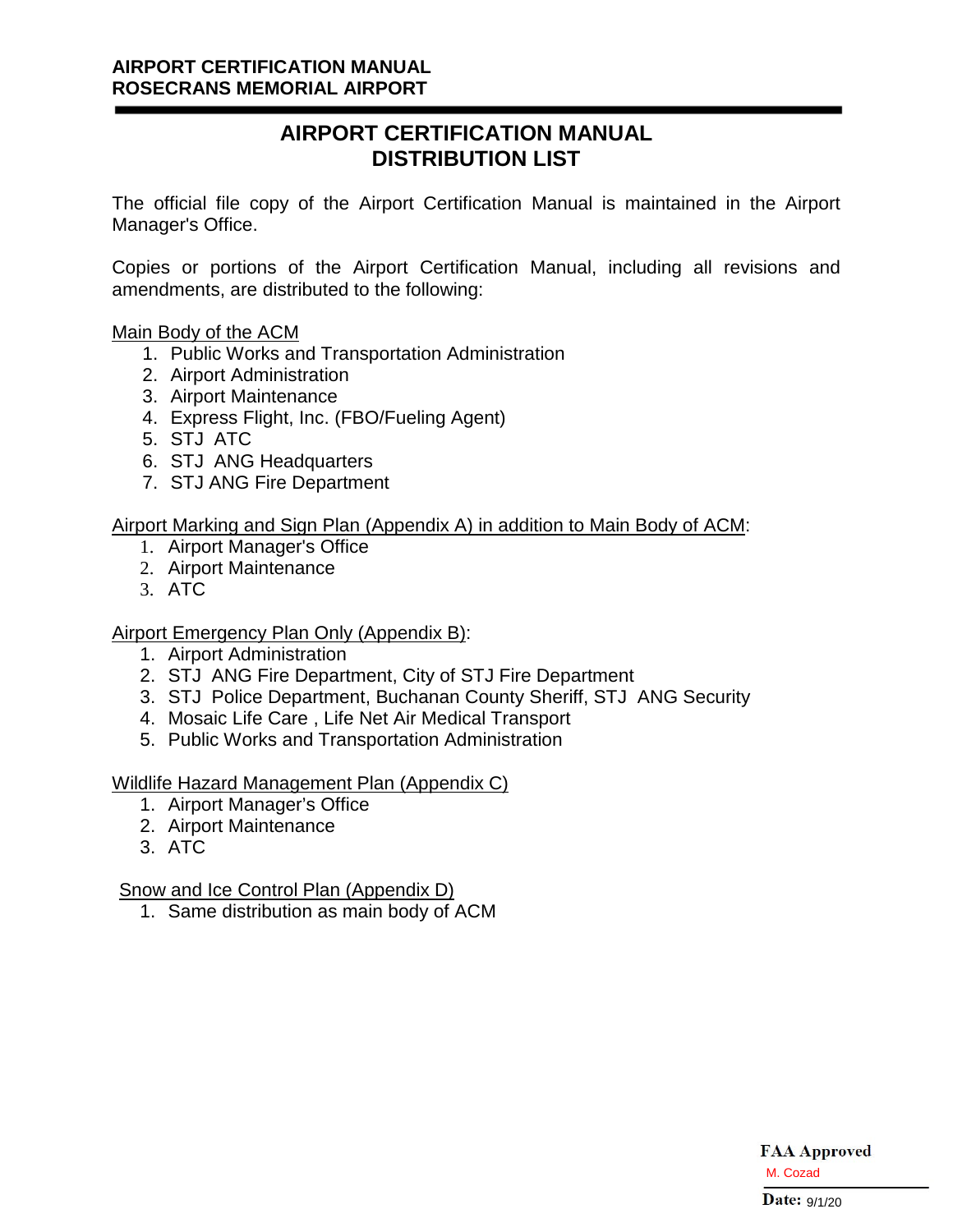# **AIRPORT CERTIFICATION MANUAL DISTRIBUTION LIST**

The official file copy of the Airport Certification Manual is maintained in the Airport Manager's Office.

Copies or portions of the Airport Certification Manual, including all revisions and amendments, are distributed to the following:

Main Body of the ACM

- 1. Public Works and Transportation Administration
- 2. Airport Administration
- 3. Airport Maintenance
- 4. Express Flight, Inc. (FBO/Fueling Agent)
- 5. STJ ATC
- 6. STJ ANG Headquarters
- 7. STJ ANG Fire Department

## Airport Marking and Sign Plan (Appendix A) in addition to Main Body of ACM:

- 1. Airport Manager's Office
- 2. Airport Maintenance
- 3. ATC

## Airport Emergency Plan Only (Appendix B):

- 1. Airport Administration
- 2. STJ ANG Fire Department, City of STJ Fire Department
- 3. STJ Police Department, Buchanan County Sheriff, STJ ANG Security
- 4. Mosaic Life Care , Life Net Air Medical Transport
- 5. Public Works and Transportation Administration

## Wildlife Hazard Management Plan (Appendix C)

- 1. Airport Manager's Office
- 2. Airport Maintenance
- 3. ATC

## Snow and Ice Control Plan (Appendix D)

1. Same distribution as main body of ACM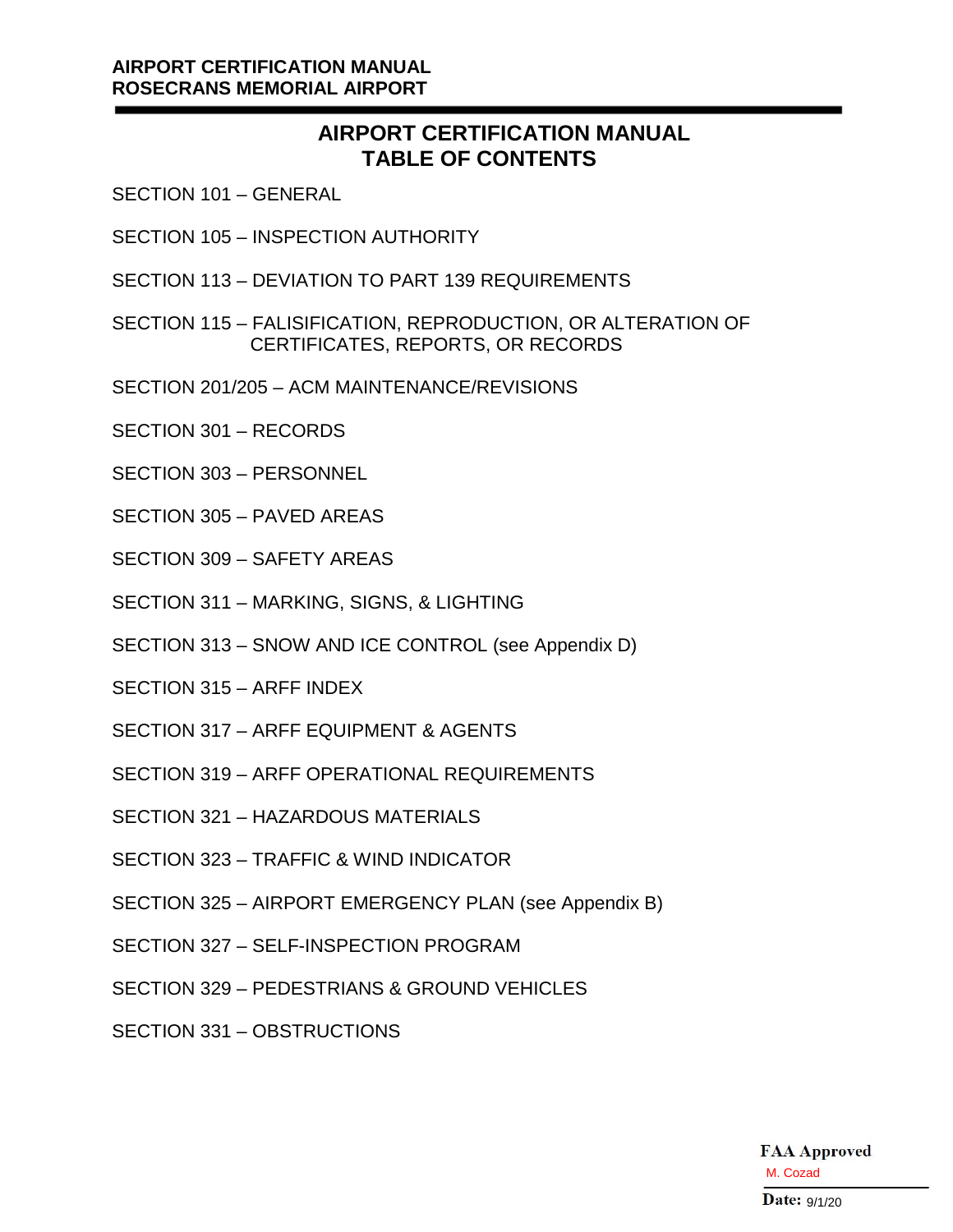## **AIRPORT CERTIFICATION MANUAL ROSECRANS MEMORIAL AIRPORT**

# **AIRPORT CERTIFICATION MANUAL TABLE OF CONTENTS**

- SECTION 101 GENERAL
- SECTION 105 INSPECTION AUTHORITY
- SECTION 113 DEVIATION TO PART 139 REQUIREMENTS
- SECTION 115 FALISIFICATION, REPRODUCTION, OR ALTERATION OF CERTIFICATES, REPORTS, OR RECORDS
- SECTION 201/205 ACM MAINTENANCE/REVISIONS
- SECTION 301 RECORDS
- SECTION 303 PERSONNEL
- SECTION 305 PAVED AREAS
- SECTION 309 SAFETY AREAS
- SECTION 311 MARKING, SIGNS, & LIGHTING
- SECTION 313 SNOW AND ICE CONTROL (see Appendix D)
- SECTION 315 ARFF INDEX
- SECTION 317 ARFF EQUIPMENT & AGENTS
- SECTION 319 ARFF OPERATIONAL REQUIREMENTS
- SECTION 321 HAZARDOUS MATERIALS
- SECTION 323 TRAFFIC & WIND INDICATOR
- SECTION 325 AIRPORT EMERGENCY PLAN (see Appendix B)
- SECTION 327 SELF-INSPECTION PROGRAM
- SECTION 329 PEDESTRIANS & GROUND VEHICLES
- SECTION 331 OBSTRUCTIONS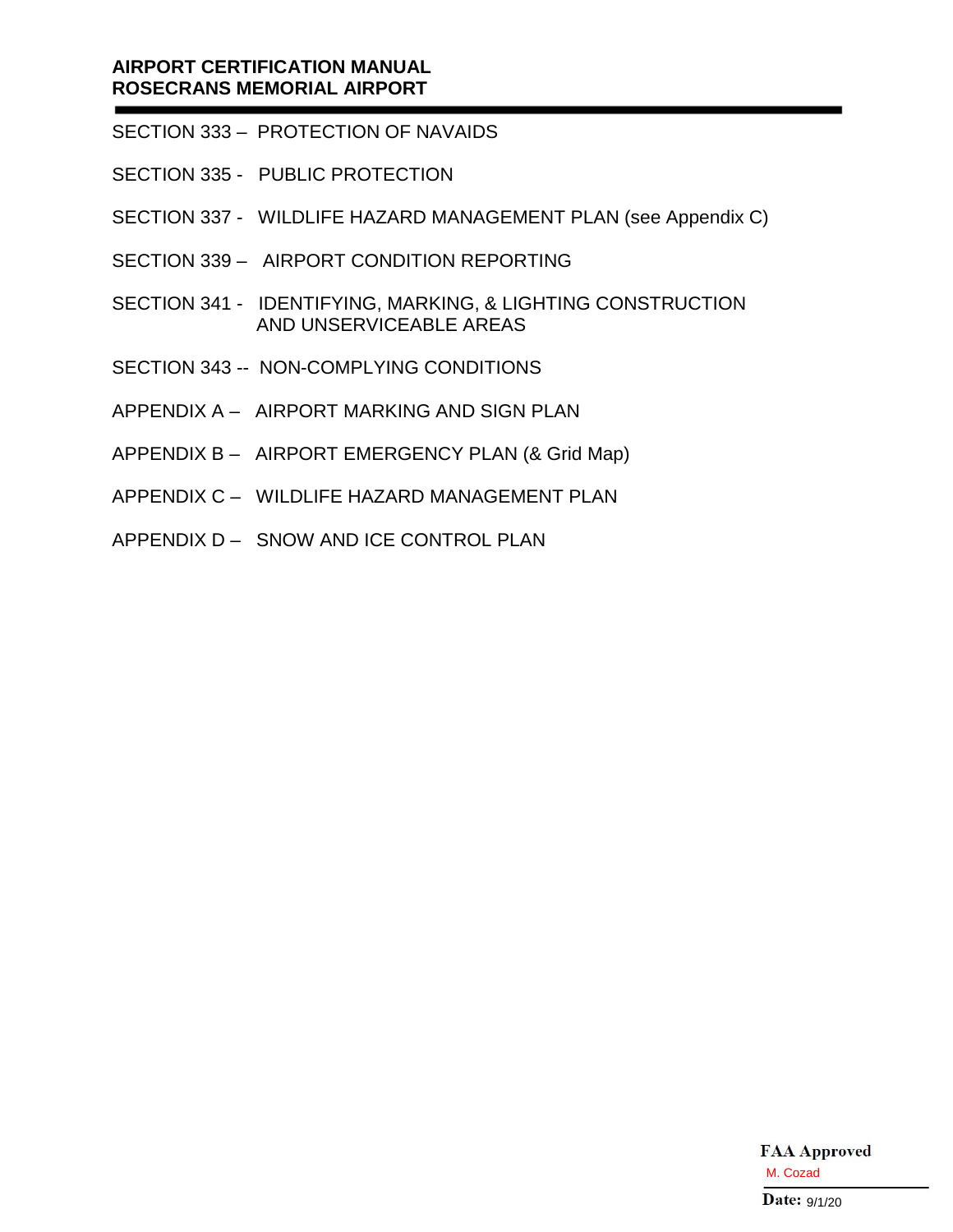## **AIRPORT CERTIFICATION MANUAL ROSECRANS MEMORIAL AIRPORT**

- SECTION 333 PROTECTION OF NAVAIDS
- SECTION 335 PUBLIC PROTECTION
- SECTION 337 WILDLIFE HAZARD MANAGEMENT PLAN (see Appendix C)
- SECTION 339 AIRPORT CONDITION REPORTING
- SECTION 341 IDENTIFYING, MARKING, & LIGHTING CONSTRUCTION AND UNSERVICEABLE AREAS
- SECTION 343 -- NON-COMPLYING CONDITIONS
- APPENDIX A AIRPORT MARKING AND SIGN PLAN
- APPENDIX B AIRPORT EMERGENCY PLAN (& Grid Map)
- APPENDIX C WILDLIFE HAZARD MANAGEMENT PLAN
- APPENDIX D SNOW AND ICE CONTROL PLAN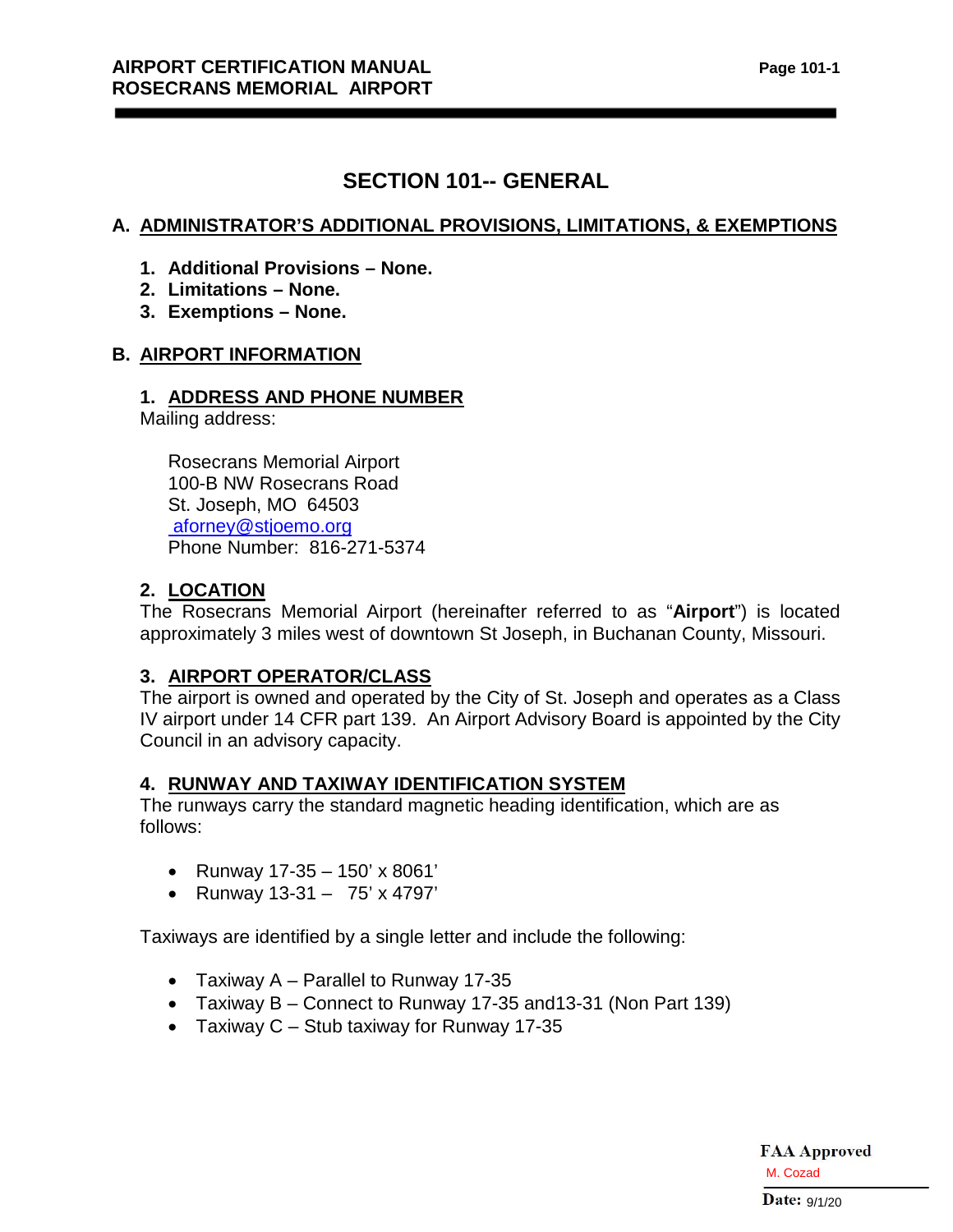# **SECTION 101-- GENERAL**

## **A. ADMINISTRATOR'S ADDITIONAL PROVISIONS, LIMITATIONS, & EXEMPTIONS**

- **1. Additional Provisions None.**
- **2. Limitations None.**
- **3. Exemptions None.**

## **B. AIRPORT INFORMATION**

## **1. ADDRESS AND PHONE NUMBER**

Mailing address:

Rosecrans Memorial Airport 100-B NW Rosecrans Road St. Joseph, MO 64503 [aforney@stjoemo.org](mailto:aforney@stjoemo.org) Phone Number: 816-271-5374

## **2. LOCATION**

The Rosecrans Memorial Airport (hereinafter referred to as "**Airport**") is located approximately 3 miles west of downtown St Joseph, in Buchanan County, Missouri.

## **3. AIRPORT OPERATOR/CLASS**

The airport is owned and operated by the City of St. Joseph and operates as a Class IV airport under 14 CFR part 139. An Airport Advisory Board is appointed by the City Council in an advisory capacity.

## **4. RUNWAY AND TAXIWAY IDENTIFICATION SYSTEM**

The runways carry the standard magnetic heading identification, which are as follows:

- Runway 17-35 150' x 8061'
- Runway 13-31 75' x 4797'

Taxiways are identified by a single letter and include the following:

- Taxiway A Parallel to Runway 17-35
- Taxiway B Connect to Runway 17-35 and13-31 (Non Part 139)
- Taxiway  $C -$  Stub taxiway for Runway 17-35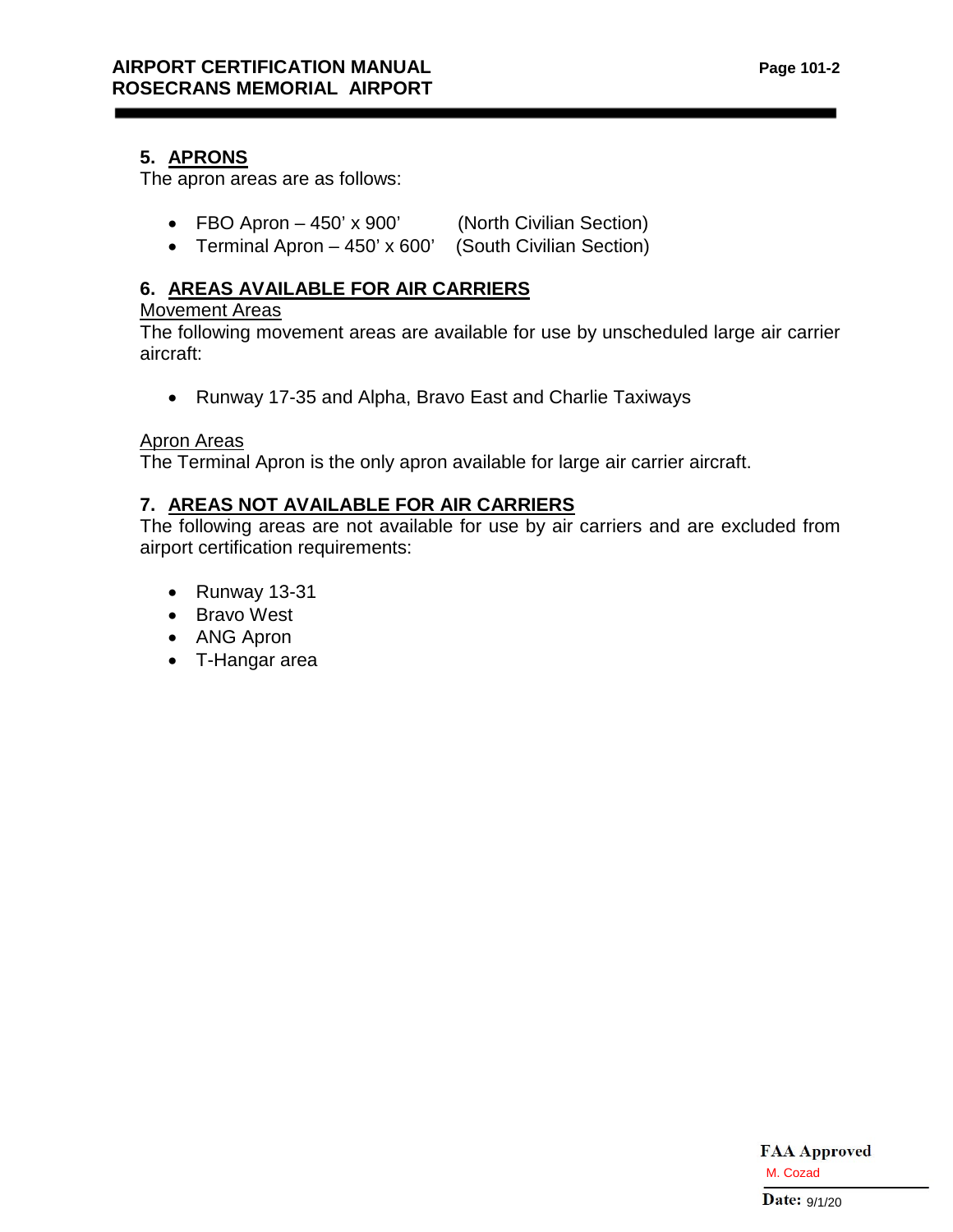## **5. APRONS**

The apron areas are as follows:

- FBO Apron 450' x 900' (North Civilian Section)
- Terminal Apron 450' x 600' (South Civilian Section)

## **6. AREAS AVAILABLE FOR AIR CARRIERS**

### Movement Areas

The following movement areas are available for use by unscheduled large air carrier aircraft:

• Runway 17-35 and Alpha, Bravo East and Charlie Taxiways

## Apron Areas

The Terminal Apron is the only apron available for large air carrier aircraft.

## **7. AREAS NOT AVAILABLE FOR AIR CARRIERS**

The following areas are not available for use by air carriers and are excluded from airport certification requirements:

- Runway 13-31
- Bravo West
- ANG Apron
- T-Hangar area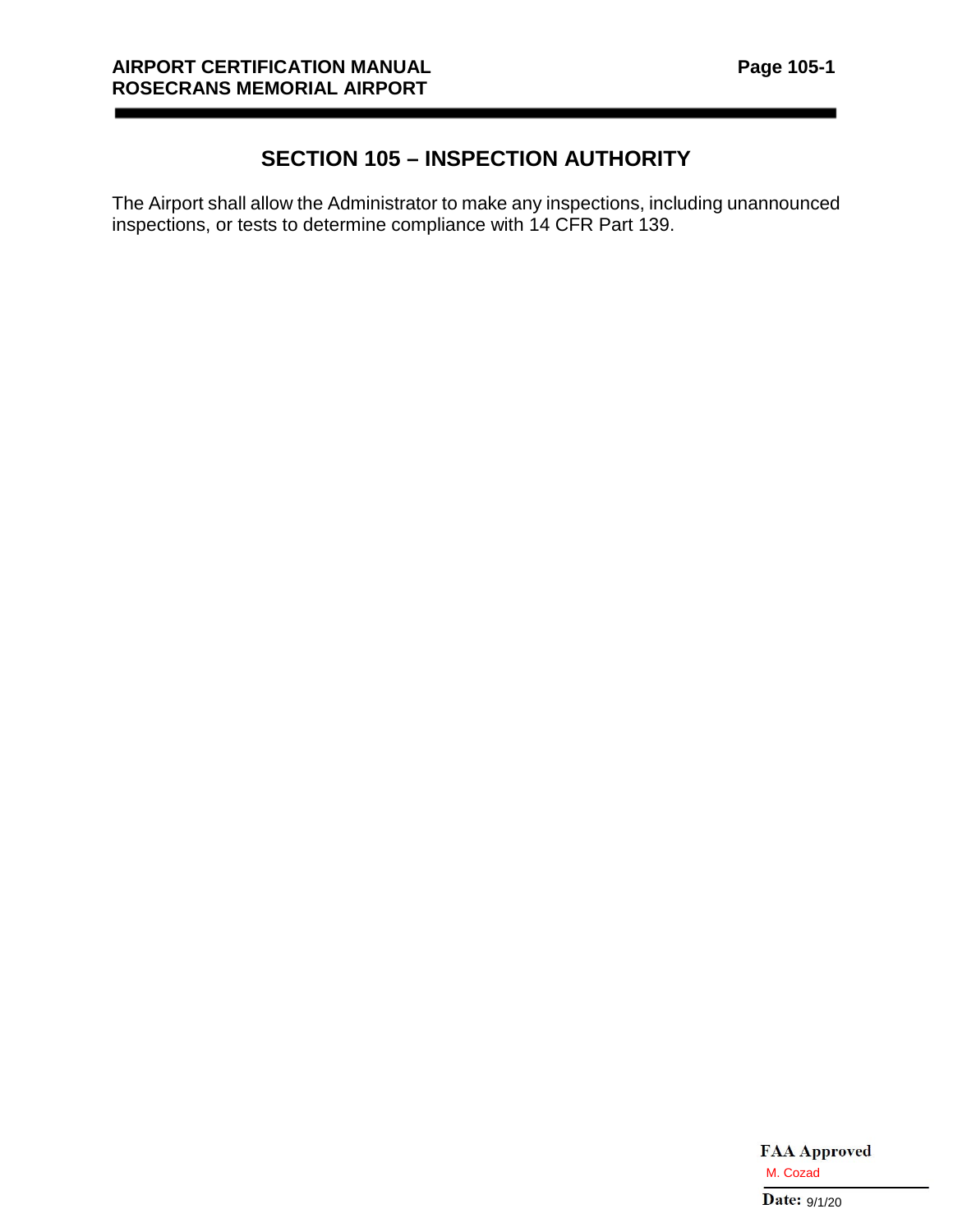# **SECTION 105 – INSPECTION AUTHORITY**

The Airport shall allow the Administrator to make any inspections, including unannounced inspections, or tests to determine compliance with 14 CFR Part 139.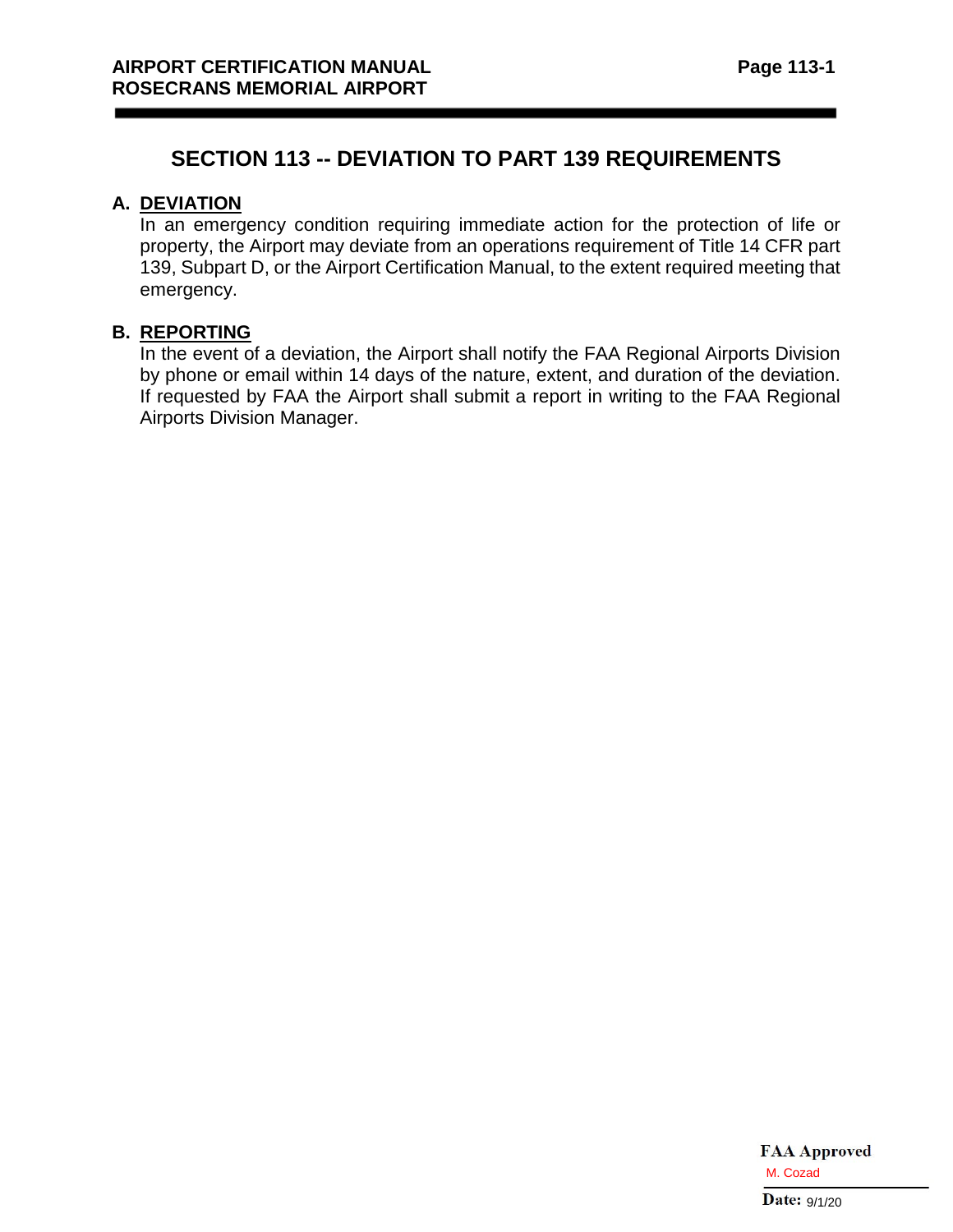## **SECTION 113 -- DEVIATION TO PART 139 REQUIREMENTS**

## **A. DEVIATION**

In an emergency condition requiring immediate action for the protection of life or property, the Airport may deviate from an operations requirement of Title 14 CFR part 139, Subpart D, or the Airport Certification Manual, to the extent required meeting that emergency.

#### **B. REPORTING**

In the event of a deviation, the Airport shall notify the FAA Regional Airports Division by phone or email within 14 days of the nature, extent, and duration of the deviation. If requested by FAA the Airport shall submit a report in writing to the FAA Regional Airports Division Manager.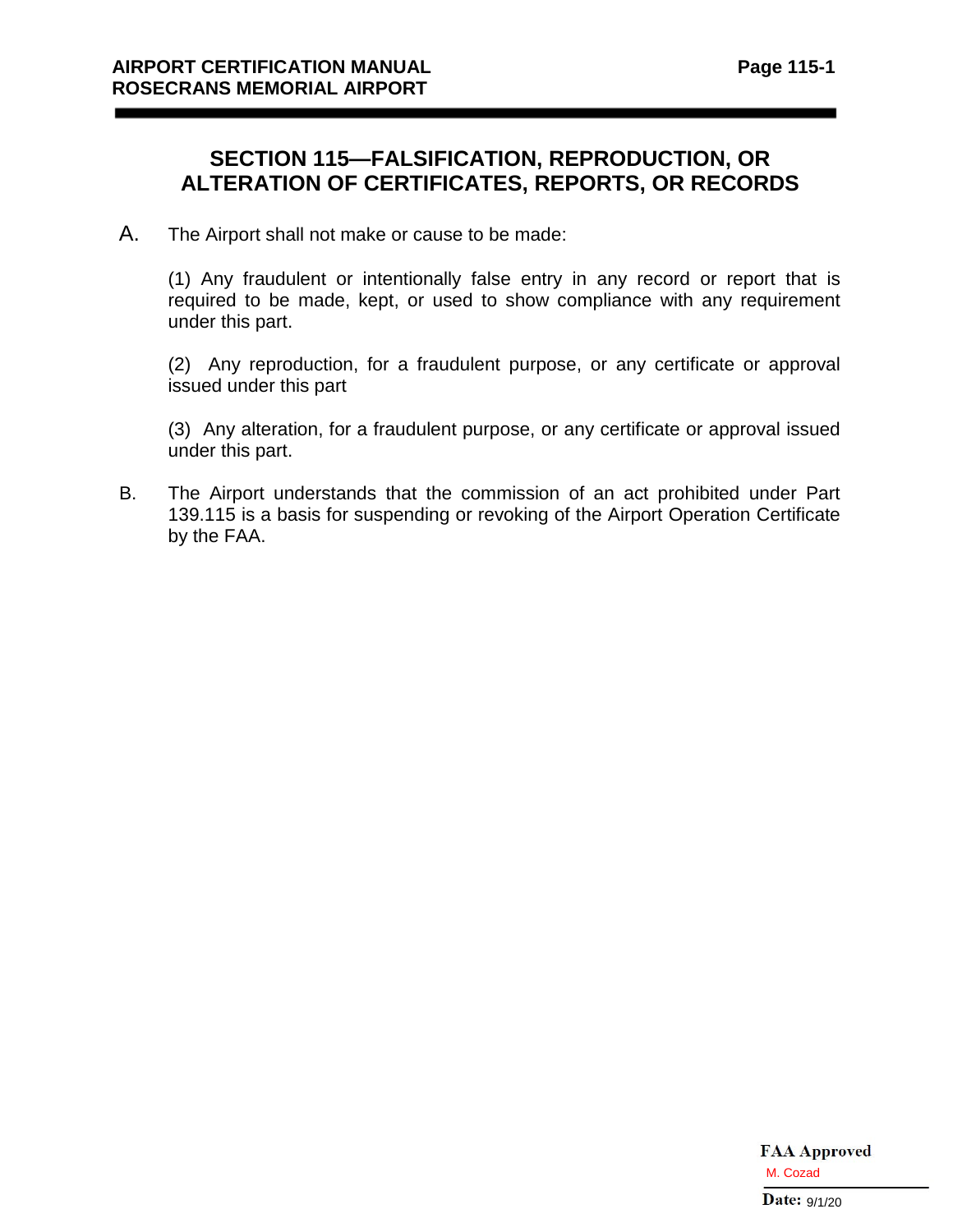# **SECTION 115—FALSIFICATION, REPRODUCTION, OR ALTERATION OF CERTIFICATES, REPORTS, OR RECORDS**

A. The Airport shall not make or cause to be made:

(1) Any fraudulent or intentionally false entry in any record or report that is required to be made, kept, or used to show compliance with any requirement under this part.

(2) Any reproduction, for a fraudulent purpose, or any certificate or approval issued under this part

(3) Any alteration, for a fraudulent purpose, or any certificate or approval issued under this part.

B. The Airport understands that the commission of an act prohibited under Part 139.115 is a basis for suspending or revoking of the Airport Operation Certificate by the FAA.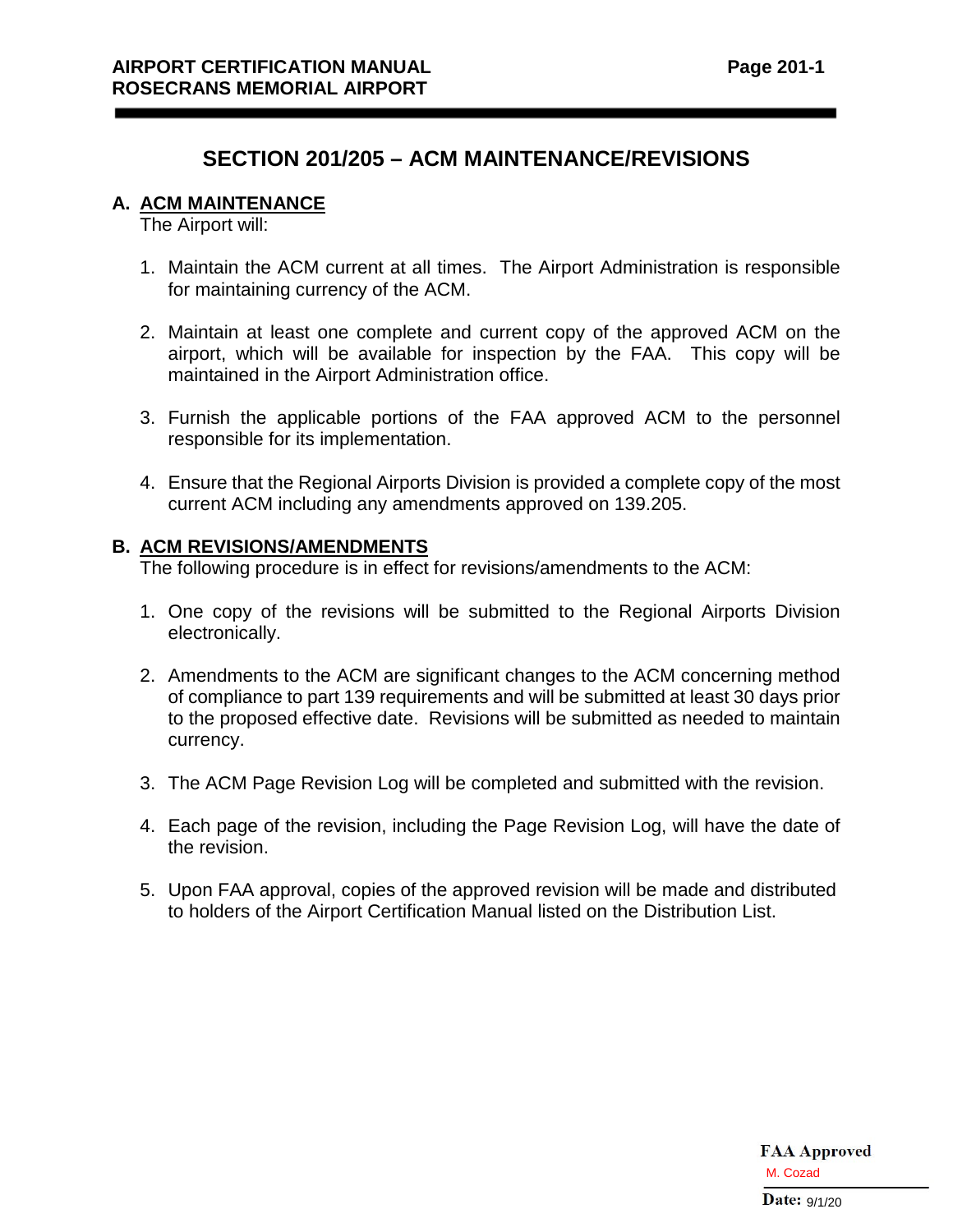## **SECTION 201/205 – ACM MAINTENANCE/REVISIONS**

#### **A. ACM MAINTENANCE**

The Airport will:

- 1. Maintain the ACM current at all times. The Airport Administration is responsible for maintaining currency of the ACM.
- 2. Maintain at least one complete and current copy of the approved ACM on the airport, which will be available for inspection by the FAA. This copy will be maintained in the Airport Administration office.
- 3. Furnish the applicable portions of the FAA approved ACM to the personnel responsible for its implementation.
- 4. Ensure that the Regional Airports Division is provided a complete copy of the most current ACM including any amendments approved on 139.205.

#### **B. ACM REVISIONS/AMENDMENTS**

The following procedure is in effect for revisions/amendments to the ACM:

- 1. One copy of the revisions will be submitted to the Regional Airports Division electronically.
- 2. Amendments to the ACM are significant changes to the ACM concerning method of compliance to part 139 requirements and will be submitted at least 30 days prior to the proposed effective date. Revisions will be submitted as needed to maintain currency.
- 3. The ACM Page Revision Log will be completed and submitted with the revision.
- 4. Each page of the revision, including the Page Revision Log, will have the date of the revision.
- 5. Upon FAA approval, copies of the approved revision will be made and distributed to holders of the Airport Certification Manual listed on the Distribution List.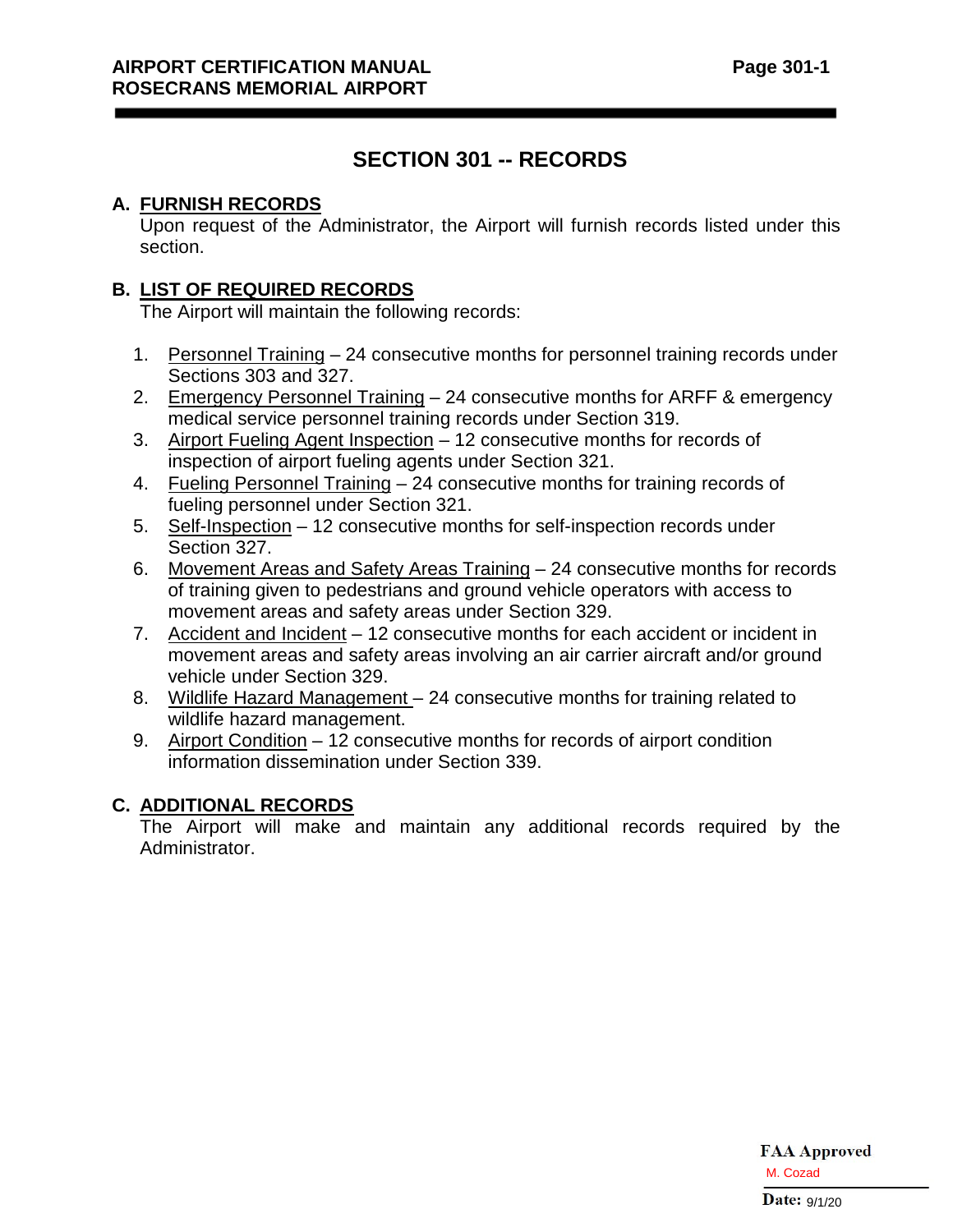# **SECTION 301 -- RECORDS**

## **A. FURNISH RECORDS**

Upon request of the Administrator, the Airport will furnish records listed under this section.

## **B. LIST OF REQUIRED RECORDS**

The Airport will maintain the following records:

- 1. Personnel Training 24 consecutive months for personnel training records under Sections 303 and 327.
- 2. Emergency Personnel Training 24 consecutive months for ARFF & emergency medical service personnel training records under Section 319.
- 3. Airport Fueling Agent Inspection 12 consecutive months for records of inspection of airport fueling agents under Section 321.
- 4. Fueling Personnel Training 24 consecutive months for training records of fueling personnel under Section 321.
- 5. Self-Inspection 12 consecutive months for self-inspection records under Section 327.
- 6. Movement Areas and Safety Areas Training 24 consecutive months for records of training given to pedestrians and ground vehicle operators with access to movement areas and safety areas under Section 329.
- 7. Accident and Incident 12 consecutive months for each accident or incident in movement areas and safety areas involving an air carrier aircraft and/or ground vehicle under Section 329.
- 8. Wildlife Hazard Management 24 consecutive months for training related to wildlife hazard management.
- 9. Airport Condition 12 consecutive months for records of airport condition information dissemination under Section 339.

## **C. ADDITIONAL RECORDS**

The Airport will make and maintain any additional records required by the Administrator.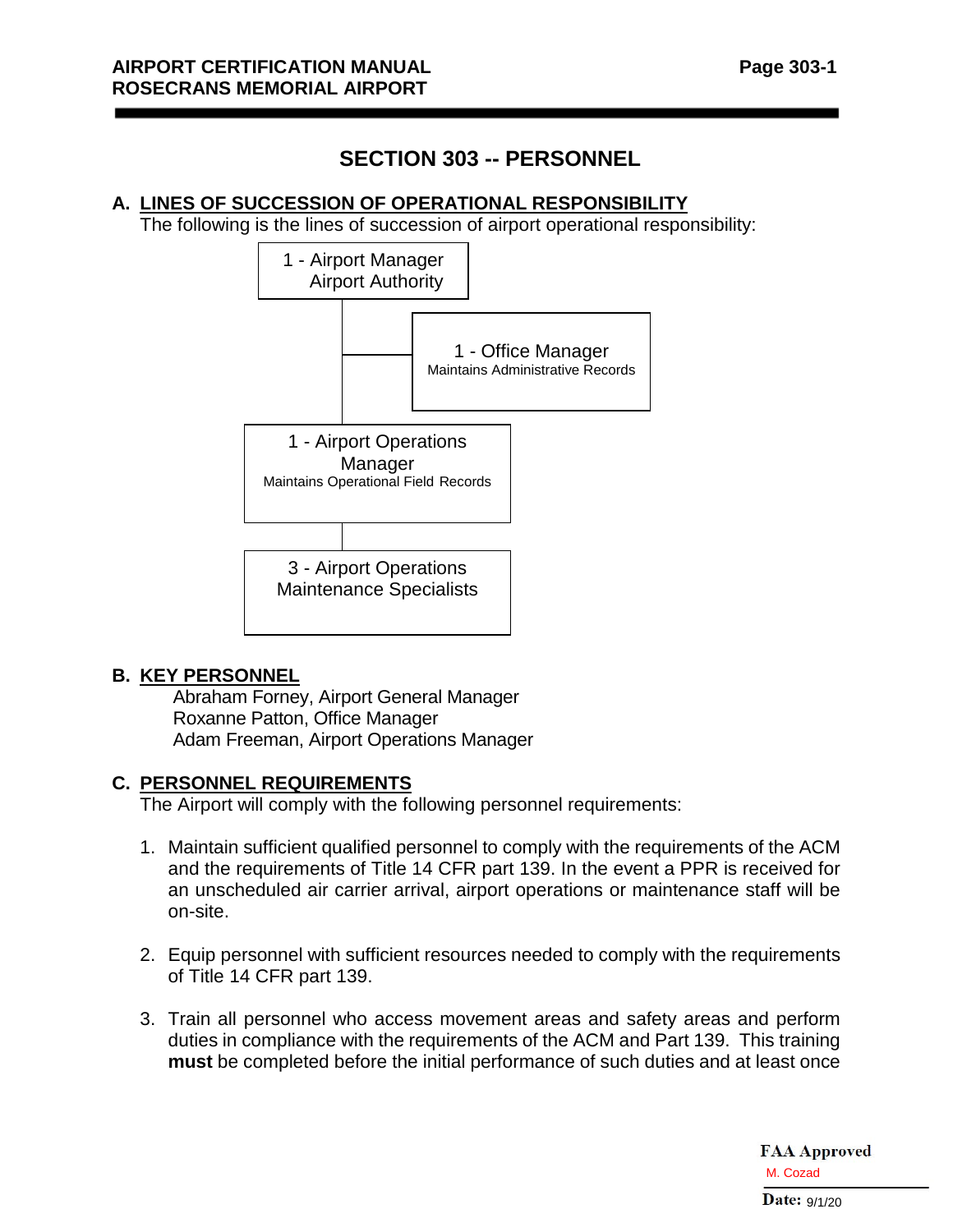# **SECTION 303 -- PERSONNEL**

#### **A. LINES OF SUCCESSION OF OPERATIONAL RESPONSIBILITY**

The following is the lines of succession of airport operational responsibility:



#### **B. KEY PERSONNEL**

Abraham Forney, Airport General Manager Roxanne Patton, Office Manager Adam Freeman, Airport Operations Manager

#### **C. PERSONNEL REQUIREMENTS**

The Airport will comply with the following personnel requirements:

- 1. Maintain sufficient qualified personnel to comply with the requirements of the ACM and the requirements of Title 14 CFR part 139. In the event a PPR is received for an unscheduled air carrier arrival, airport operations or maintenance staff will be on-site.
- 2. Equip personnel with sufficient resources needed to comply with the requirements of Title 14 CFR part 139.
- 3. Train all personnel who access movement areas and safety areas and perform duties in compliance with the requirements of the ACM and Part 139. This training **must** be completed before the initial performance of such duties and at least once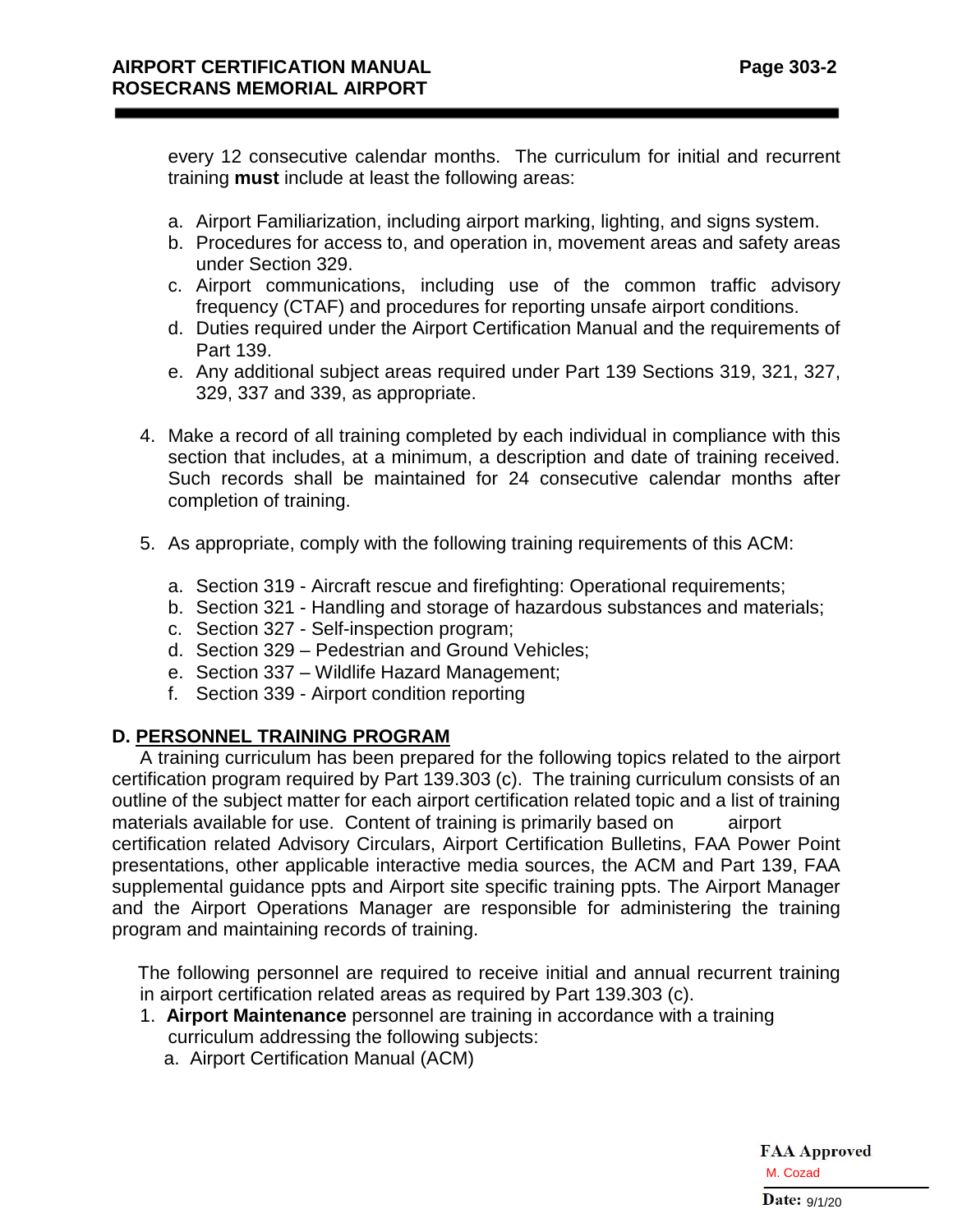every 12 consecutive calendar months. The curriculum for initial and recurrent training **must** include at least the following areas:

- a. Airport Familiarization, including airport marking, lighting, and signs system.
- b. Procedures for access to, and operation in, movement areas and safety areas under Section 329.
- c. Airport communications, including use of the common traffic advisory frequency (CTAF) and procedures for reporting unsafe airport conditions.
- d. Duties required under the Airport Certification Manual and the requirements of Part 139.
- e. Any additional subject areas required under Part 139 Sections 319, 321, 327, 329, 337 and 339, as appropriate.
- 4. Make a record of all training completed by each individual in compliance with this section that includes, at a minimum, a description and date of training received. Such records shall be maintained for 24 consecutive calendar months after completion of training.
- 5. As appropriate, comply with the following training requirements of this ACM:
	- a. Section 319 Aircraft rescue and firefighting: Operational requirements;
	- b. Section 321 Handling and storage of hazardous substances and materials;
	- c. Section 327 Self-inspection program;
	- d. Section 329 Pedestrian and Ground Vehicles;
	- e. Section 337 Wildlife Hazard Management;
	- f. Section 339 Airport condition reporting

## **D. PERSONNEL TRAINING PROGRAM**

A training curriculum has been prepared for the following topics related to the airport certification program required by Part 139.303 (c). The training curriculum consists of an outline of the subject matter for each airport certification related topic and a list of training materials available for use. Content of training is primarily based on airport certification related Advisory Circulars, Airport Certification Bulletins, FAA Power Point presentations, other applicable interactive media sources, the ACM and Part 139, FAA supplemental guidance ppts and Airport site specific training ppts. The Airport Manager and the Airport Operations Manager are responsible for administering the training program and maintaining records of training.

 The following personnel are required to receive initial and annual recurrent training in airport certification related areas as required by Part 139.303 (c).

- 1. **Airport Maintenance** personnel are training in accordance with a training curriculum addressing the following subjects:
	- a. Airport Certification Manual (ACM)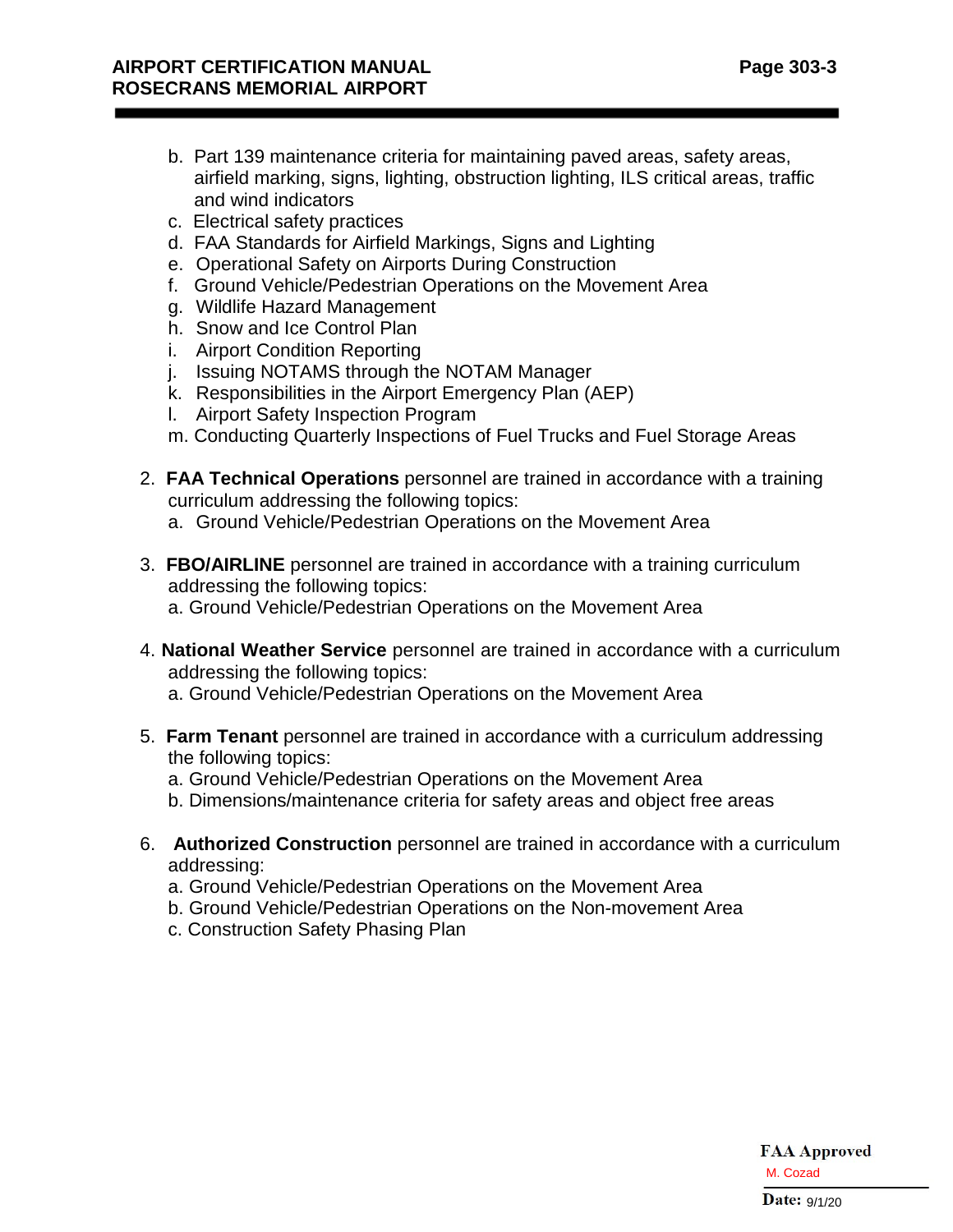- b. Part 139 maintenance criteria for maintaining paved areas, safety areas, airfield marking, signs, lighting, obstruction lighting, ILS critical areas, traffic and wind indicators
- c. Electrical safety practices
- d. FAA Standards for Airfield Markings, Signs and Lighting
- e. Operational Safety on Airports During Construction
- f. Ground Vehicle/Pedestrian Operations on the Movement Area
- g. Wildlife Hazard Management
- h. Snow and Ice Control Plan
- i. Airport Condition Reporting
- j. Issuing NOTAMS through the NOTAM Manager
- k. Responsibilities in the Airport Emergency Plan (AEP)
- l. Airport Safety Inspection Program
- m. Conducting Quarterly Inspections of Fuel Trucks and Fuel Storage Areas
- 2. **FAA Technical Operations** personnel are trained in accordance with a training curriculum addressing the following topics:
	- a. Ground Vehicle/Pedestrian Operations on the Movement Area
- 3. **FBO/AIRLINE** personnel are trained in accordance with a training curriculum addressing the following topics: a. Ground Vehicle/Pedestrian Operations on the Movement Area
- 4. **National Weather Service** personnel are trained in accordance with a curriculum addressing the following topics:
	- a. Ground Vehicle/Pedestrian Operations on the Movement Area
- 5. **Farm Tenant** personnel are trained in accordance with a curriculum addressing the following topics:
	- a. Ground Vehicle/Pedestrian Operations on the Movement Area
	- b. Dimensions/maintenance criteria for safety areas and object free areas
- 6. **Authorized Construction** personnel are trained in accordance with a curriculum addressing:
	- a. Ground Vehicle/Pedestrian Operations on the Movement Area
	- b. Ground Vehicle/Pedestrian Operations on the Non-movement Area
	- c. Construction Safety Phasing Plan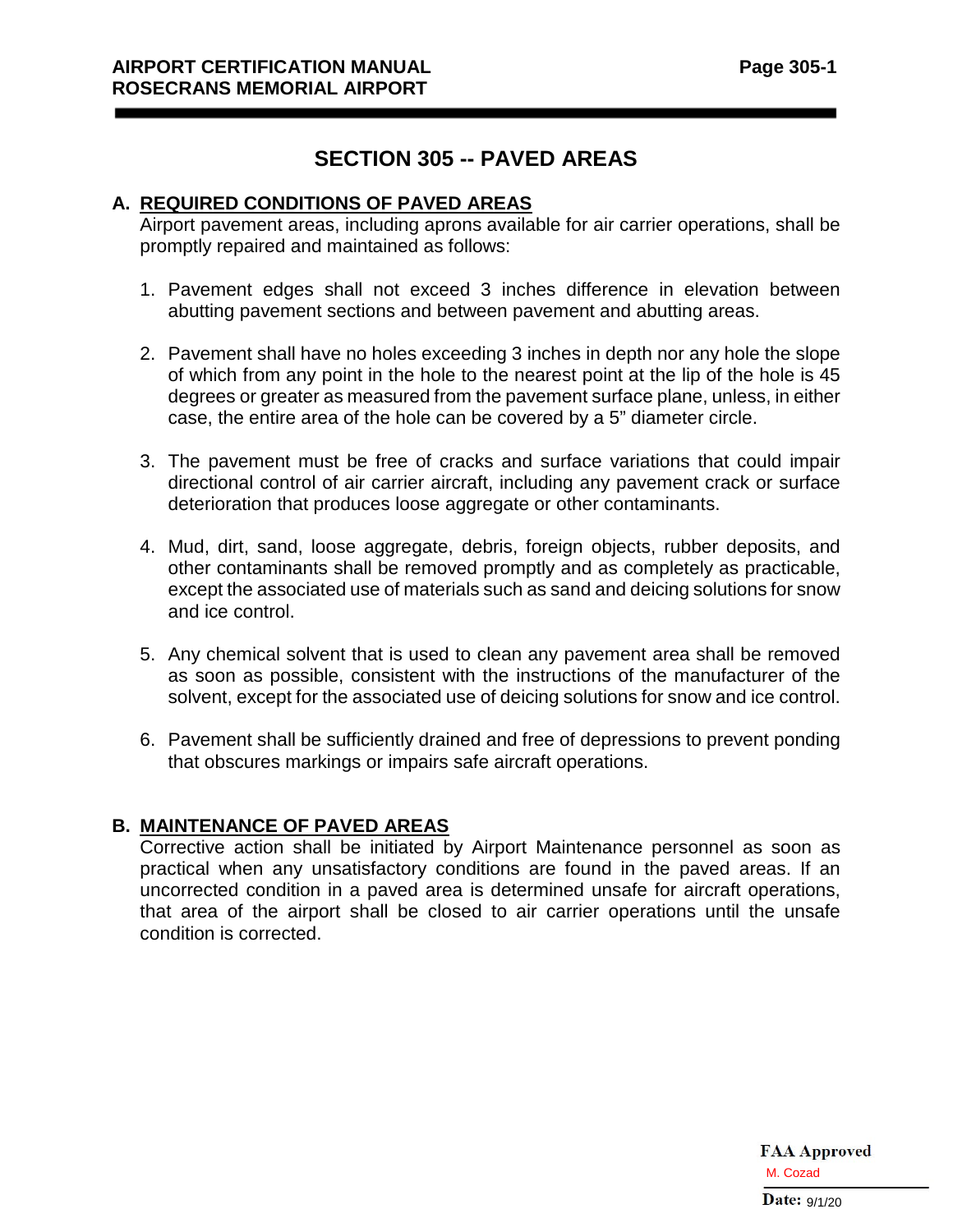# **SECTION 305 -- PAVED AREAS**

### **A. REQUIRED CONDITIONS OF PAVED AREAS**

Airport pavement areas, including aprons available for air carrier operations, shall be promptly repaired and maintained as follows:

- 1. Pavement edges shall not exceed 3 inches difference in elevation between abutting pavement sections and between pavement and abutting areas.
- 2. Pavement shall have no holes exceeding 3 inches in depth nor any hole the slope of which from any point in the hole to the nearest point at the lip of the hole is 45 degrees or greater as measured from the pavement surface plane, unless, in either case, the entire area of the hole can be covered by a 5" diameter circle.
- 3. The pavement must be free of cracks and surface variations that could impair directional control of air carrier aircraft, including any pavement crack or surface deterioration that produces loose aggregate or other contaminants.
- 4. Mud, dirt, sand, loose aggregate, debris, foreign objects, rubber deposits, and other contaminants shall be removed promptly and as completely as practicable, except the associated use of materials such as sand and deicing solutions for snow and ice control.
- 5. Any chemical solvent that is used to clean any pavement area shall be removed as soon as possible, consistent with the instructions of the manufacturer of the solvent, except for the associated use of deicing solutions for snow and ice control.
- 6. Pavement shall be sufficiently drained and free of depressions to prevent ponding that obscures markings or impairs safe aircraft operations.

## **B. MAINTENANCE OF PAVED AREAS**

Corrective action shall be initiated by Airport Maintenance personnel as soon as practical when any unsatisfactory conditions are found in the paved areas. If an uncorrected condition in a paved area is determined unsafe for aircraft operations, that area of the airport shall be closed to air carrier operations until the unsafe condition is corrected.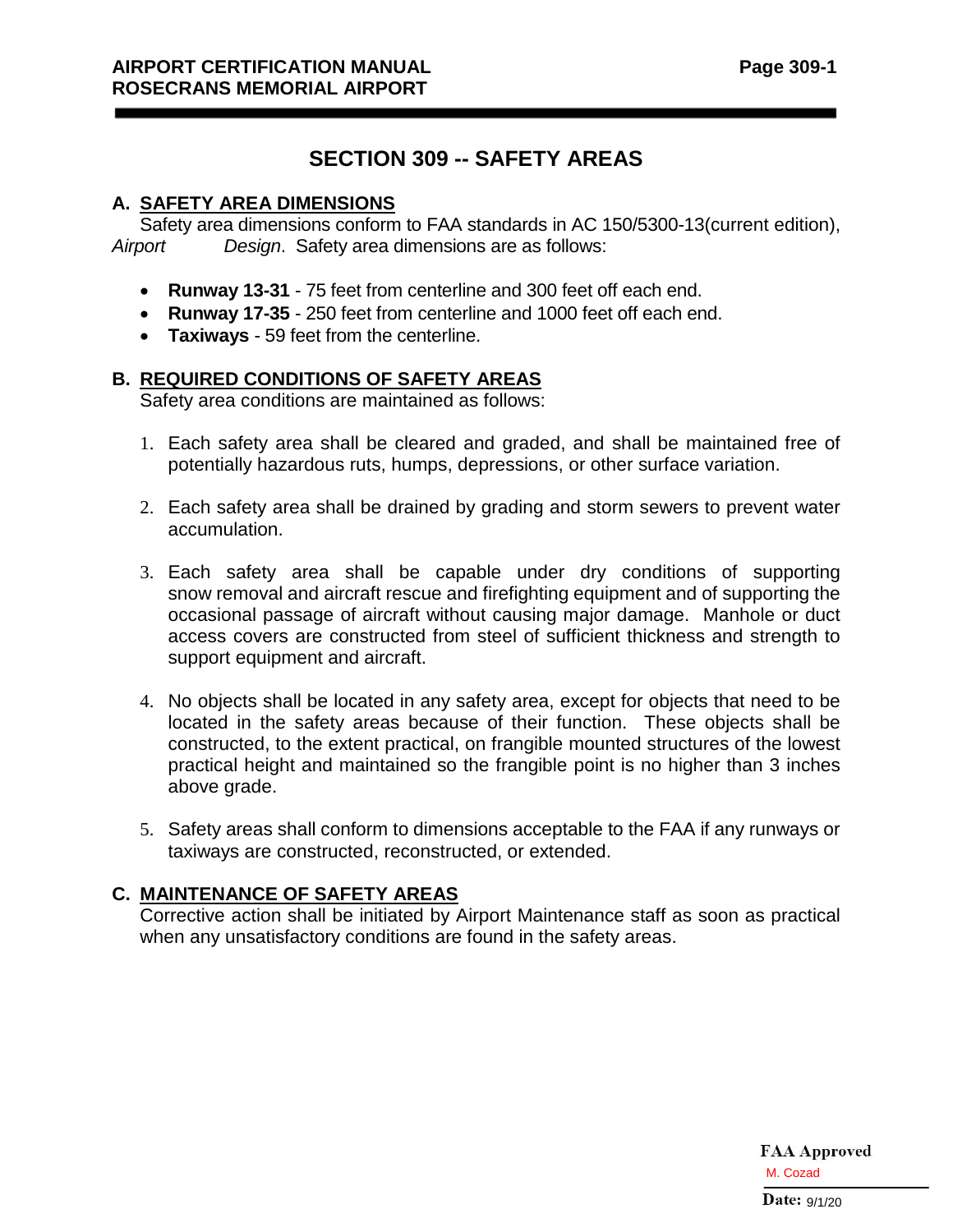# **SECTION 309 -- SAFETY AREAS**

#### **A. SAFETY AREA DIMENSIONS**

Safety area dimensions conform to FAA standards in AC 150/5300-13(current edition), *Airport Design*. Safety area dimensions are as follows:

- **Runway 13-31** 75 feet from centerline and 300 feet off each end.
- **Runway 17-35**  250 feet from centerline and 1000 feet off each end.
- **Taxiways** 59 feet from the centerline.

## **B. REQUIRED CONDITIONS OF SAFETY AREAS**

Safety area conditions are maintained as follows:

- 1. Each safety area shall be cleared and graded, and shall be maintained free of potentially hazardous ruts, humps, depressions, or other surface variation.
- 2. Each safety area shall be drained by grading and storm sewers to prevent water accumulation.
- 3. Each safety area shall be capable under dry conditions of supporting snow removal and aircraft rescue and firefighting equipment and of supporting the occasional passage of aircraft without causing major damage. Manhole or duct access covers are constructed from steel of sufficient thickness and strength to support equipment and aircraft.
- 4. No objects shall be located in any safety area, except for objects that need to be located in the safety areas because of their function. These objects shall be constructed, to the extent practical, on frangible mounted structures of the lowest practical height and maintained so the frangible point is no higher than 3 inches above grade.
- 5. Safety areas shall conform to dimensions acceptable to the FAA if any runways or taxiways are constructed, reconstructed, or extended.

## **C. MAINTENANCE OF SAFETY AREAS**

Corrective action shall be initiated by Airport Maintenance staff as soon as practical when any unsatisfactory conditions are found in the safety areas.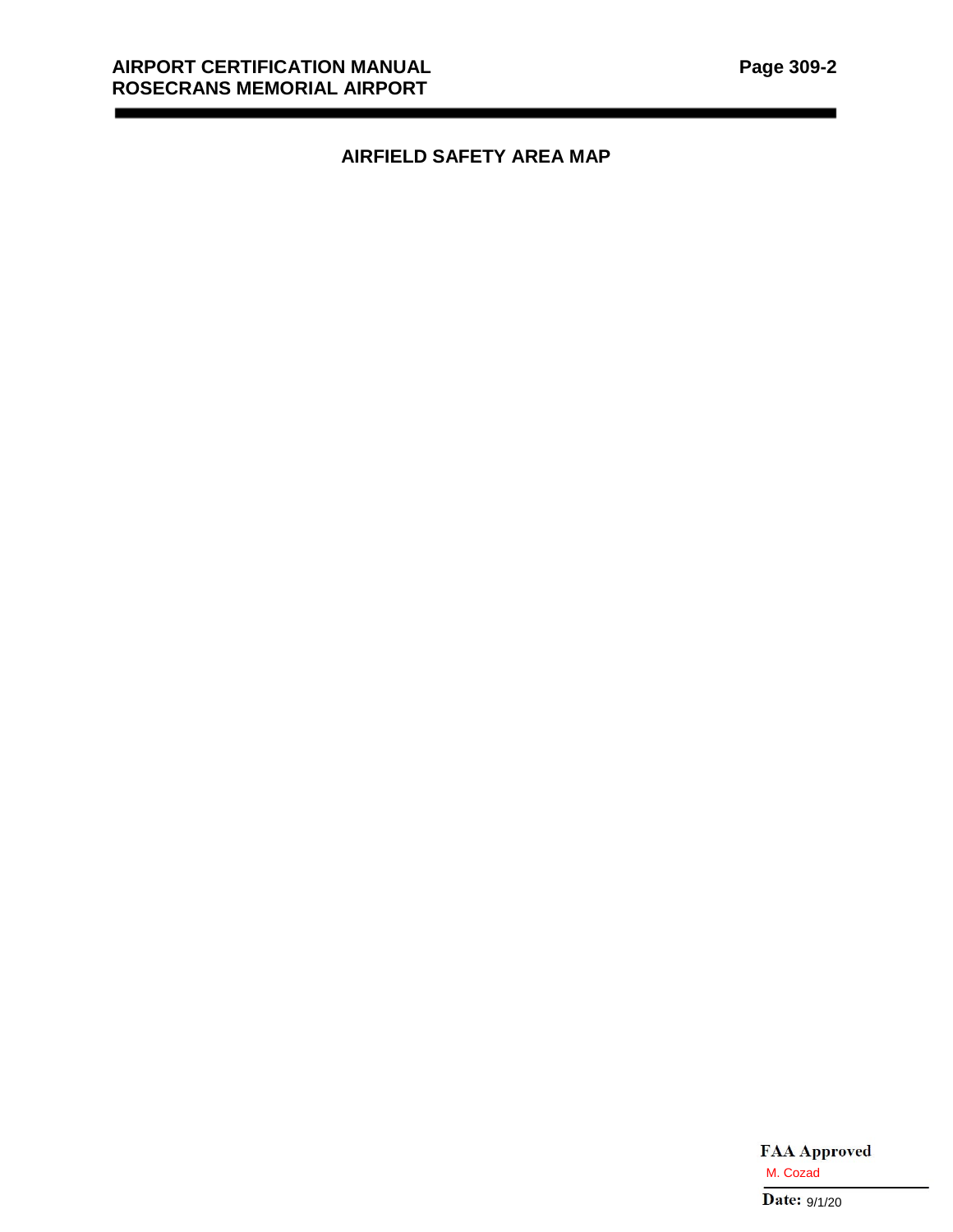# **AIRFIELD SAFETY AREA MAP**

M. Cozad<br>Date:  $9/1/20$ 

۰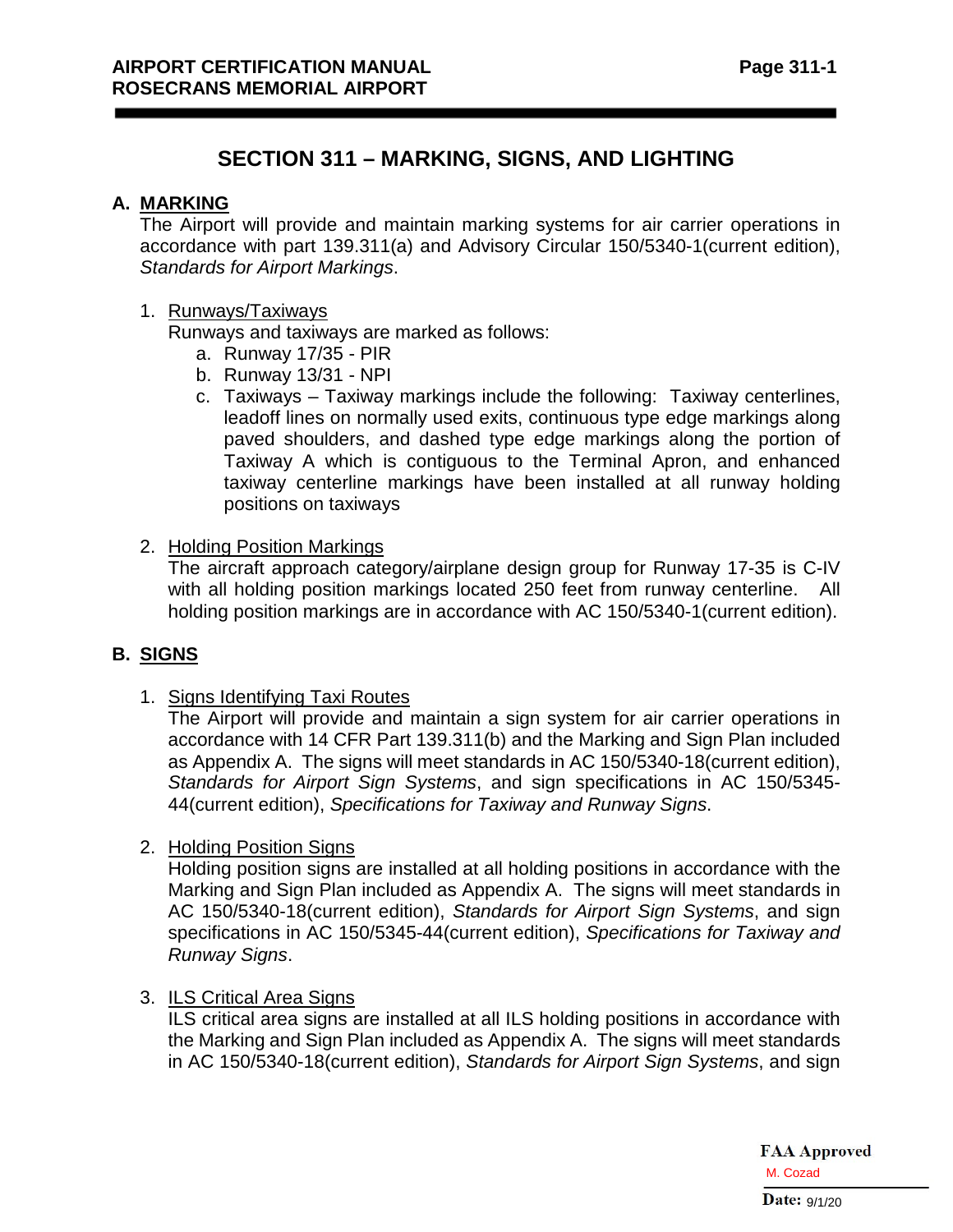# **SECTION 311 – MARKING, SIGNS, AND LIGHTING**

### **A. MARKING**

The Airport will provide and maintain marking systems for air carrier operations in accordance with part 139.311(a) and Advisory Circular 150/5340-1(current edition), *Standards for Airport Markings*.

#### 1. Runways/Taxiways

Runways and taxiways are marked as follows:

- a. Runway 17/35 PIR
- b. Runway 13/31 NPI
- c. Taxiways Taxiway markings include the following: Taxiway centerlines, leadoff lines on normally used exits, continuous type edge markings along paved shoulders, and dashed type edge markings along the portion of Taxiway A which is contiguous to the Terminal Apron, and enhanced taxiway centerline markings have been installed at all runway holding positions on taxiways
- 2. Holding Position Markings

The aircraft approach category/airplane design group for Runway 17-35 is C-IV with all holding position markings located 250 feet from runway centerline. All holding position markings are in accordance with AC 150/5340-1(current edition).

## **B. SIGNS**

1. Signs Identifying Taxi Routes

The Airport will provide and maintain a sign system for air carrier operations in accordance with 14 CFR Part 139.311(b) and the Marking and Sign Plan included as Appendix A. The signs will meet standards in AC 150/5340-18(current edition), *Standards for Airport Sign Systems*, and sign specifications in AC 150/5345- 44(current edition), *Specifications for Taxiway and Runway Signs*.

2. Holding Position Signs

Holding position signs are installed at all holding positions in accordance with the Marking and Sign Plan included as Appendix A. The signs will meet standards in AC 150/5340-18(current edition), *Standards for Airport Sign Systems*, and sign specifications in AC 150/5345-44(current edition), *Specifications for Taxiway and Runway Signs*.

3. ILS Critical Area Signs

ILS critical area signs are installed at all ILS holding positions in accordance with the Marking and Sign Plan included as Appendix A. The signs will meet standards in AC 150/5340-18(current edition), *Standards for Airport Sign Systems*, and sign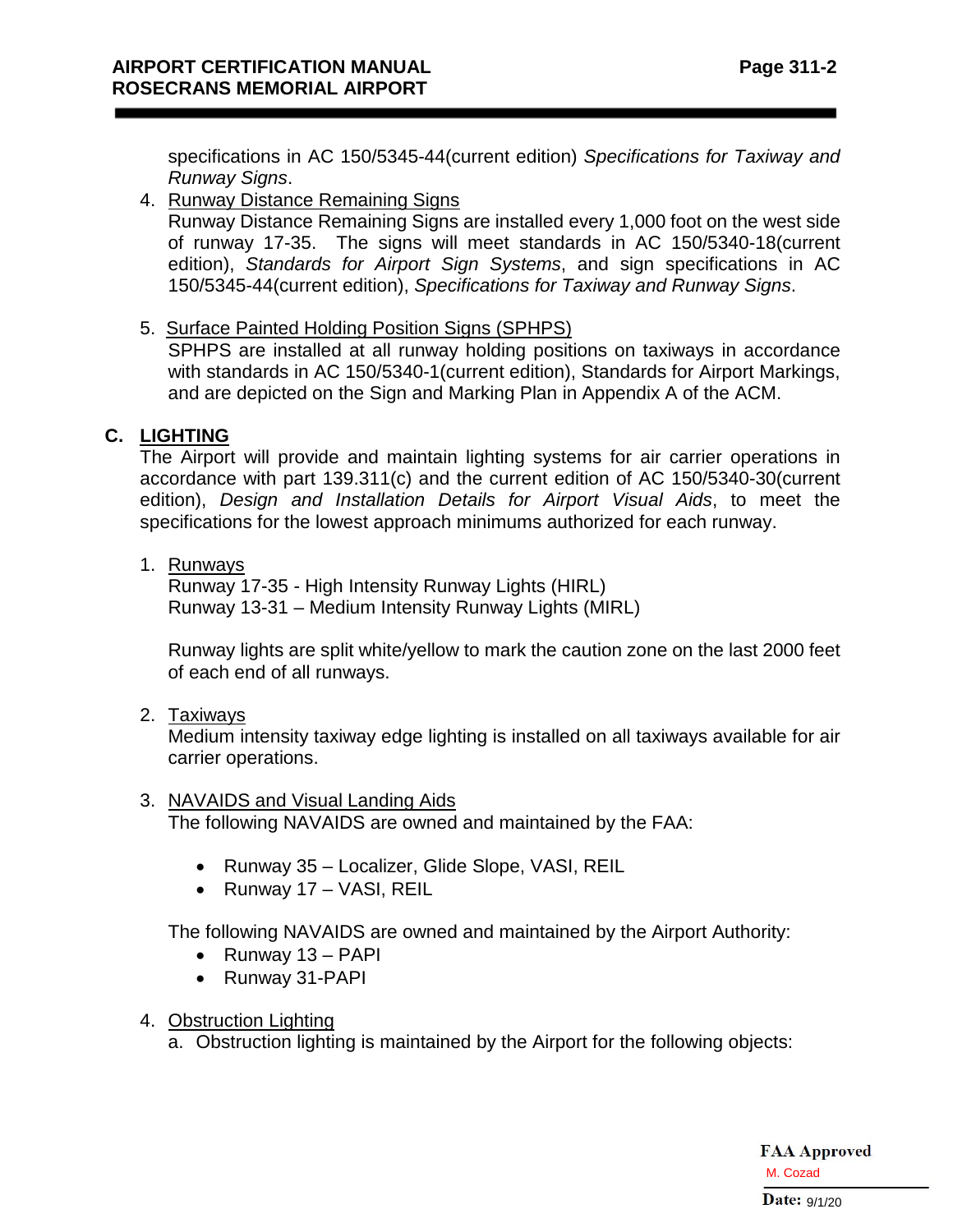**Page 311-2**

specifications in AC 150/5345-44(current edition) *Specifications for Taxiway and Runway Signs*.

4. Runway Distance Remaining Signs

Runway Distance Remaining Signs are installed every 1,000 foot on the west side of runway 17-35. The signs will meet standards in AC 150/5340-18(current edition), *Standards for Airport Sign Systems*, and sign specifications in AC 150/5345-44(current edition), *Specifications for Taxiway and Runway Signs*.

5. Surface Painted Holding Position Signs (SPHPS)

SPHPS are installed at all runway holding positions on taxiways in accordance with standards in AC 150/5340-1(current edition), Standards for Airport Markings, and are depicted on the Sign and Marking Plan in Appendix A of the ACM.

## **C. LIGHTING**

The Airport will provide and maintain lighting systems for air carrier operations in accordance with part 139.311(c) and the current edition of AC 150/5340-30(current edition), *Design and Installation Details for Airport Visual Aids*, to meet the specifications for the lowest approach minimums authorized for each runway.

1. Runways

Runway 17-35 - High Intensity Runway Lights (HIRL) Runway 13-31 – Medium Intensity Runway Lights (MIRL)

Runway lights are split white/yellow to mark the caution zone on the last 2000 feet of each end of all runways.

2. Taxiways

Medium intensity taxiway edge lighting is installed on all taxiways available for air carrier operations.

## 3. NAVAIDS and Visual Landing Aids

The following NAVAIDS are owned and maintained by the FAA:

- Runway 35 Localizer, Glide Slope, VASI, REIL
- Runway 17 VASI, REIL

The following NAVAIDS are owned and maintained by the Airport Authority:

- Runway 13 PAPI
- Runway 31-PAPI
- 4. Obstruction Lighting

a. Obstruction lighting is maintained by the Airport for the following objects: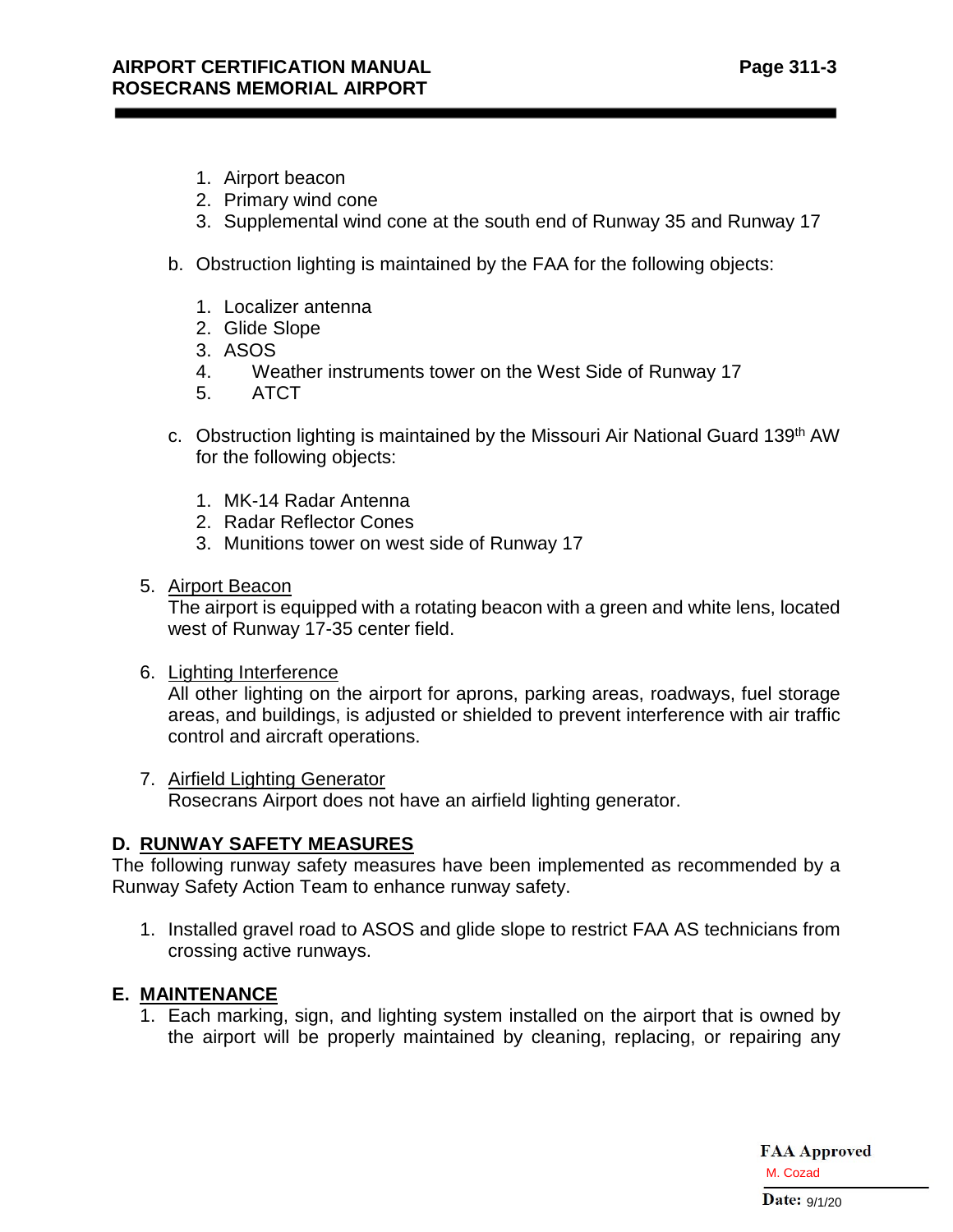- 1. Airport beacon
- 2. Primary wind cone
- 3. Supplemental wind cone at the south end of Runway 35 and Runway 17
- b. Obstruction lighting is maintained by the FAA for the following objects:
	- 1. Localizer antenna
	- 2. Glide Slope
	- 3. ASOS
	- 4. Weather instruments tower on the West Side of Runway 17
	- 5. ATCT
- c. Obstruction lighting is maintained by the Missouri Air National Guard 139<sup>th</sup> AW for the following objects:
	- 1. MK-14 Radar Antenna
	- 2. Radar Reflector Cones
	- 3. Munitions tower on west side of Runway 17
- 5. Airport Beacon

The airport is equipped with a rotating beacon with a green and white lens, located west of Runway 17-35 center field.

6. Lighting Interference

All other lighting on the airport for aprons, parking areas, roadways, fuel storage areas, and buildings, is adjusted or shielded to prevent interference with air traffic control and aircraft operations.

7. Airfield Lighting Generator Rosecrans Airport does not have an airfield lighting generator.

#### **D. RUNWAY SAFETY MEASURES**

The following runway safety measures have been implemented as recommended by a Runway Safety Action Team to enhance runway safety.

1. Installed gravel road to ASOS and glide slope to restrict FAA AS technicians from crossing active runways.

## **E. MAINTENANCE**

1. Each marking, sign, and lighting system installed on the airport that is owned by the airport will be properly maintained by cleaning, replacing, or repairing any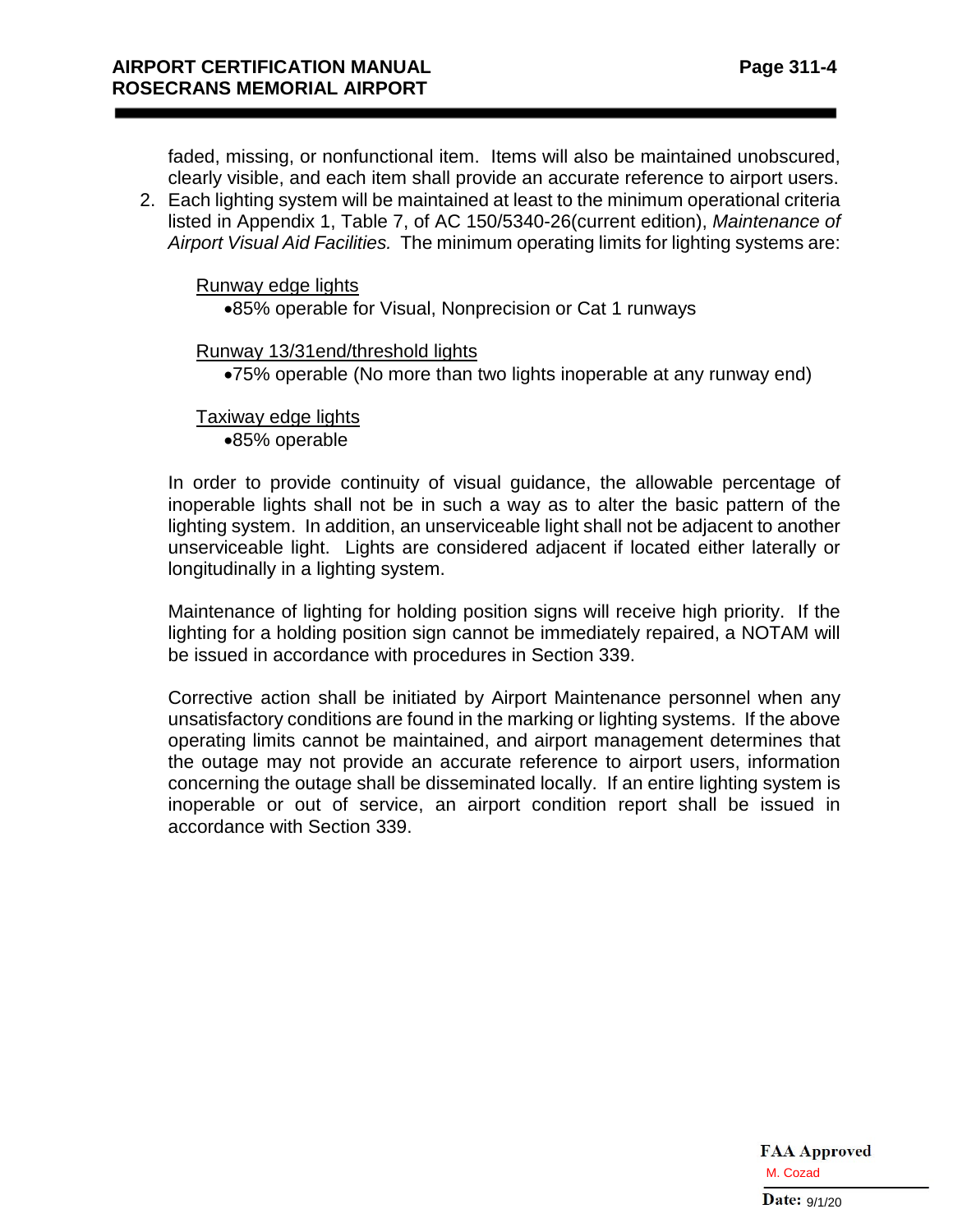faded, missing, or nonfunctional item. Items will also be maintained unobscured, clearly visible, and each item shall provide an accurate reference to airport users.

2. Each lighting system will be maintained at least to the minimum operational criteria listed in Appendix 1, Table 7, of AC 150/5340-26(current edition), *Maintenance of Airport Visual Aid Facilities.* The minimum operating limits for lighting systems are:

Runway edge lights

•85% operable for Visual, Nonprecision or Cat 1 runways

#### Runway 13/31end/threshold lights

•75% operable (No more than two lights inoperable at any runway end)

Taxiway edge lights •85% operable

In order to provide continuity of visual guidance, the allowable percentage of inoperable lights shall not be in such a way as to alter the basic pattern of the lighting system. In addition, an unserviceable light shall not be adjacent to another unserviceable light. Lights are considered adjacent if located either laterally or longitudinally in a lighting system.

Maintenance of lighting for holding position signs will receive high priority. If the lighting for a holding position sign cannot be immediately repaired, a NOTAM will be issued in accordance with procedures in Section 339.

Corrective action shall be initiated by Airport Maintenance personnel when any unsatisfactory conditions are found in the marking or lighting systems. If the above operating limits cannot be maintained, and airport management determines that the outage may not provide an accurate reference to airport users, information concerning the outage shall be disseminated locally. If an entire lighting system is inoperable or out of service, an airport condition report shall be issued in accordance with Section 339.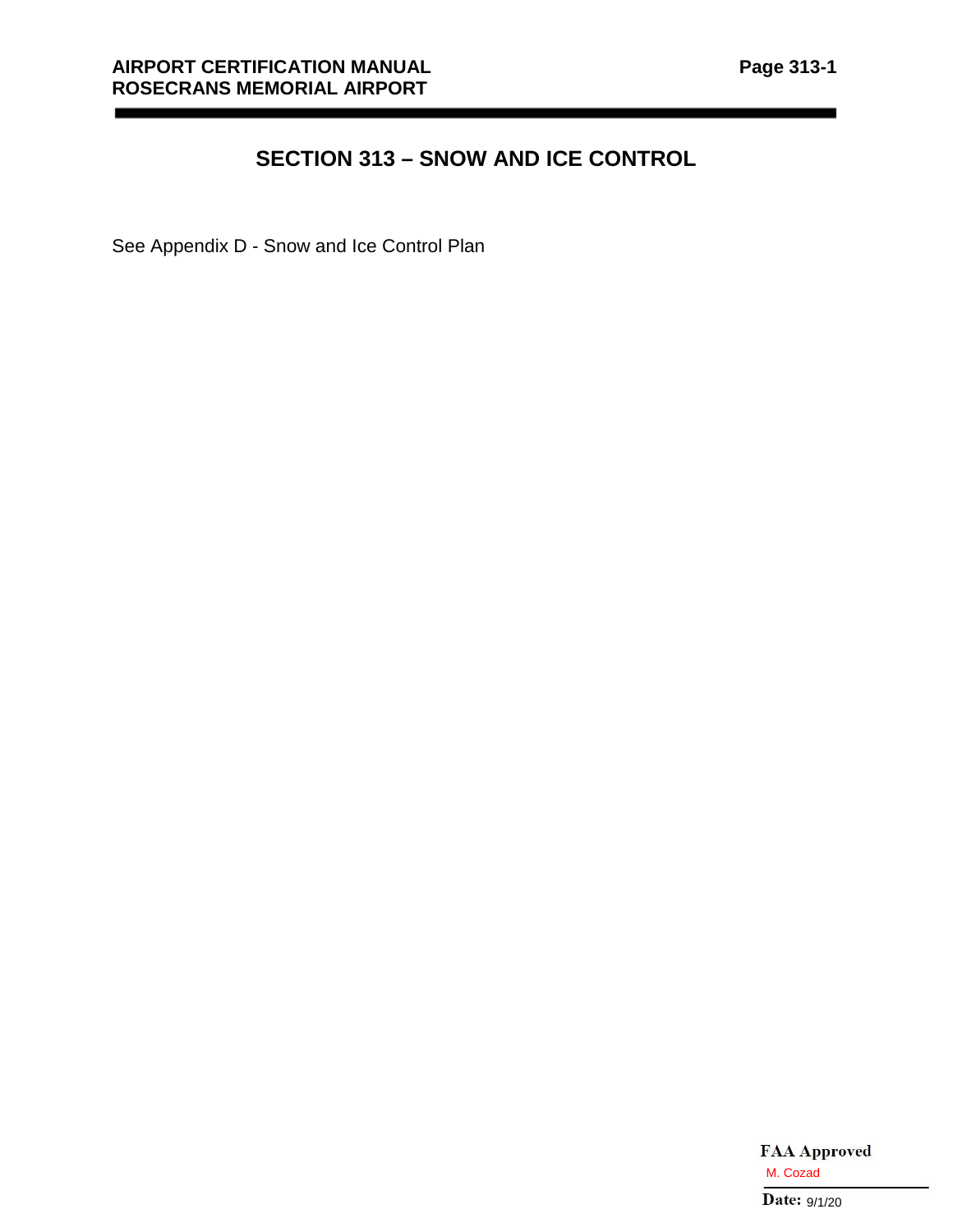\_\_\_\_\_

# **SECTION 313 – SNOW AND ICE CONTROL**

See Appendix D - Snow and Ice Control Plan

\_\_\_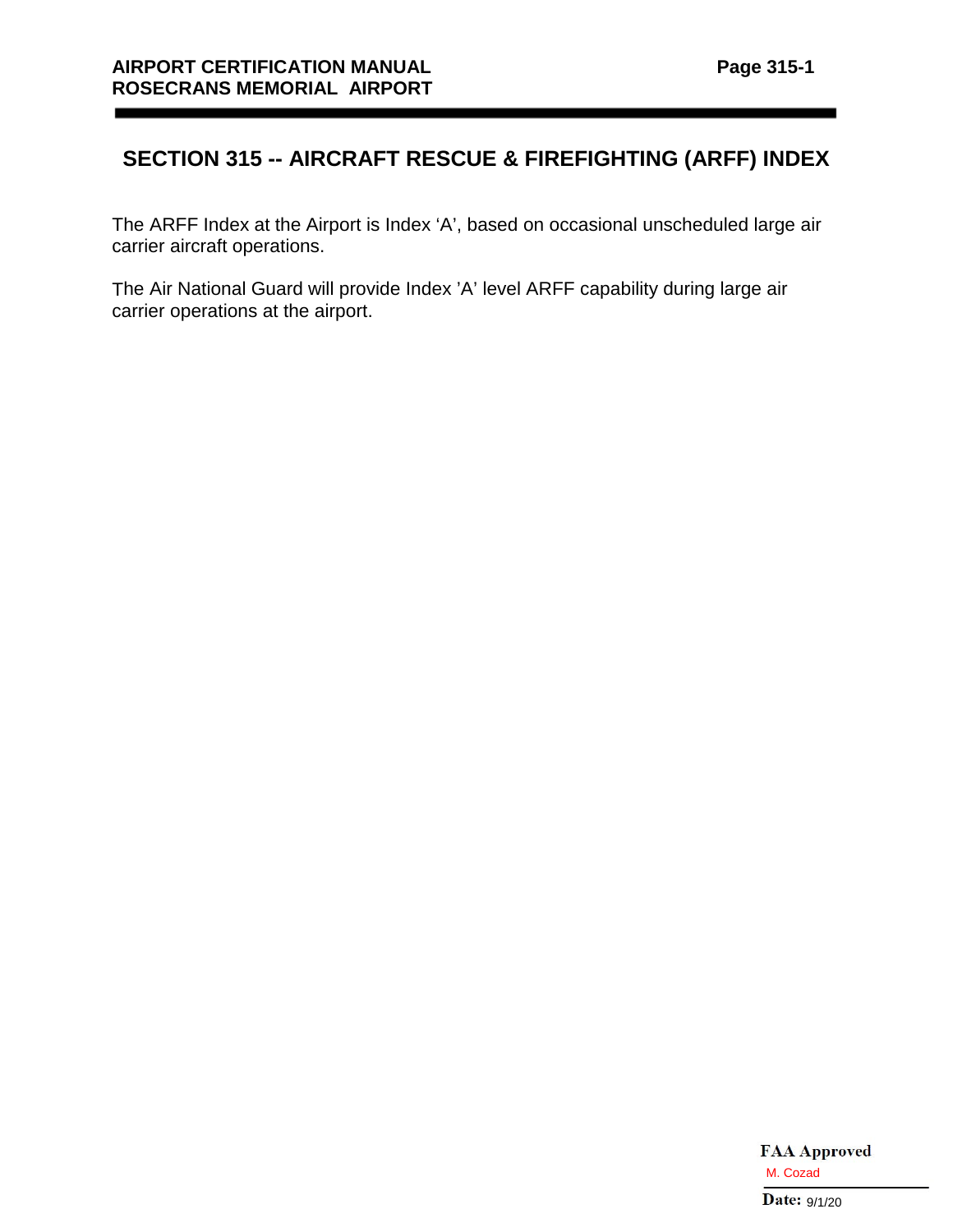# **SECTION 315 -- AIRCRAFT RESCUE & FIREFIGHTING (ARFF) INDEX**

The ARFF Index at the Airport is Index 'A', based on occasional unscheduled large air carrier aircraft operations.

The Air National Guard will provide Index 'A' level ARFF capability during large air carrier operations at the airport.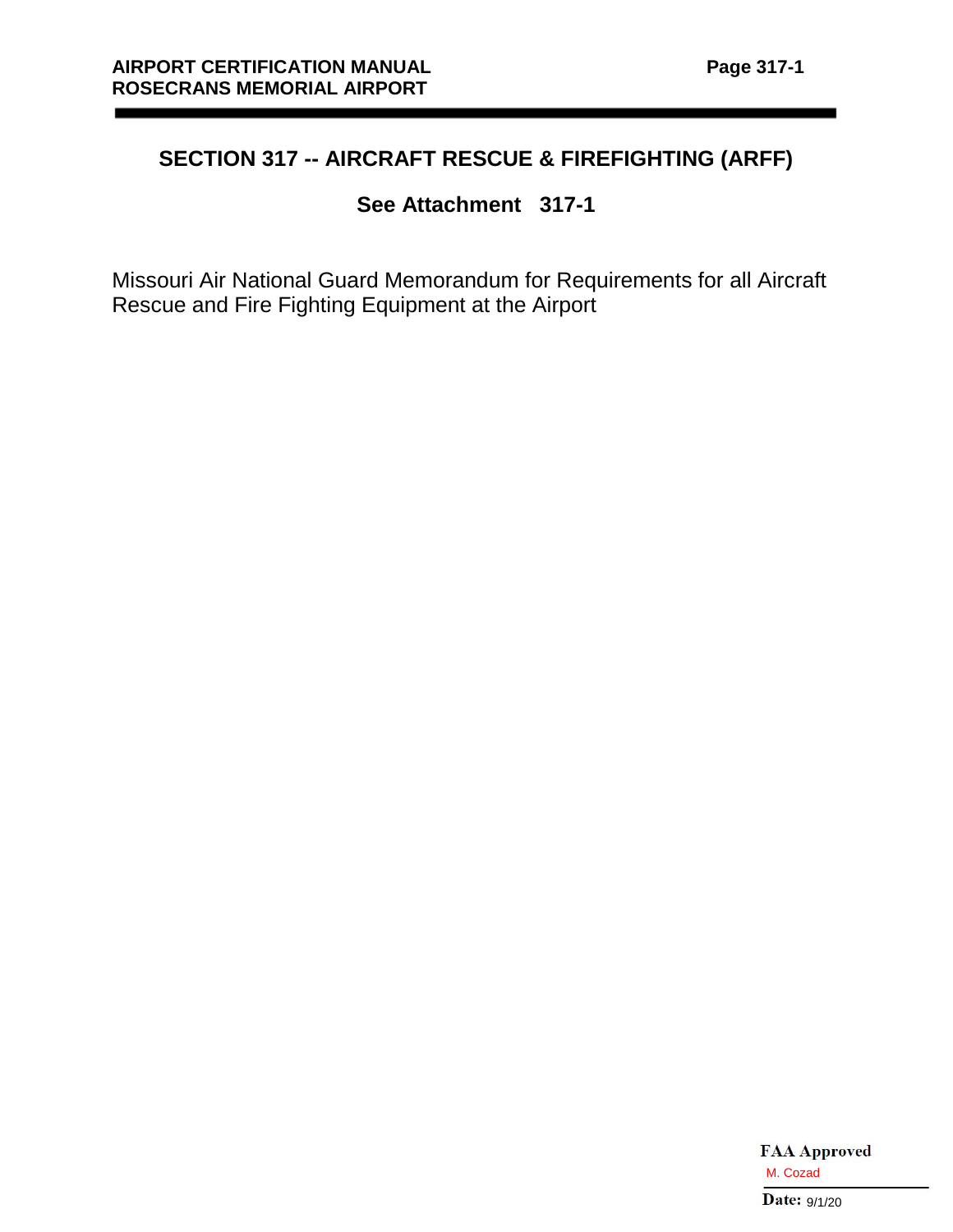$\overline{\phantom{a}}$ 

# **SECTION 317 -- AIRCRAFT RESCUE & FIREFIGHTING (ARFF)**

# **See Attachment 317-1**

Missouri Air National Guard Memorandum for Requirements for all Aircraft Rescue and Fire Fighting Equipment at the Airport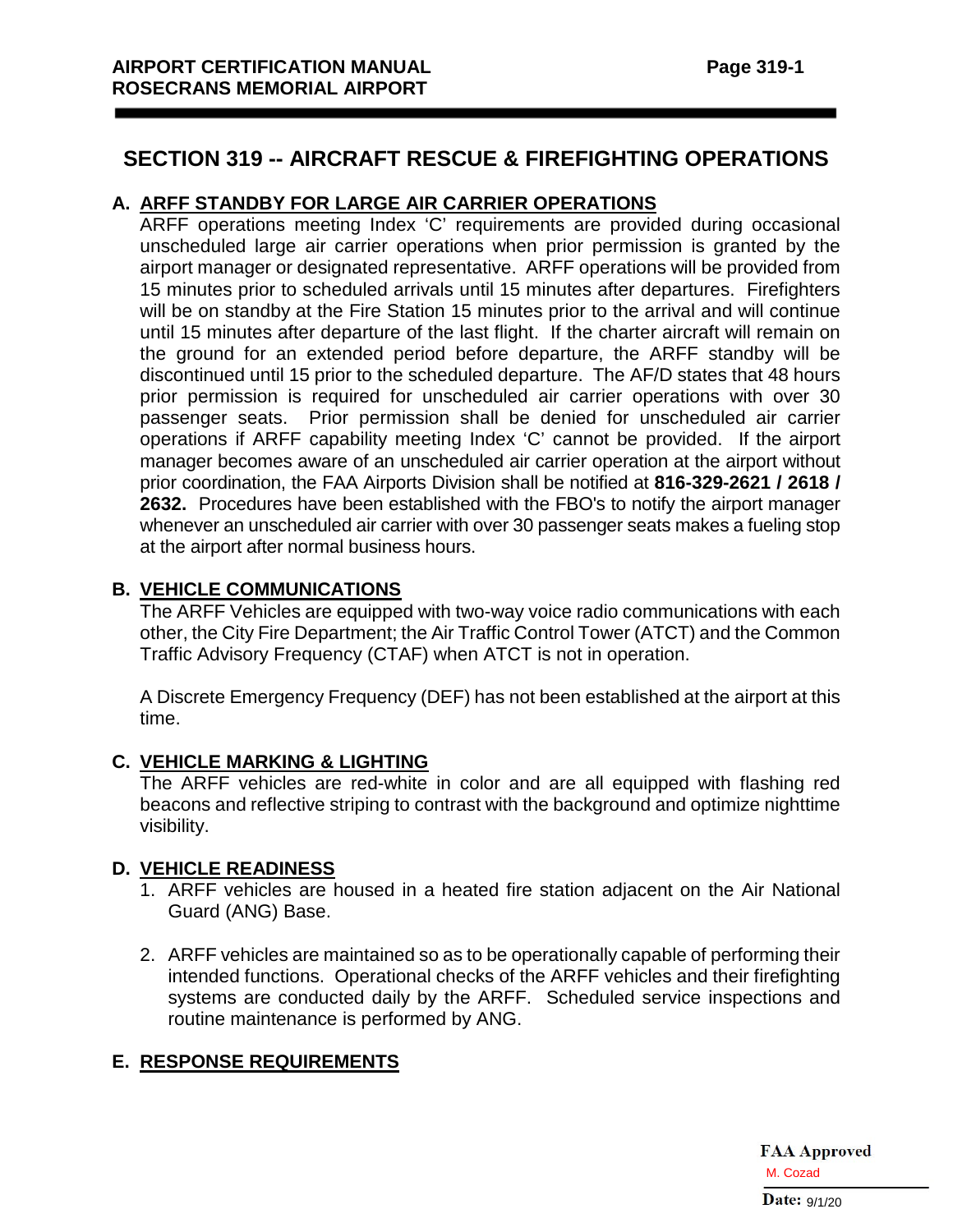# **SECTION 319 -- AIRCRAFT RESCUE & FIREFIGHTING OPERATIONS**

## **A. ARFF STANDBY FOR LARGE AIR CARRIER OPERATIONS**

ARFF operations meeting Index 'C' requirements are provided during occasional unscheduled large air carrier operations when prior permission is granted by the airport manager or designated representative. ARFF operations will be provided from 15 minutes prior to scheduled arrivals until 15 minutes after departures. Firefighters will be on standby at the Fire Station 15 minutes prior to the arrival and will continue until 15 minutes after departure of the last flight. If the charter aircraft will remain on the ground for an extended period before departure, the ARFF standby will be discontinued until 15 prior to the scheduled departure. The AF/D states that 48 hours prior permission is required for unscheduled air carrier operations with over 30 passenger seats. Prior permission shall be denied for unscheduled air carrier operations if ARFF capability meeting Index 'C' cannot be provided. If the airport manager becomes aware of an unscheduled air carrier operation at the airport without prior coordination, the FAA Airports Division shall be notified at **816-329-2621 / 2618 / 2632.** Procedures have been established with the FBO's to notify the airport manager whenever an unscheduled air carrier with over 30 passenger seats makes a fueling stop at the airport after normal business hours.

## **B. VEHICLE COMMUNICATIONS**

The ARFF Vehicles are equipped with two-way voice radio communications with each other, the City Fire Department; the Air Traffic Control Tower (ATCT) and the Common Traffic Advisory Frequency (CTAF) when ATCT is not in operation.

A Discrete Emergency Frequency (DEF) has not been established at the airport at this time.

## **C. VEHICLE MARKING & LIGHTING**

The ARFF vehicles are red-white in color and are all equipped with flashing red beacons and reflective striping to contrast with the background and optimize nighttime visibility.

## **D. VEHICLE READINESS**

- 1. ARFF vehicles are housed in a heated fire station adjacent on the Air National Guard (ANG) Base.
- 2. ARFF vehicles are maintained so as to be operationally capable of performing their intended functions. Operational checks of the ARFF vehicles and their firefighting systems are conducted daily by the ARFF. Scheduled service inspections and routine maintenance is performed by ANG.

## **E. RESPONSE REQUIREMENTS**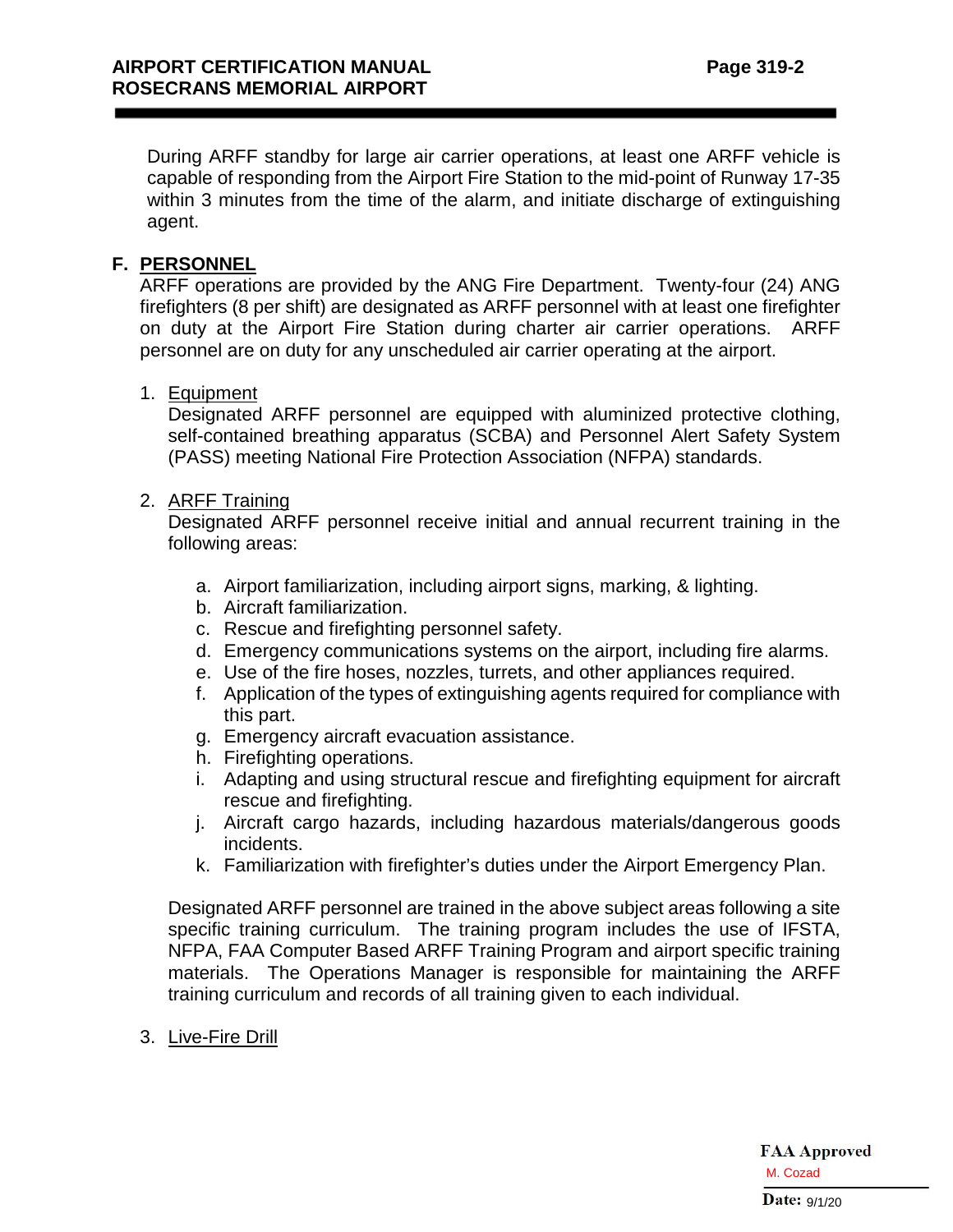During ARFF standby for large air carrier operations, at least one ARFF vehicle is capable of responding from the Airport Fire Station to the mid-point of Runway 17-35 within 3 minutes from the time of the alarm, and initiate discharge of extinguishing agent.

### **F. PERSONNEL**

ARFF operations are provided by the ANG Fire Department. Twenty-four (24) ANG firefighters (8 per shift) are designated as ARFF personnel with at least one firefighter on duty at the Airport Fire Station during charter air carrier operations. ARFF personnel are on duty for any unscheduled air carrier operating at the airport.

#### 1. Equipment

Designated ARFF personnel are equipped with aluminized protective clothing, self-contained breathing apparatus (SCBA) and Personnel Alert Safety System (PASS) meeting National Fire Protection Association (NFPA) standards.

## 2. ARFF Training

Designated ARFF personnel receive initial and annual recurrent training in the following areas:

- a. Airport familiarization, including airport signs, marking, & lighting.
- b. Aircraft familiarization.
- c. Rescue and firefighting personnel safety.
- d. Emergency communications systems on the airport, including fire alarms.
- e. Use of the fire hoses, nozzles, turrets, and other appliances required.
- f. Application of the types of extinguishing agents required for compliance with this part.
- g. Emergency aircraft evacuation assistance.
- h. Firefighting operations.
- i. Adapting and using structural rescue and firefighting equipment for aircraft rescue and firefighting.
- j. Aircraft cargo hazards, including hazardous materials/dangerous goods incidents.
- k. Familiarization with firefighter's duties under the Airport Emergency Plan.

Designated ARFF personnel are trained in the above subject areas following a site specific training curriculum. The training program includes the use of IFSTA, NFPA, FAA Computer Based ARFF Training Program and airport specific training materials. The Operations Manager is responsible for maintaining the ARFF training curriculum and records of all training given to each individual.

3. Live-Fire Drill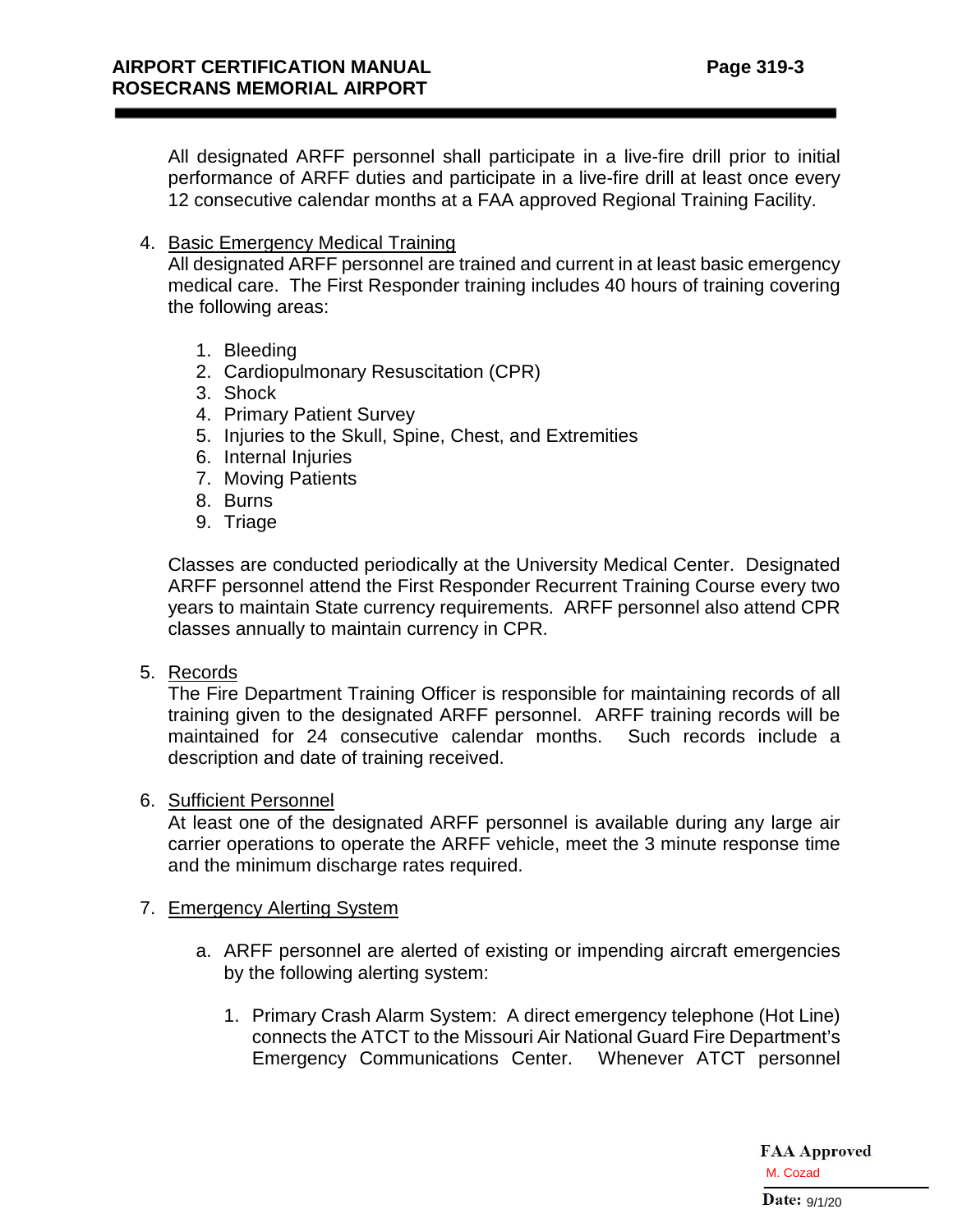All designated ARFF personnel shall participate in a live-fire drill prior to initial performance of ARFF duties and participate in a live-fire drill at least once every 12 consecutive calendar months at a FAA approved Regional Training Facility.

4. Basic Emergency Medical Training

All designated ARFF personnel are trained and current in at least basic emergency medical care. The First Responder training includes 40 hours of training covering the following areas:

- 1. Bleeding
- 2. Cardiopulmonary Resuscitation (CPR)
- 3. Shock
- 4. Primary Patient Survey
- 5. Injuries to the Skull, Spine, Chest, and Extremities
- 6. Internal Injuries
- 7. Moving Patients
- 8. Burns
- 9. Triage

Classes are conducted periodically at the University Medical Center. Designated ARFF personnel attend the First Responder Recurrent Training Course every two years to maintain State currency requirements. ARFF personnel also attend CPR classes annually to maintain currency in CPR.

5. Records

The Fire Department Training Officer is responsible for maintaining records of all training given to the designated ARFF personnel. ARFF training records will be maintained for 24 consecutive calendar months. Such records include a description and date of training received.

#### 6. Sufficient Personnel

At least one of the designated ARFF personnel is available during any large air carrier operations to operate the ARFF vehicle, meet the 3 minute response time and the minimum discharge rates required.

#### 7. Emergency Alerting System

- a. ARFF personnel are alerted of existing or impending aircraft emergencies by the following alerting system:
	- 1. Primary Crash Alarm System: A direct emergency telephone (Hot Line) connects the ATCT to the Missouri Air National Guard Fire Department's Emergency Communications Center. Whenever ATCT personnel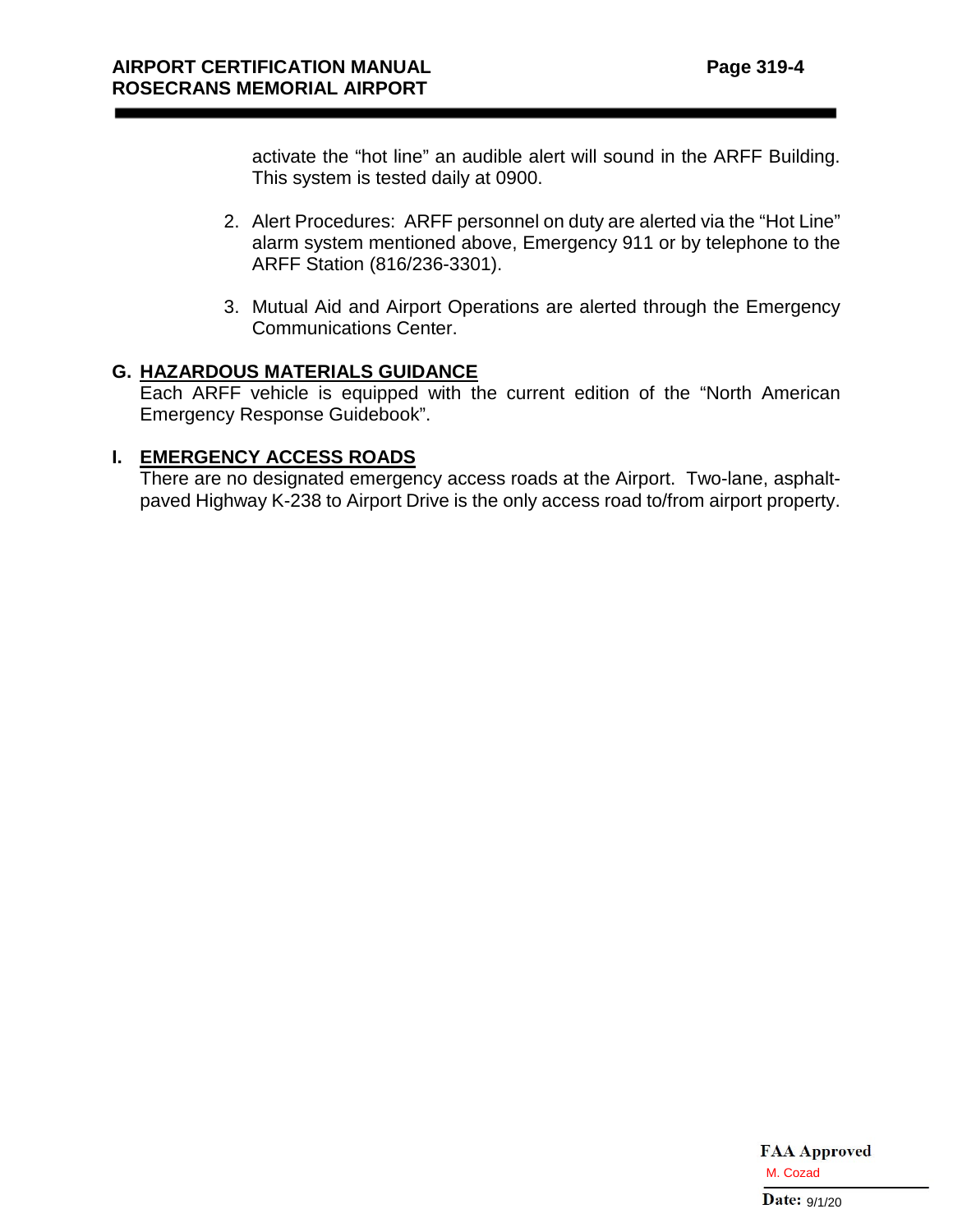activate the "hot line" an audible alert will sound in the ARFF Building. This system is tested daily at 0900.

- 2. Alert Procedures: ARFF personnel on duty are alerted via the "Hot Line" alarm system mentioned above, Emergency 911 or by telephone to the ARFF Station (816/236-3301).
- 3. Mutual Aid and Airport Operations are alerted through the Emergency Communications Center.

## **G. HAZARDOUS MATERIALS GUIDANCE**

Each ARFF vehicle is equipped with the current edition of the "North American Emergency Response Guidebook".

#### **I. EMERGENCY ACCESS ROADS**

There are no designated emergency access roads at the Airport. Two-lane, asphaltpaved Highway K-238 to Airport Drive is the only access road to/from airport property.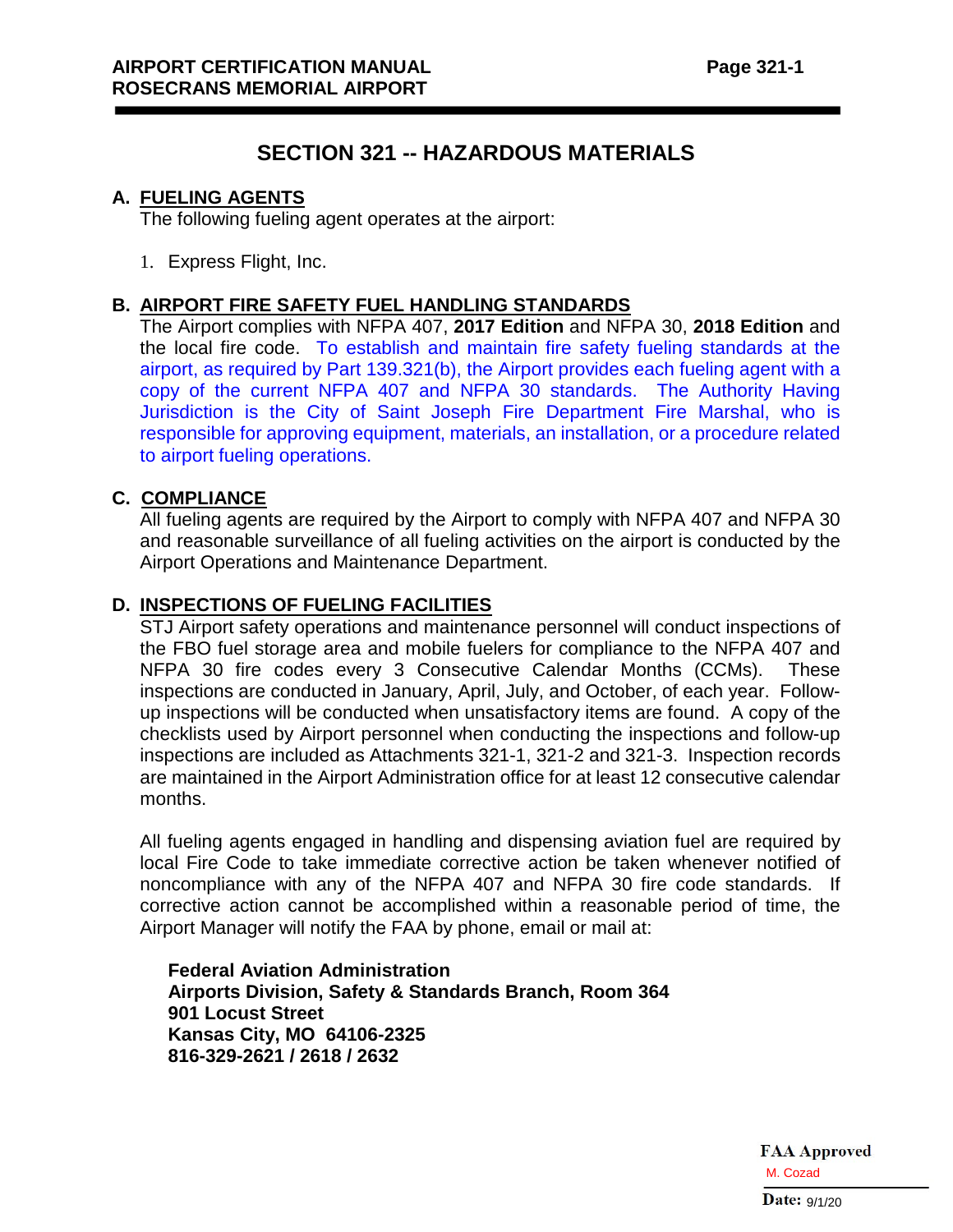# **SECTION 321 -- HAZARDOUS MATERIALS**

#### **A. FUELING AGENTS**

The following fueling agent operates at the airport:

1. Express Flight, Inc.

#### **B. AIRPORT FIRE SAFETY FUEL HANDLING STANDARDS**

The Airport complies with NFPA 407, **2017 Edition** and NFPA 30, **2018 Edition** and the local fire code. To establish and maintain fire safety fueling standards at the airport, as required by Part 139.321(b), the Airport provides each fueling agent with a copy of the current NFPA 407 and NFPA 30 standards. The Authority Having Jurisdiction is the City of Saint Joseph Fire Department Fire Marshal, who is responsible for approving equipment, materials, an installation, or a procedure related to airport fueling operations.

#### **C. COMPLIANCE**

All fueling agents are required by the Airport to comply with NFPA 407 and NFPA 30 and reasonable surveillance of all fueling activities on the airport is conducted by the Airport Operations and Maintenance Department.

#### **D. INSPECTIONS OF FUELING FACILITIES**

STJ Airport safety operations and maintenance personnel will conduct inspections of the FBO fuel storage area and mobile fuelers for compliance to the NFPA 407 and NFPA 30 fire codes every 3 Consecutive Calendar Months (CCMs). These inspections are conducted in January, April, July, and October, of each year. Followup inspections will be conducted when unsatisfactory items are found. A copy of the checklists used by Airport personnel when conducting the inspections and follow-up inspections are included as Attachments 321-1, 321-2 and 321-3. Inspection records are maintained in the Airport Administration office for at least 12 consecutive calendar months.

All fueling agents engaged in handling and dispensing aviation fuel are required by local Fire Code to take immediate corrective action be taken whenever notified of noncompliance with any of the NFPA 407 and NFPA 30 fire code standards. If corrective action cannot be accomplished within a reasonable period of time, the Airport Manager will notify the FAA by phone, email or mail at:

**Federal Aviation Administration Airports Division, Safety & Standards Branch, Room 364 901 Locust Street Kansas City, MO 64106-2325 816-329-2621 / 2618 / 2632**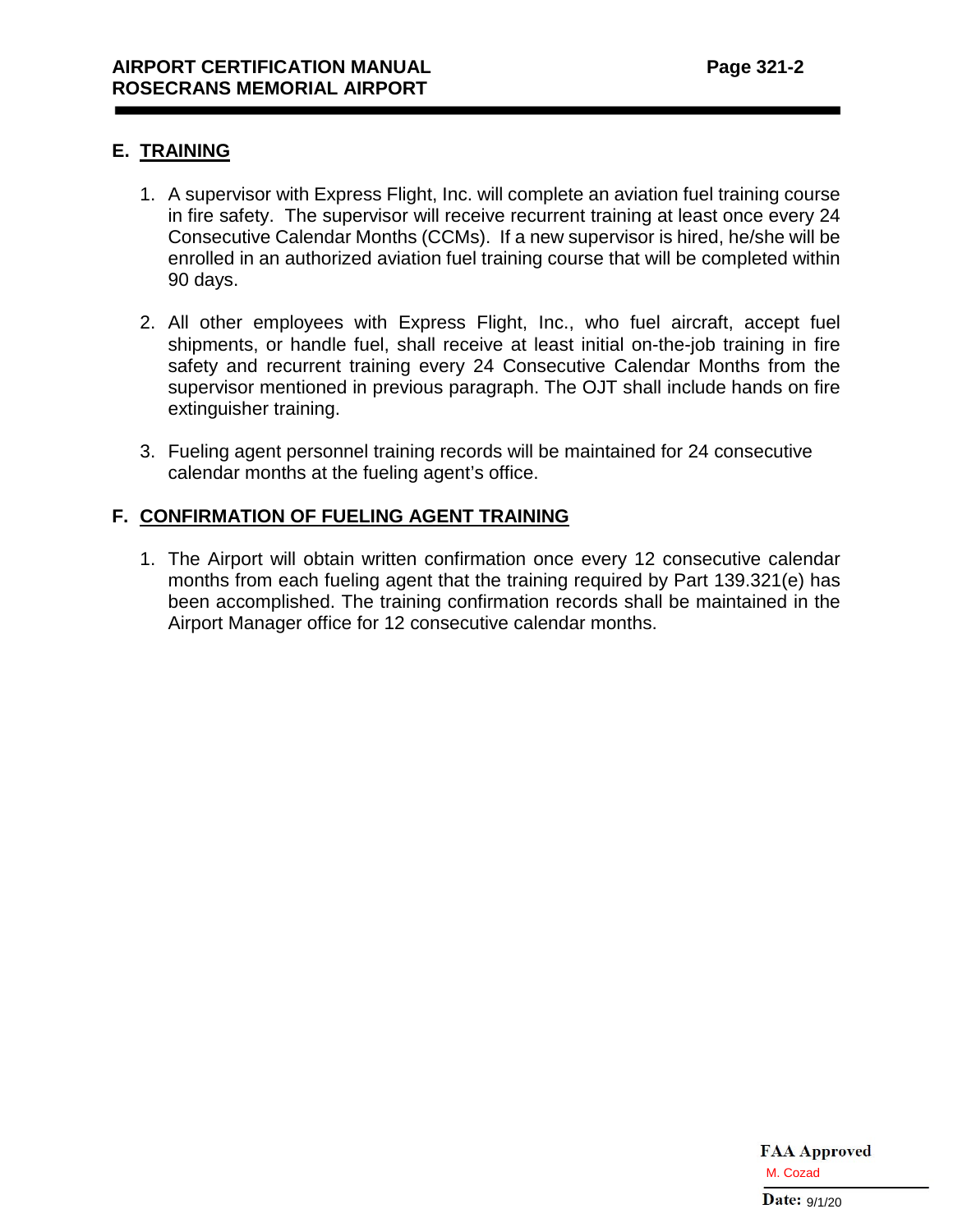## **E. TRAINING**

- 1. A supervisor with Express Flight, Inc. will complete an aviation fuel training course in fire safety. The supervisor will receive recurrent training at least once every 24 Consecutive Calendar Months (CCMs). If a new supervisor is hired, he/she will be enrolled in an authorized aviation fuel training course that will be completed within 90 days.
- 2. All other employees with Express Flight, Inc., who fuel aircraft, accept fuel shipments, or handle fuel, shall receive at least initial on-the-job training in fire safety and recurrent training every 24 Consecutive Calendar Months from the supervisor mentioned in previous paragraph. The OJT shall include hands on fire extinguisher training.
- 3. Fueling agent personnel training records will be maintained for 24 consecutive calendar months at the fueling agent's office.

## **F. CONFIRMATION OF FUELING AGENT TRAINING**

1. The Airport will obtain written confirmation once every 12 consecutive calendar months from each fueling agent that the training required by Part 139.321(e) has been accomplished. The training confirmation records shall be maintained in the Airport Manager office for 12 consecutive calendar months.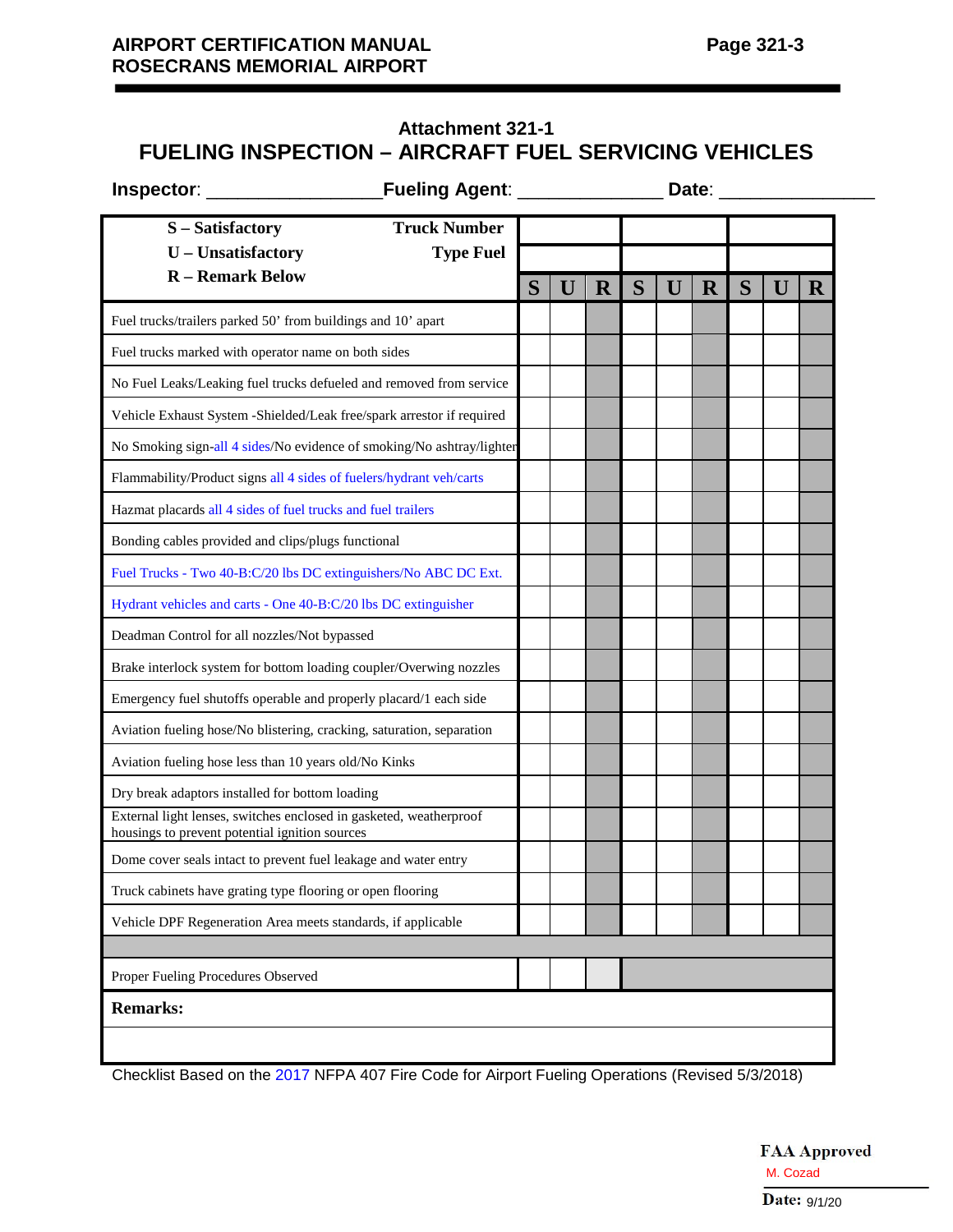# **Attachment 321-1 FUELING INSPECTION – AIRCRAFT FUEL SERVICING VEHICLES**

| Inspector: |  |
|------------|--|

**Inspector**: \_\_\_\_\_\_\_\_\_\_\_\_\_\_\_\_\_**Fueling Agent**: \_\_\_\_\_\_\_\_\_\_\_\_\_\_ **Date**: \_\_\_\_\_\_\_\_\_\_\_\_\_\_\_

| <b>Truck Number</b><br>S - Satisfactory                                                                              |   |   |             |   |   |             |   |   |   |
|----------------------------------------------------------------------------------------------------------------------|---|---|-------------|---|---|-------------|---|---|---|
| U - Unsatisfactory<br><b>Type Fuel</b>                                                                               |   |   |             |   |   |             |   |   |   |
| <b>R</b> – Remark Below                                                                                              | S | U | $\mathbf R$ | S | U | $\mathbf R$ | S | U | R |
| Fuel trucks/trailers parked 50' from buildings and 10' apart                                                         |   |   |             |   |   |             |   |   |   |
| Fuel trucks marked with operator name on both sides                                                                  |   |   |             |   |   |             |   |   |   |
| No Fuel Leaks/Leaking fuel trucks defueled and removed from service                                                  |   |   |             |   |   |             |   |   |   |
| Vehicle Exhaust System - Shielded/Leak free/spark arrestor if required                                               |   |   |             |   |   |             |   |   |   |
| No Smoking sign-all 4 sides/No evidence of smoking/No ashtray/lighter                                                |   |   |             |   |   |             |   |   |   |
| Flammability/Product signs all 4 sides of fuelers/hydrant veh/carts                                                  |   |   |             |   |   |             |   |   |   |
| Hazmat placards all 4 sides of fuel trucks and fuel trailers                                                         |   |   |             |   |   |             |   |   |   |
| Bonding cables provided and clips/plugs functional                                                                   |   |   |             |   |   |             |   |   |   |
| Fuel Trucks - Two 40-B:C/20 lbs DC extinguishers/No ABC DC Ext.                                                      |   |   |             |   |   |             |   |   |   |
| Hydrant vehicles and carts - One 40-B:C/20 lbs DC extinguisher                                                       |   |   |             |   |   |             |   |   |   |
| Deadman Control for all nozzles/Not bypassed                                                                         |   |   |             |   |   |             |   |   |   |
| Brake interlock system for bottom loading coupler/Overwing nozzles                                                   |   |   |             |   |   |             |   |   |   |
| Emergency fuel shutoffs operable and properly placard/1 each side                                                    |   |   |             |   |   |             |   |   |   |
| Aviation fueling hose/No blistering, cracking, saturation, separation                                                |   |   |             |   |   |             |   |   |   |
| Aviation fueling hose less than 10 years old/No Kinks                                                                |   |   |             |   |   |             |   |   |   |
| Dry break adaptors installed for bottom loading                                                                      |   |   |             |   |   |             |   |   |   |
| External light lenses, switches enclosed in gasketed, weatherproof<br>housings to prevent potential ignition sources |   |   |             |   |   |             |   |   |   |
| Dome cover seals intact to prevent fuel leakage and water entry                                                      |   |   |             |   |   |             |   |   |   |
| Truck cabinets have grating type flooring or open flooring                                                           |   |   |             |   |   |             |   |   |   |
| Vehicle DPF Regeneration Area meets standards, if applicable                                                         |   |   |             |   |   |             |   |   |   |
| Proper Fueling Procedures Observed                                                                                   |   |   |             |   |   |             |   |   |   |
| <b>Remarks:</b>                                                                                                      |   |   |             |   |   |             |   |   |   |
|                                                                                                                      |   |   |             |   |   |             |   |   |   |

Checklist Based on the 2017 NFPA 407 Fire Code for Airport Fueling Operations (Revised 5/3/2018)

┛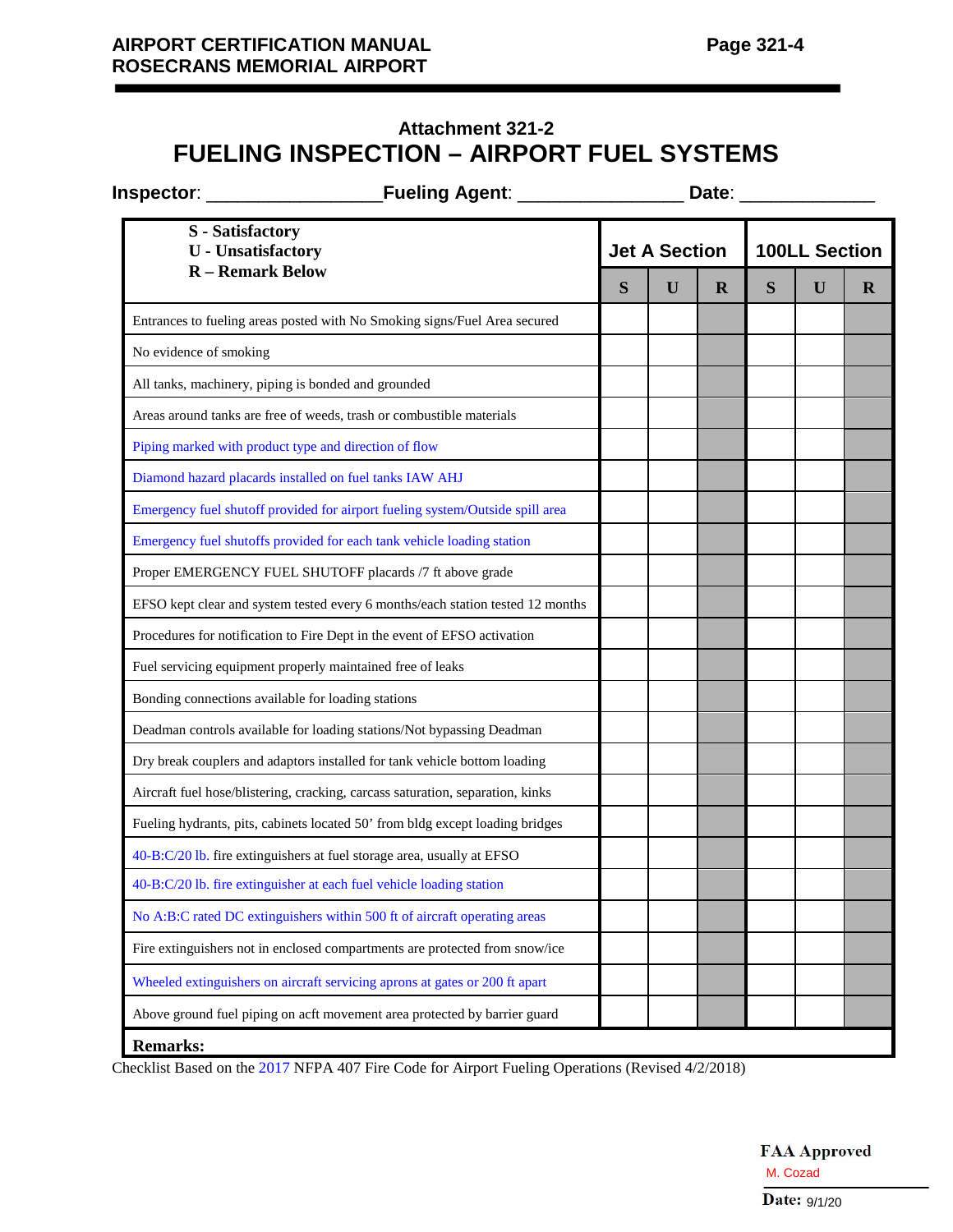# **Attachment 321-2 FUELING INSPECTION – AIRPORT FUEL SYSTEMS**

| <b>Fueling Agent:</b><br><b>Inspector:</b>                                     | Date: |                      |             |   |                      |         |  |
|--------------------------------------------------------------------------------|-------|----------------------|-------------|---|----------------------|---------|--|
| <b>S</b> - Satisfactory<br><b>U</b> - Unsatisfactory                           |       | <b>Jet A Section</b> |             |   | <b>100LL Section</b> |         |  |
| <b>R</b> – Remark Below                                                        | S     | U                    | $\mathbf R$ | S | U                    | $\bf R$ |  |
| Entrances to fueling areas posted with No Smoking signs/Fuel Area secured      |       |                      |             |   |                      |         |  |
| No evidence of smoking                                                         |       |                      |             |   |                      |         |  |
| All tanks, machinery, piping is bonded and grounded                            |       |                      |             |   |                      |         |  |
| Areas around tanks are free of weeds, trash or combustible materials           |       |                      |             |   |                      |         |  |
| Piping marked with product type and direction of flow                          |       |                      |             |   |                      |         |  |
| Diamond hazard placards installed on fuel tanks IAW AHJ                        |       |                      |             |   |                      |         |  |
| Emergency fuel shutoff provided for airport fueling system/Outside spill area  |       |                      |             |   |                      |         |  |
| Emergency fuel shutoffs provided for each tank vehicle loading station         |       |                      |             |   |                      |         |  |
| Proper EMERGENCY FUEL SHUTOFF placards /7 ft above grade                       |       |                      |             |   |                      |         |  |
| EFSO kept clear and system tested every 6 months/each station tested 12 months |       |                      |             |   |                      |         |  |
| Procedures for notification to Fire Dept in the event of EFSO activation       |       |                      |             |   |                      |         |  |
| Fuel servicing equipment properly maintained free of leaks                     |       |                      |             |   |                      |         |  |
| Bonding connections available for loading stations                             |       |                      |             |   |                      |         |  |
| Deadman controls available for loading stations/Not bypassing Deadman          |       |                      |             |   |                      |         |  |
| Dry break couplers and adaptors installed for tank vehicle bottom loading      |       |                      |             |   |                      |         |  |
| Aircraft fuel hose/blistering, cracking, carcass saturation, separation, kinks |       |                      |             |   |                      |         |  |
| Fueling hydrants, pits, cabinets located 50' from bldg except loading bridges  |       |                      |             |   |                      |         |  |
| 40-B:C/20 lb. fire extinguishers at fuel storage area, usually at EFSO         |       |                      |             |   |                      |         |  |
| 40-B:C/20 lb. fire extinguisher at each fuel vehicle loading station           |       |                      |             |   |                      |         |  |
| No A:B:C rated DC extinguishers within 500 ft of aircraft operating areas      |       |                      |             |   |                      |         |  |
| Fire extinguishers not in enclosed compartments are protected from snow/ice    |       |                      |             |   |                      |         |  |
| Wheeled extinguishers on aircraft servicing aprons at gates or 200 ft apart    |       |                      |             |   |                      |         |  |
| Above ground fuel piping on acft movement area protected by barrier guard      |       |                      |             |   |                      |         |  |
| <b>Remarks:</b>                                                                |       |                      |             |   |                      |         |  |

Checklist Based on the 2017 NFPA 407 Fire Code for Airport Fueling Operations (Revised 4/2/2018)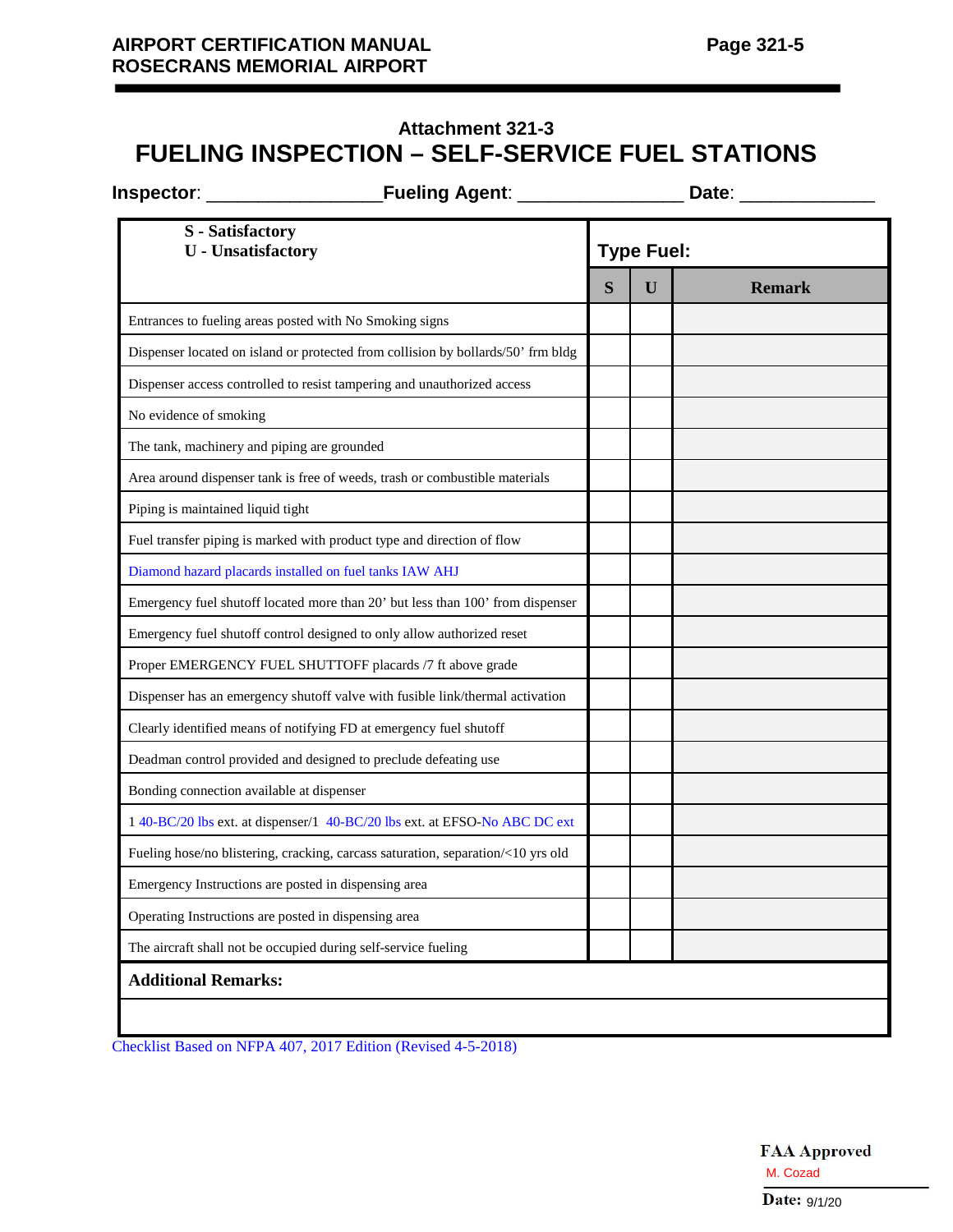# **Attachment 321-3 FUELING INSPECTION – SELF-SERVICE FUEL STATIONS**

| <b>Fueling Agent:</b><br><b>Inspector:</b>                                       |   | Date:             |               |  |  |  |
|----------------------------------------------------------------------------------|---|-------------------|---------------|--|--|--|
| <b>S</b> - Satisfactory<br><b>U</b> - Unsatisfactory                             |   | <b>Type Fuel:</b> |               |  |  |  |
|                                                                                  | S | U                 | <b>Remark</b> |  |  |  |
| Entrances to fueling areas posted with No Smoking signs                          |   |                   |               |  |  |  |
| Dispenser located on island or protected from collision by bollards/50' frm bldg |   |                   |               |  |  |  |
| Dispenser access controlled to resist tampering and unauthorized access          |   |                   |               |  |  |  |
| No evidence of smoking                                                           |   |                   |               |  |  |  |
| The tank, machinery and piping are grounded                                      |   |                   |               |  |  |  |
| Area around dispenser tank is free of weeds, trash or combustible materials      |   |                   |               |  |  |  |
| Piping is maintained liquid tight                                                |   |                   |               |  |  |  |
| Fuel transfer piping is marked with product type and direction of flow           |   |                   |               |  |  |  |
| Diamond hazard placards installed on fuel tanks IAW AHJ                          |   |                   |               |  |  |  |
| Emergency fuel shutoff located more than 20' but less than 100' from dispenser   |   |                   |               |  |  |  |
| Emergency fuel shutoff control designed to only allow authorized reset           |   |                   |               |  |  |  |
| Proper EMERGENCY FUEL SHUTTOFF placards /7 ft above grade                        |   |                   |               |  |  |  |
| Dispenser has an emergency shutoff valve with fusible link/thermal activation    |   |                   |               |  |  |  |
| Clearly identified means of notifying FD at emergency fuel shutoff               |   |                   |               |  |  |  |
| Deadman control provided and designed to preclude defeating use                  |   |                   |               |  |  |  |
| Bonding connection available at dispenser                                        |   |                   |               |  |  |  |
| 1 40-BC/20 lbs ext. at dispenser/1 40-BC/20 lbs ext. at EFSO-No ABC DC ext       |   |                   |               |  |  |  |
| Fueling hose/no blistering, cracking, carcass saturation, separation/<10 yrs old |   |                   |               |  |  |  |
| Emergency Instructions are posted in dispensing area                             |   |                   |               |  |  |  |
| Operating Instructions are posted in dispensing area                             |   |                   |               |  |  |  |
| The aircraft shall not be occupied during self-service fueling                   |   |                   |               |  |  |  |

Checklist Based on NFPA 407, 2017 Edition (Revised 4-5-2018)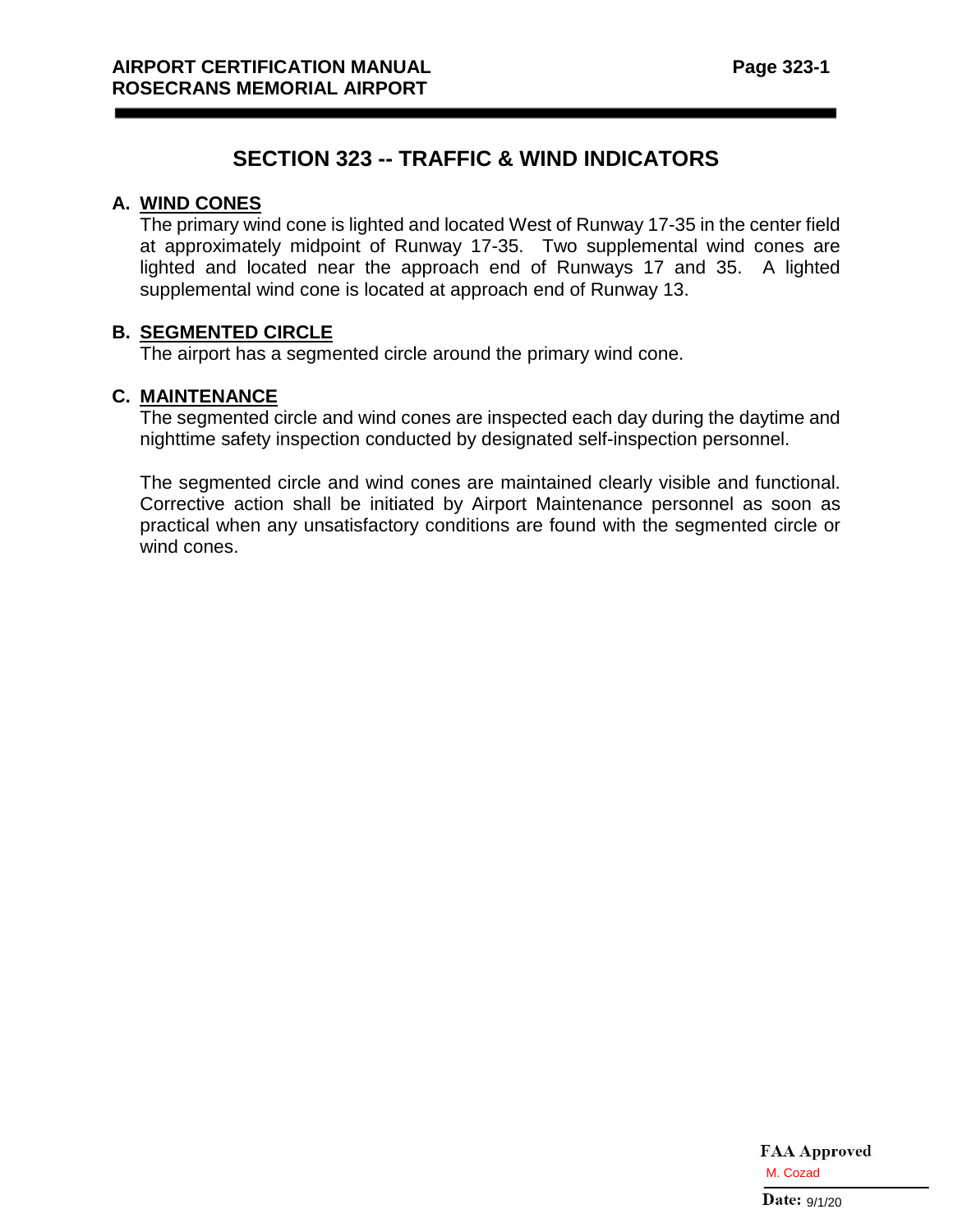# **SECTION 323 -- TRAFFIC & WIND INDICATORS**

#### **A. WIND CONES**

The primary wind cone is lighted and located West of Runway 17-35 in the center field at approximately midpoint of Runway 17-35. Two supplemental wind cones are lighted and located near the approach end of Runways 17 and 35. A lighted supplemental wind cone is located at approach end of Runway 13.

## **B. SEGMENTED CIRCLE**

The airport has a segmented circle around the primary wind cone.

#### **C. MAINTENANCE**

The segmented circle and wind cones are inspected each day during the daytime and nighttime safety inspection conducted by designated self-inspection personnel.

The segmented circle and wind cones are maintained clearly visible and functional. Corrective action shall be initiated by Airport Maintenance personnel as soon as practical when any unsatisfactory conditions are found with the segmented circle or wind cones.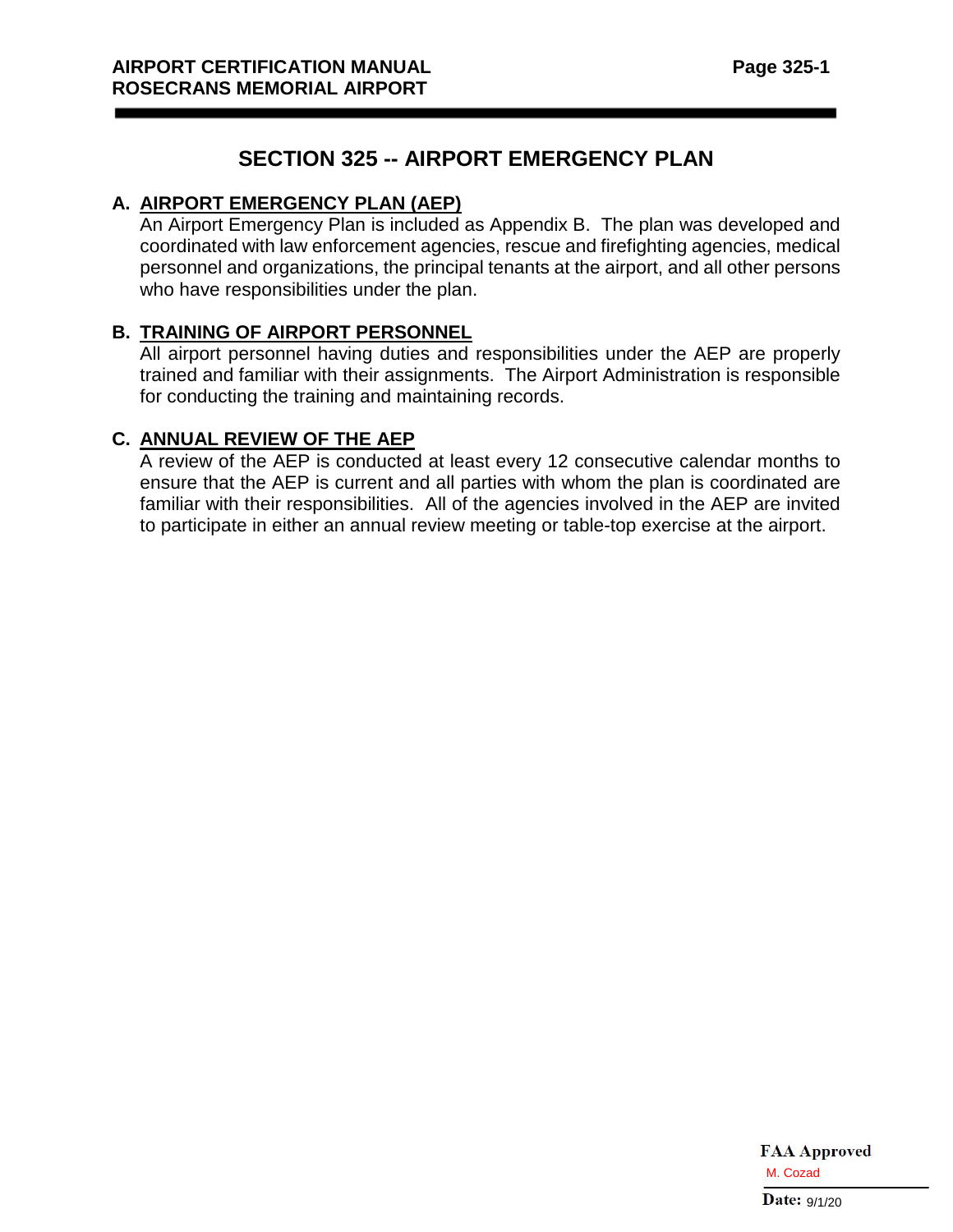## **SECTION 325 -- AIRPORT EMERGENCY PLAN**

## **A. AIRPORT EMERGENCY PLAN (AEP)**

An Airport Emergency Plan is included as Appendix B. The plan was developed and coordinated with law enforcement agencies, rescue and firefighting agencies, medical personnel and organizations, the principal tenants at the airport, and all other persons who have responsibilities under the plan.

## **B. TRAINING OF AIRPORT PERSONNEL**

All airport personnel having duties and responsibilities under the AEP are properly trained and familiar with their assignments. The Airport Administration is responsible for conducting the training and maintaining records.

## **C. ANNUAL REVIEW OF THE AEP**

A review of the AEP is conducted at least every 12 consecutive calendar months to ensure that the AEP is current and all parties with whom the plan is coordinated are familiar with their responsibilities. All of the agencies involved in the AEP are invited to participate in either an annual review meeting or table-top exercise at the airport.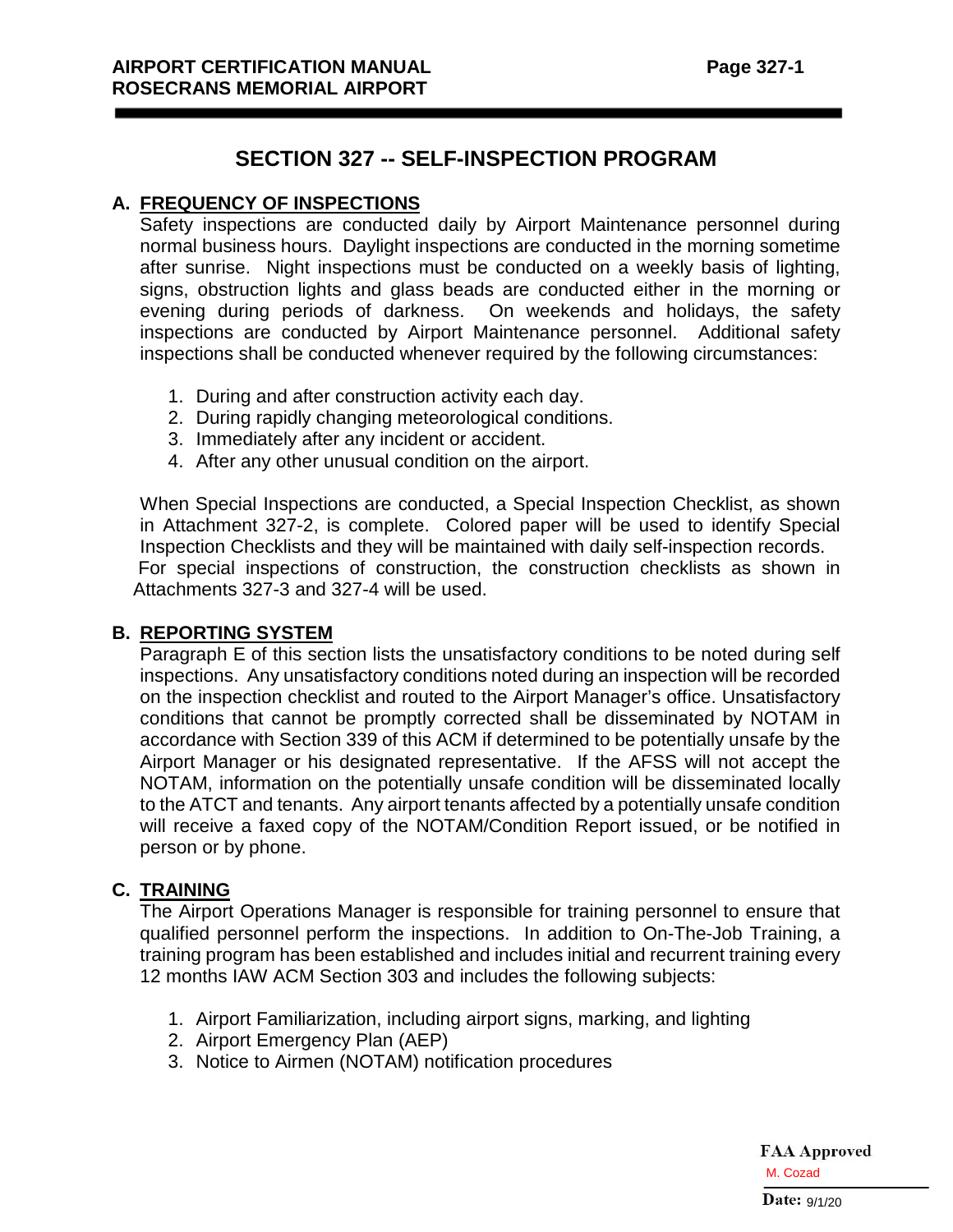## **SECTION 327 -- SELF-INSPECTION PROGRAM**

## **A. FREQUENCY OF INSPECTIONS**

Safety inspections are conducted daily by Airport Maintenance personnel during normal business hours. Daylight inspections are conducted in the morning sometime after sunrise. Night inspections must be conducted on a weekly basis of lighting, signs, obstruction lights and glass beads are conducted either in the morning or evening during periods of darkness. On weekends and holidays, the safety inspections are conducted by Airport Maintenance personnel. Additional safety inspections shall be conducted whenever required by the following circumstances:

- 1. During and after construction activity each day.
- 2. During rapidly changing meteorological conditions.
- 3. Immediately after any incident or accident.
- 4. After any other unusual condition on the airport.

When Special Inspections are conducted, a Special Inspection Checklist, as shown in Attachment 327-2, is complete. Colored paper will be used to identify Special Inspection Checklists and they will be maintained with daily self-inspection records. For special inspections of construction, the construction checklists as shown in Attachments 327-3 and 327-4 will be used.

## **B. REPORTING SYSTEM**

Paragraph E of this section lists the unsatisfactory conditions to be noted during self inspections. Any unsatisfactory conditions noted during an inspection will be recorded on the inspection checklist and routed to the Airport Manager's office. Unsatisfactory conditions that cannot be promptly corrected shall be disseminated by NOTAM in accordance with Section 339 of this ACM if determined to be potentially unsafe by the Airport Manager or his designated representative. If the AFSS will not accept the NOTAM, information on the potentially unsafe condition will be disseminated locally to the ATCT and tenants. Any airport tenants affected by a potentially unsafe condition will receive a faxed copy of the NOTAM/Condition Report issued, or be notified in person or by phone.

## **C. TRAINING**

The Airport Operations Manager is responsible for training personnel to ensure that qualified personnel perform the inspections. In addition to On-The-Job Training, a training program has been established and includes initial and recurrent training every 12 months IAW ACM Section 303 and includes the following subjects:

- 1. Airport Familiarization, including airport signs, marking, and lighting
- 2. Airport Emergency Plan (AEP)
- 3. Notice to Airmen (NOTAM) notification procedures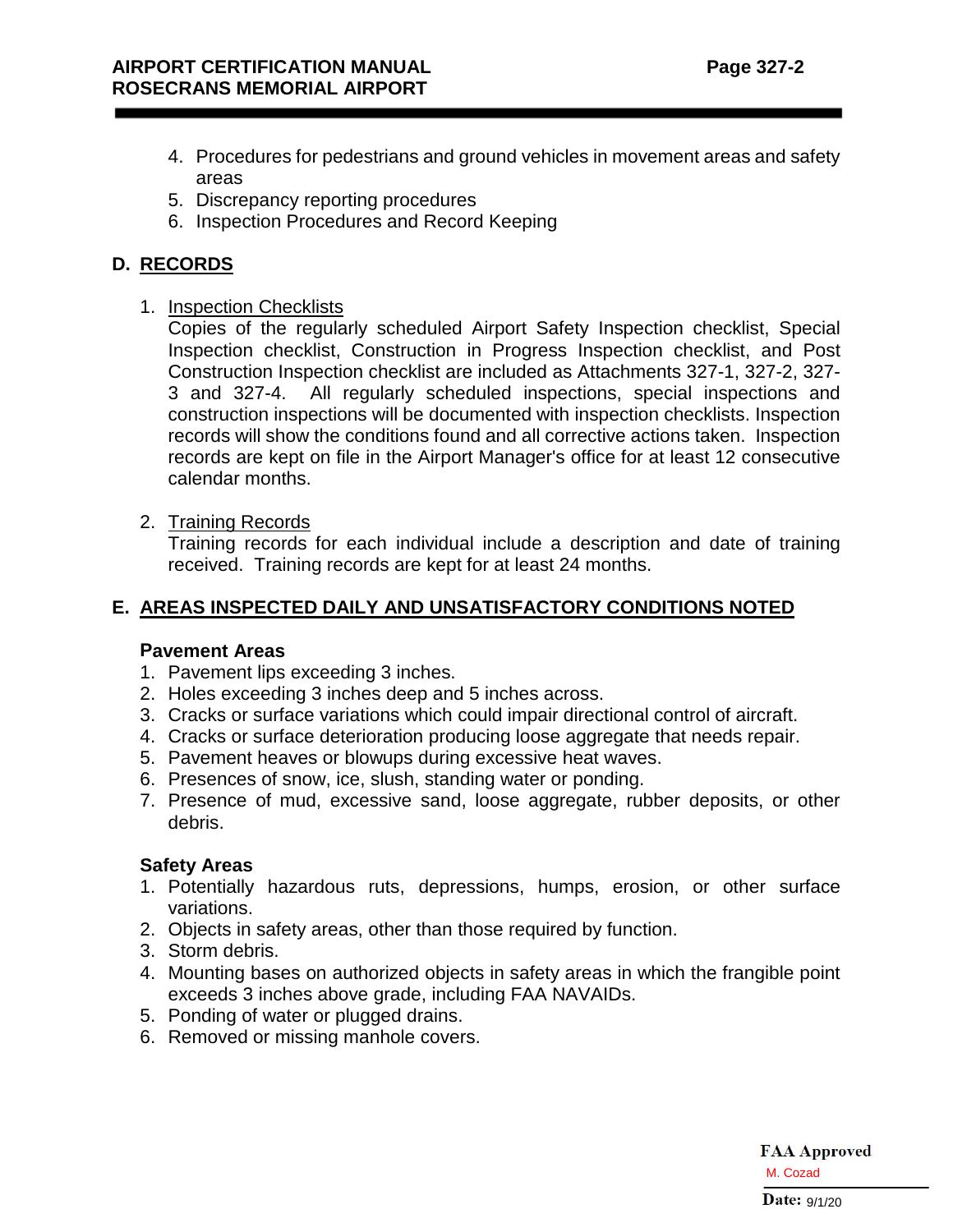- 4. Procedures for pedestrians and ground vehicles in movement areas and safety areas
- 5. Discrepancy reporting procedures
- 6. Inspection Procedures and Record Keeping

## **D. RECORDS**

1. Inspection Checklists

Copies of the regularly scheduled Airport Safety Inspection checklist, Special Inspection checklist, Construction in Progress Inspection checklist, and Post Construction Inspection checklist are included as Attachments 327-1, 327-2, 327- 3 and 327-4. All regularly scheduled inspections, special inspections and construction inspections will be documented with inspection checklists. Inspection records will show the conditions found and all corrective actions taken. Inspection records are kept on file in the Airport Manager's office for at least 12 consecutive calendar months.

2. Training Records

Training records for each individual include a description and date of training received. Training records are kept for at least 24 months.

## **E. AREAS INSPECTED DAILY AND UNSATISFACTORY CONDITIONS NOTED**

## **Pavement Areas**

- 1. Pavement lips exceeding 3 inches.
- 2. Holes exceeding 3 inches deep and 5 inches across.
- 3. Cracks or surface variations which could impair directional control of aircraft.
- 4. Cracks or surface deterioration producing loose aggregate that needs repair.
- 5. Pavement heaves or blowups during excessive heat waves.
- 6. Presences of snow, ice, slush, standing water or ponding.
- 7. Presence of mud, excessive sand, loose aggregate, rubber deposits, or other debris.

## **Safety Areas**

- 1. Potentially hazardous ruts, depressions, humps, erosion, or other surface variations.
- 2. Objects in safety areas, other than those required by function.
- 3. Storm debris.
- 4. Mounting bases on authorized objects in safety areas in which the frangible point exceeds 3 inches above grade, including FAA NAVAIDs.
- 5. Ponding of water or plugged drains.
- 6. Removed or missing manhole covers.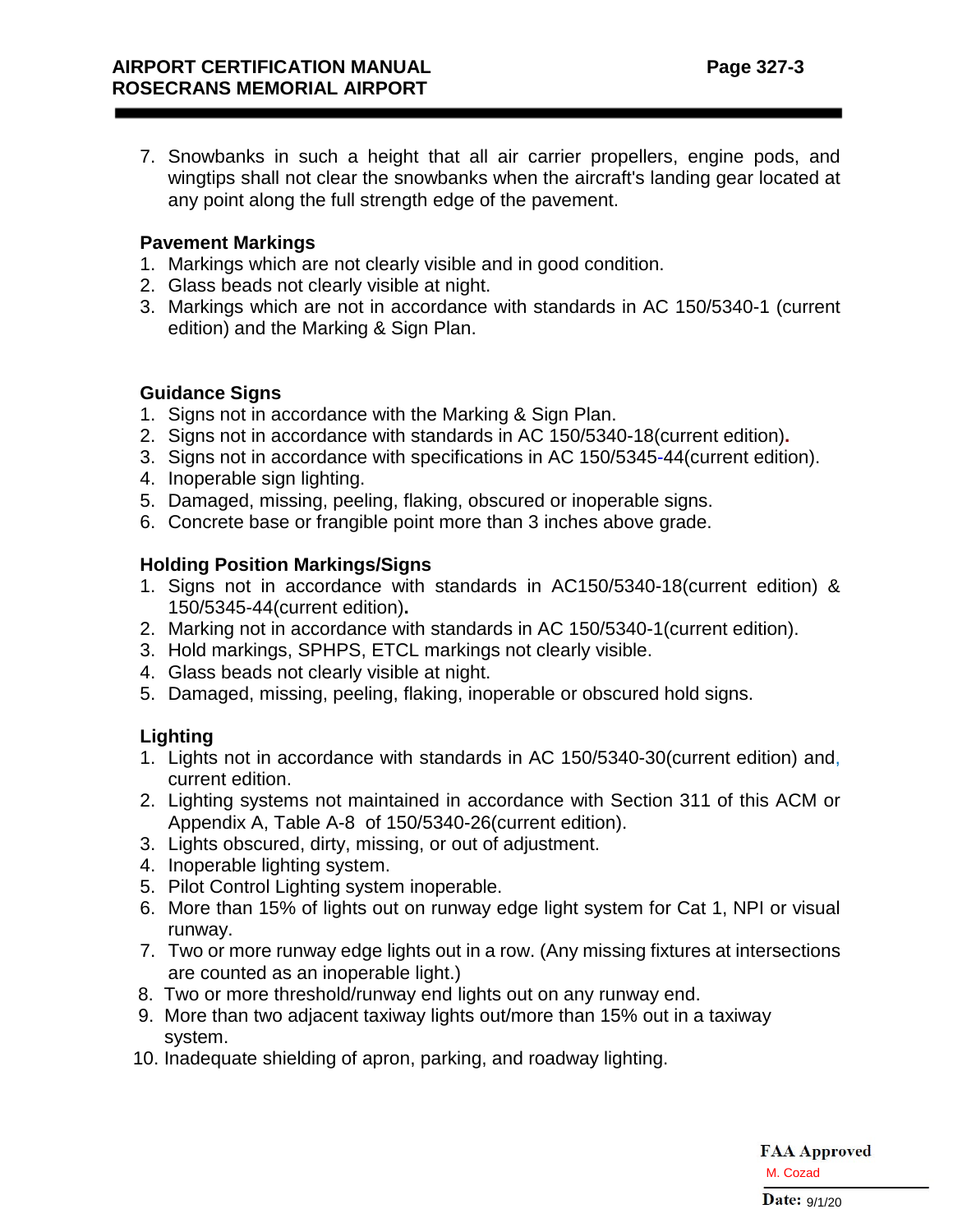7. Snowbanks in such a height that all air carrier propellers, engine pods, and wingtips shall not clear the snowbanks when the aircraft's landing gear located at any point along the full strength edge of the pavement.

## **Pavement Markings**

- 1. Markings which are not clearly visible and in good condition.
- 2. Glass beads not clearly visible at night.
- 3. Markings which are not in accordance with standards in AC 150/5340-1 (current edition) and the Marking & Sign Plan.

## **Guidance Signs**

- 1. Signs not in accordance with the Marking & Sign Plan.
- 2. Signs not in accordance with standards in AC 150/5340-18(current edition)**.**
- 3. Signs not in accordance with specifications in AC 150/5345-44(current edition).
- 4. Inoperable sign lighting.
- 5. Damaged, missing, peeling, flaking, obscured or inoperable signs.
- 6. Concrete base or frangible point more than 3 inches above grade.

## **Holding Position Markings/Signs**

- 1. Signs not in accordance with standards in AC150/5340-18(current edition) & 150/5345-44(current edition)**.**
- 2. Marking not in accordance with standards in AC 150/5340-1(current edition).
- 3. Hold markings, SPHPS, ETCL markings not clearly visible.
- 4. Glass beads not clearly visible at night.
- 5. Damaged, missing, peeling, flaking, inoperable or obscured hold signs.

## **Lighting**

- 1. Lights not in accordance with standards in AC 150/5340-30(current edition) and, current edition.
- 2. Lighting systems not maintained in accordance with Section 311 of this ACM or Appendix A, Table A-8 of 150/5340-26(current edition).
- 3. Lights obscured, dirty, missing, or out of adjustment.
- 4. Inoperable lighting system.
- 5. Pilot Control Lighting system inoperable.
- 6. More than 15% of lights out on runway edge light system for Cat 1, NPI or visual runway.
- 7. Two or more runway edge lights out in a row. (Any missing fixtures at intersections are counted as an inoperable light.)
- 8. Two or more threshold/runway end lights out on any runway end.
- 9. More than two adjacent taxiway lights out/more than 15% out in a taxiway system.
- 10. Inadequate shielding of apron, parking, and roadway lighting.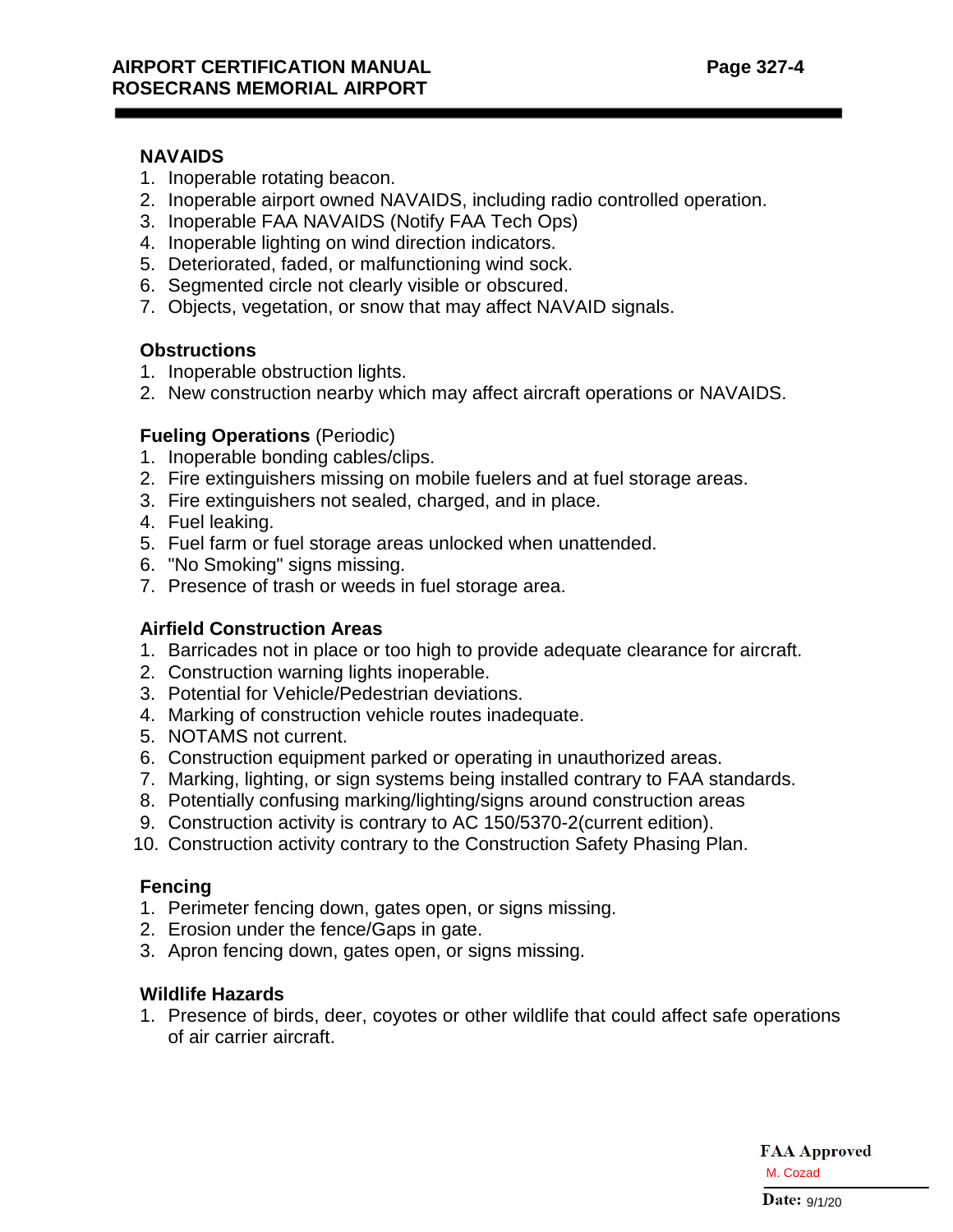### **NAVAIDS**

- 1. Inoperable rotating beacon.
- 2. Inoperable airport owned NAVAIDS, including radio controlled operation.
- 3. Inoperable FAA NAVAIDS (Notify FAA Tech Ops)
- 4. Inoperable lighting on wind direction indicators.
- 5. Deteriorated, faded, or malfunctioning wind sock.
- 6. Segmented circle not clearly visible or obscured.
- 7. Objects, vegetation, or snow that may affect NAVAID signals.

#### **Obstructions**

- 1. Inoperable obstruction lights.
- 2. New construction nearby which may affect aircraft operations or NAVAIDS.

## **Fueling Operations** (Periodic)

- 1. Inoperable bonding cables/clips.
- 2. Fire extinguishers missing on mobile fuelers and at fuel storage areas.
- 3. Fire extinguishers not sealed, charged, and in place.
- 4. Fuel leaking.
- 5. Fuel farm or fuel storage areas unlocked when unattended.
- 6. "No Smoking" signs missing.
- 7. Presence of trash or weeds in fuel storage area.

## **Airfield Construction Areas**

- 1. Barricades not in place or too high to provide adequate clearance for aircraft.
- 2. Construction warning lights inoperable.
- 3. Potential for Vehicle/Pedestrian deviations.
- 4. Marking of construction vehicle routes inadequate.
- 5. NOTAMS not current.
- 6. Construction equipment parked or operating in unauthorized areas.
- 7. Marking, lighting, or sign systems being installed contrary to FAA standards.
- 8. Potentially confusing marking/lighting/signs around construction areas
- 9. Construction activity is contrary to AC 150/5370-2(current edition).
- 10. Construction activity contrary to the Construction Safety Phasing Plan.

#### **Fencing**

- 1. Perimeter fencing down, gates open, or signs missing.
- 2. Erosion under the fence/Gaps in gate.
- 3. Apron fencing down, gates open, or signs missing.

## **Wildlife Hazards**

1. Presence of birds, deer, coyotes or other wildlife that could affect safe operations of air carrier aircraft.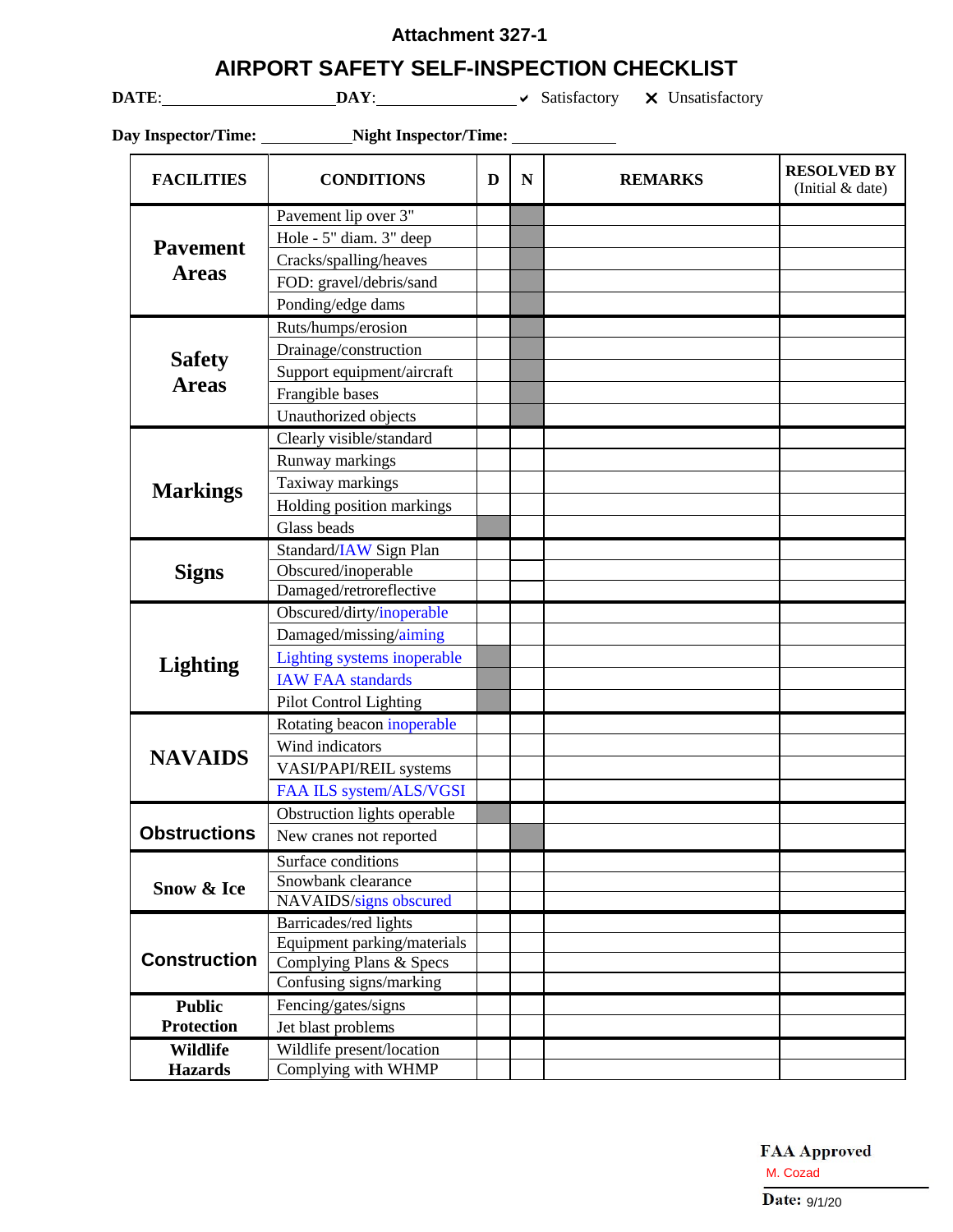## **Attachment 327-1**

## **AIRPORT SAFETY SELF-INSPECTION CHECKLIST**

**DATE**: **DAY**: **DAY**: **V** Satisfactory **X** Unsatisfactory

|                     | Day Inspector/Time: Night Inspector/Time: |   |             |                |                                        |
|---------------------|-------------------------------------------|---|-------------|----------------|----------------------------------------|
| <b>FACILITIES</b>   | <b>CONDITIONS</b>                         | D | $\mathbf N$ | <b>REMARKS</b> | <b>RESOLVED BY</b><br>(Initial & date) |
|                     | Pavement lip over 3"                      |   |             |                |                                        |
| <b>Pavement</b>     | Hole - 5" diam. 3" deep                   |   |             |                |                                        |
| <b>Areas</b>        | Cracks/spalling/heaves                    |   |             |                |                                        |
|                     | FOD: gravel/debris/sand                   |   |             |                |                                        |
|                     | Ponding/edge dams                         |   |             |                |                                        |
|                     | Ruts/humps/erosion                        |   |             |                |                                        |
| <b>Safety</b>       | Drainage/construction                     |   |             |                |                                        |
|                     | Support equipment/aircraft                |   |             |                |                                        |
| <b>Areas</b>        | Frangible bases                           |   |             |                |                                        |
|                     | Unauthorized objects                      |   |             |                |                                        |
|                     | Clearly visible/standard                  |   |             |                |                                        |
|                     | Runway markings                           |   |             |                |                                        |
| <b>Markings</b>     | Taxiway markings                          |   |             |                |                                        |
|                     | Holding position markings                 |   |             |                |                                        |
|                     | Glass beads                               |   |             |                |                                        |
|                     | Standard/IAW Sign Plan                    |   |             |                |                                        |
| <b>Signs</b>        | Obscured/inoperable                       |   |             |                |                                        |
|                     | Damaged/retroreflective                   |   |             |                |                                        |
|                     | Obscured/dirty/inoperable                 |   |             |                |                                        |
|                     | Damaged/missing/aiming                    |   |             |                |                                        |
| <b>Lighting</b>     | Lighting systems inoperable               |   |             |                |                                        |
|                     | <b>IAW FAA standards</b>                  |   |             |                |                                        |
|                     | <b>Pilot Control Lighting</b>             |   |             |                |                                        |
|                     | Rotating beacon inoperable                |   |             |                |                                        |
| <b>NAVAIDS</b>      | Wind indicators                           |   |             |                |                                        |
|                     | VASI/PAPI/REIL systems                    |   |             |                |                                        |
|                     | FAA ILS system/ALS/VGSI                   |   |             |                |                                        |
|                     | Obstruction lights operable               |   |             |                |                                        |
| <b>Obstructions</b> | New cranes not reported                   |   |             |                |                                        |
|                     | Surface conditions                        |   |             |                |                                        |
| Snow & Ice          | Snowbank clearance                        |   |             |                |                                        |
|                     | NAVAIDS/signs obscured                    |   |             |                |                                        |
|                     | Barricades/red lights                     |   |             |                |                                        |
|                     | Equipment parking/materials               |   |             |                |                                        |
| <b>Construction</b> | Complying Plans & Specs                   |   |             |                |                                        |
|                     | Confusing signs/marking                   |   |             |                |                                        |
| <b>Public</b>       | Fencing/gates/signs                       |   |             |                |                                        |
| <b>Protection</b>   | Jet blast problems                        |   |             |                |                                        |
| <b>Wildlife</b>     | Wildlife present/location                 |   |             |                |                                        |
| <b>Hazards</b>      | Complying with WHMP                       |   |             |                |                                        |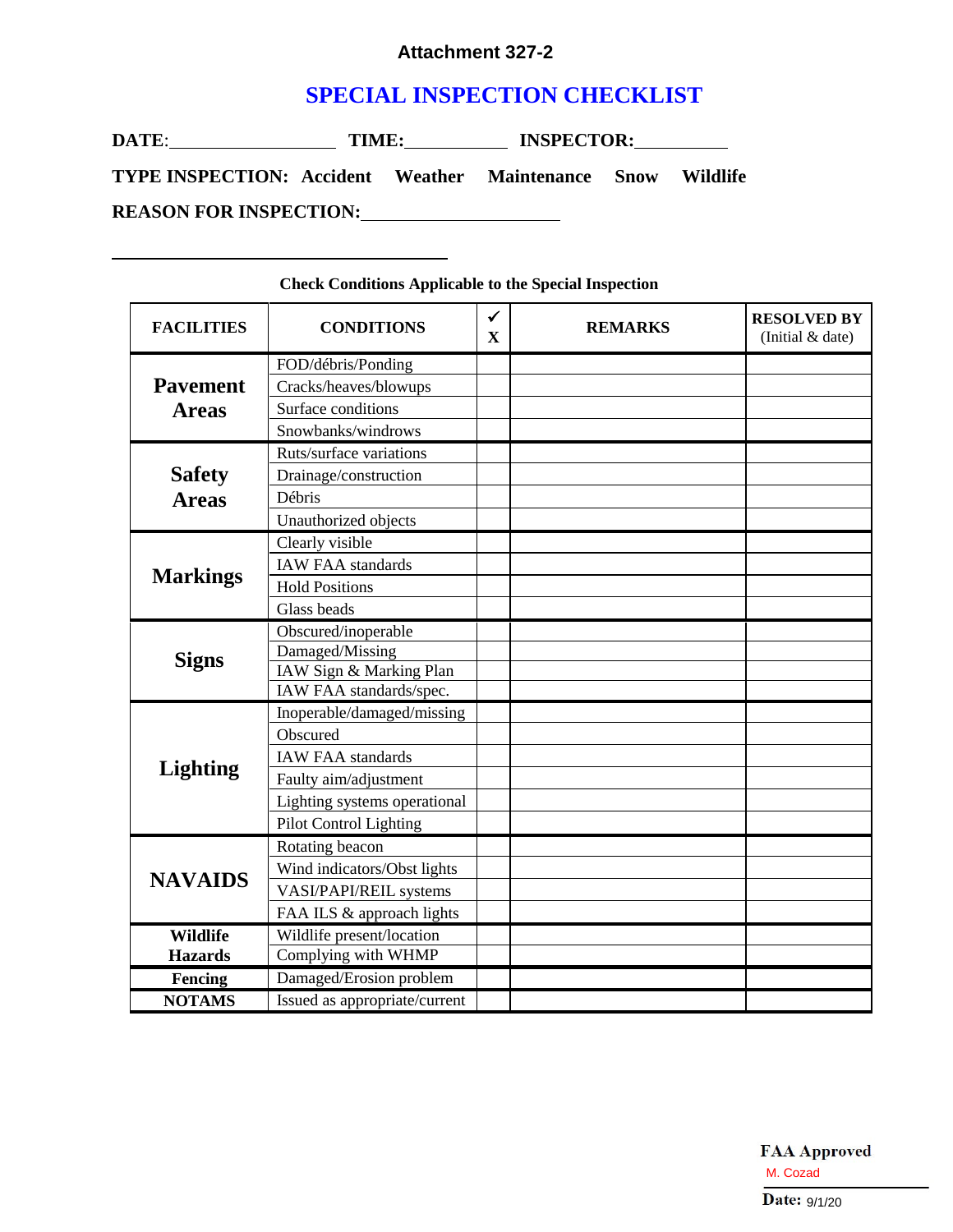#### **Attachment 327-2**

# **SPECIAL INSPECTION CHECKLIST**

| DATE:<br>TIME:                                                     |  |  | <b>INSPECTOR:</b> |  |  |
|--------------------------------------------------------------------|--|--|-------------------|--|--|
| <b>TYPE INSPECTION: Accident Weather Maintenance Snow Wildlife</b> |  |  |                   |  |  |
| <b>REASON FOR INSPECTION:</b>                                      |  |  |                   |  |  |

#### **FACILITIES CONDITIONS**  $\frac{\checkmark}{\mathrm{x}}$ **X REMARKS**(Initial & date) **Pavement Areas** FOD/débris/Ponding Cracks/heaves/blowups Surface conditions Snowbanks/windrows **Safety Areas** Ruts/surface variations Drainage/construction Débris Unauthorized objects **Markings** Clearly visible IAW FAA standards Hold Positions Glass beads **Signs** Obscured/inoperable Damaged/Missing IAW Sign & Marking Plan IAW FAA standards/spec. **Lighting**  Inoperable/damaged/missing Obscured IAW FAA standards Faulty aim/adjustment Lighting systems operational Pilot Control Lighting **NAVAIDS** Rotating beacon Wind indicators/Obst lights VASI/PAPI/REIL systems FAA ILS & approach lights **Wildlife Hazards** Wildlife present/location Complying with WHMP **Fencing** Damaged/Erosion problem **NOTAMS** Issued as appropriate/current

#### **Check Conditions Applicable to the Special Inspection**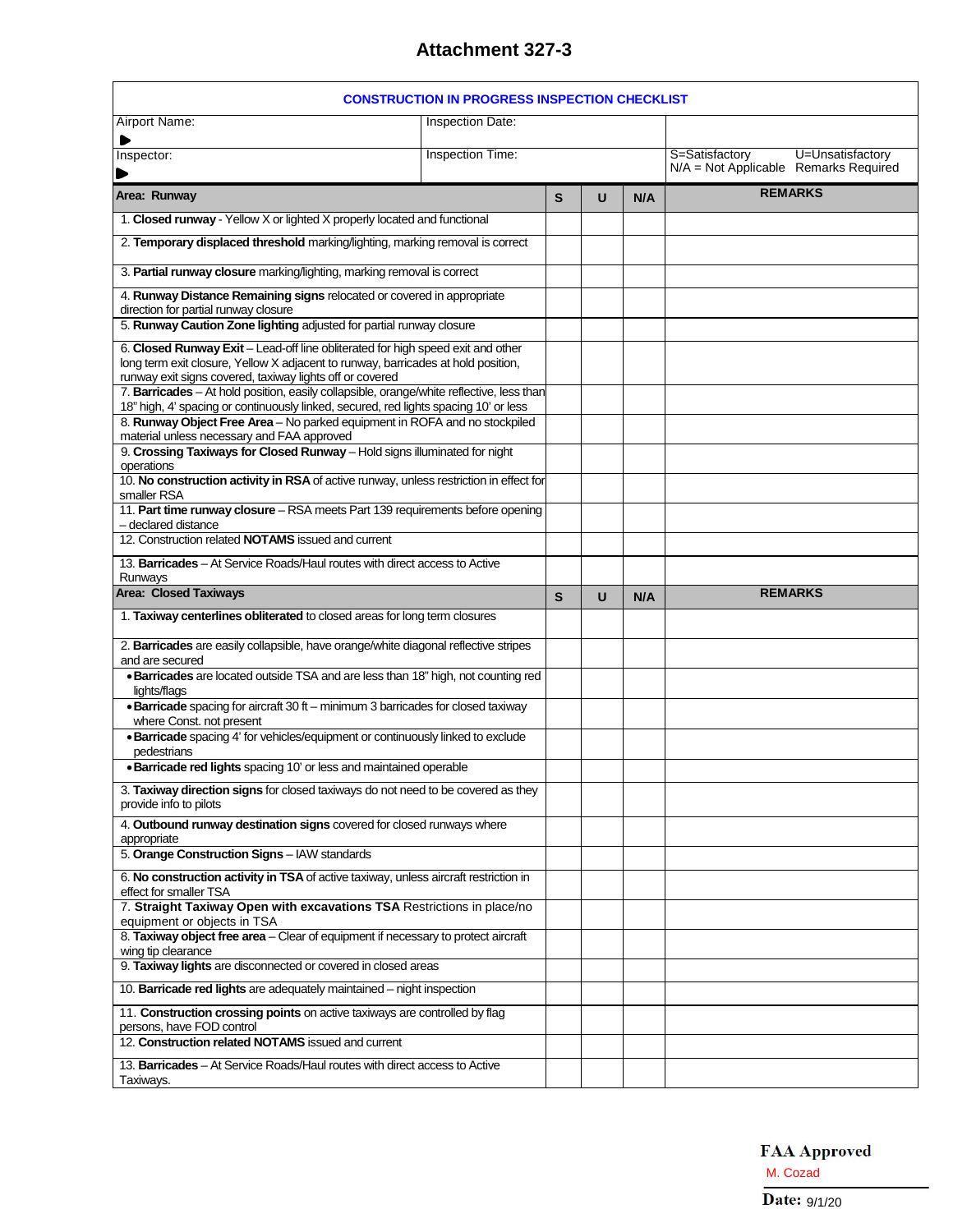# **Attachment 327-3**

|                                                                                                                                                                                                                                                                                                                              | <b>CONSTRUCTION IN PROGRESS INSPECTION CHECKLIST</b> |  |   |     |                                       |
|------------------------------------------------------------------------------------------------------------------------------------------------------------------------------------------------------------------------------------------------------------------------------------------------------------------------------|------------------------------------------------------|--|---|-----|---------------------------------------|
| Airport Name:<br>Inspection Date:                                                                                                                                                                                                                                                                                            |                                                      |  |   |     |                                       |
| ▶<br>Inspector:                                                                                                                                                                                                                                                                                                              | <b>Inspection Time:</b>                              |  |   |     | S=Satisfactory<br>U=Unsatisfactory    |
|                                                                                                                                                                                                                                                                                                                              |                                                      |  |   |     | N/A = Not Applicable Remarks Required |
| Area: Runway                                                                                                                                                                                                                                                                                                                 |                                                      |  | U | N/A | <b>REMARKS</b>                        |
| 1. Closed runway - Yellow X or lighted X properly located and functional                                                                                                                                                                                                                                                     |                                                      |  |   |     |                                       |
| 2. Temporary displaced threshold marking/lighting, marking removal is correct                                                                                                                                                                                                                                                |                                                      |  |   |     |                                       |
| 3. Partial runway closure marking/lighting, marking removal is correct                                                                                                                                                                                                                                                       |                                                      |  |   |     |                                       |
| 4. Runway Distance Remaining signs relocated or covered in appropriate<br>direction for partial runway closure                                                                                                                                                                                                               |                                                      |  |   |     |                                       |
| 5. Runway Caution Zone lighting adjusted for partial runway closure                                                                                                                                                                                                                                                          |                                                      |  |   |     |                                       |
| 6. Closed Runway Exit - Lead-off line obliterated for high speed exit and other<br>long term exit closure, Yellow X adjacent to runway, barricades at hold position,<br>runway exit signs covered, taxiway lights off or covered<br>7. Barricades - At hold position, easily collapsible, orange/white reflective, less than |                                                      |  |   |     |                                       |
| 18" high, 4' spacing or continuously linked, secured, red lights spacing 10' or less<br>8. Runway Object Free Area - No parked equipment in ROFA and no stockpiled                                                                                                                                                           |                                                      |  |   |     |                                       |
| material unless necessary and FAA approved                                                                                                                                                                                                                                                                                   |                                                      |  |   |     |                                       |
| 9. Crossing Taxiways for Closed Runway - Hold signs illuminated for night<br>operations                                                                                                                                                                                                                                      |                                                      |  |   |     |                                       |
| 10. No construction activity in RSA of active runway, unless restriction in effect for<br>smaller RSA                                                                                                                                                                                                                        |                                                      |  |   |     |                                       |
| 11. Part time runway closure - RSA meets Part 139 requirements before opening<br>- declared distance                                                                                                                                                                                                                         |                                                      |  |   |     |                                       |
| 12. Construction related <b>NOTAMS</b> issued and current                                                                                                                                                                                                                                                                    |                                                      |  |   |     |                                       |
| 13. Barricades – At Service Roads/Haul routes with direct access to Active<br>Runways                                                                                                                                                                                                                                        |                                                      |  |   |     |                                       |
| <b>Area: Closed Taxiways</b>                                                                                                                                                                                                                                                                                                 |                                                      |  |   | N/A | <b>REMARKS</b>                        |
|                                                                                                                                                                                                                                                                                                                              |                                                      |  |   |     |                                       |
| 1. Taxiway centerlines obliterated to closed areas for long term closures                                                                                                                                                                                                                                                    |                                                      |  |   |     |                                       |
| 2. Barricades are easily collapsible, have orange/white diagonal reflective stripes                                                                                                                                                                                                                                          |                                                      |  |   |     |                                       |
| and are secured<br>· Barricades are located outside TSA and are less than 18" high, not counting red                                                                                                                                                                                                                         |                                                      |  |   |     |                                       |
| lights/flags<br>• Barricade spacing for aircraft 30 ft - minimum 3 barricades for closed taxiway<br>where Const. not present                                                                                                                                                                                                 |                                                      |  |   |     |                                       |
| · Barricade spacing 4' for vehicles/equipment or continuously linked to exclude<br>pedestrians                                                                                                                                                                                                                               |                                                      |  |   |     |                                       |
| · Barricade red lights spacing 10' or less and maintained operable                                                                                                                                                                                                                                                           |                                                      |  |   |     |                                       |
| 3. Taxiway direction signs for closed taxiways do not need to be covered as they<br>provide info to pilots                                                                                                                                                                                                                   |                                                      |  |   |     |                                       |
| 4. Outbound runway destination signs covered for closed runways where<br>appropriate                                                                                                                                                                                                                                         |                                                      |  |   |     |                                       |
| 5. Orange Construction Signs - IAW standards                                                                                                                                                                                                                                                                                 |                                                      |  |   |     |                                       |
| 6. No construction activity in TSA of active taxiway, unless aircraft restriction in<br>effect for smaller TSA                                                                                                                                                                                                               |                                                      |  |   |     |                                       |
| 7. Straight Taxiway Open with excavations TSA Restrictions in place/no<br>equipment or objects in TSA                                                                                                                                                                                                                        |                                                      |  |   |     |                                       |
| 8. Taxiway object free area - Clear of equipment if necessary to protect aircraft<br>wing tip clearance                                                                                                                                                                                                                      |                                                      |  |   |     |                                       |
| 9. Taxiway lights are disconnected or covered in closed areas                                                                                                                                                                                                                                                                |                                                      |  |   |     |                                       |
| 10. Barricade red lights are adequately maintained – night inspection                                                                                                                                                                                                                                                        |                                                      |  |   |     |                                       |
| 11. Construction crossing points on active taxiways are controlled by flag<br>persons, have FOD control                                                                                                                                                                                                                      |                                                      |  |   |     |                                       |
| 12. Construction related NOTAMS issued and current<br>13. Barricades - At Service Roads/Haul routes with direct access to Active                                                                                                                                                                                             |                                                      |  |   |     |                                       |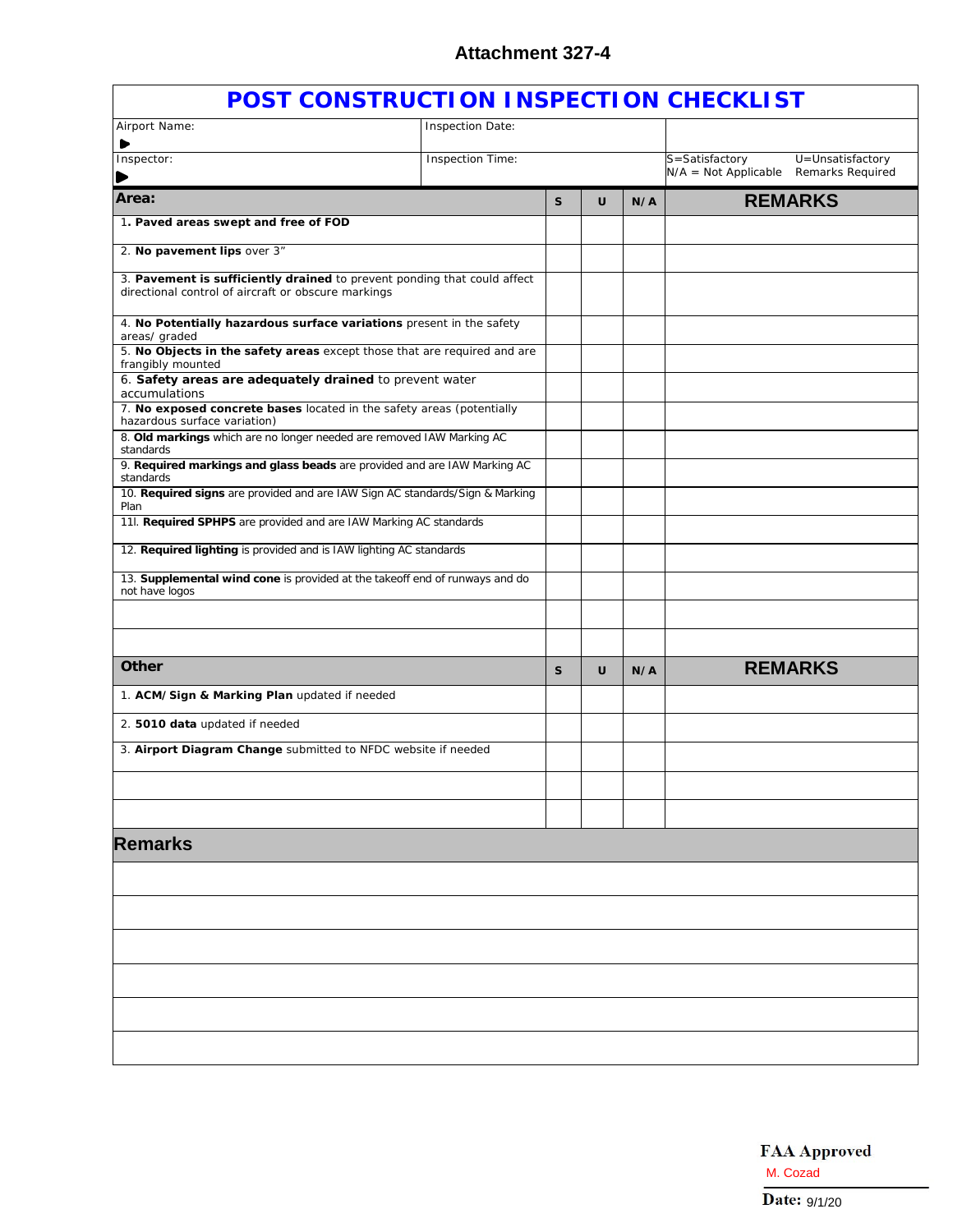| POST CONSTRUCTION INSPECTION CHECKLIST                                                                                                                         |                         |              |   |     |                        |                  |
|----------------------------------------------------------------------------------------------------------------------------------------------------------------|-------------------------|--------------|---|-----|------------------------|------------------|
| Airport Name:                                                                                                                                                  | Inspection Date:        |              |   |     |                        |                  |
| ▶<br>Inspector:                                                                                                                                                | <b>Inspection Time:</b> |              |   |     | S=Satisfactory         | U=Unsatisfactory |
|                                                                                                                                                                |                         |              |   |     | $N/A = Not Applicable$ | Remarks Required |
| Area:                                                                                                                                                          |                         | $\mathbf{s}$ | U | N/A |                        | <b>REMARKS</b>   |
| 1. Paved areas swept and free of FOD                                                                                                                           |                         |              |   |     |                        |                  |
| 2. No pavement lips over 3"                                                                                                                                    |                         |              |   |     |                        |                  |
| 3. Pavement is sufficiently drained to prevent ponding that could affect<br>directional control of aircraft or obscure markings                                |                         |              |   |     |                        |                  |
| 4. No Potentially hazardous surface variations present in the safety<br>areas/ graded                                                                          |                         |              |   |     |                        |                  |
| 5. No Objects in the safety areas except those that are required and are<br>frangibly mounted                                                                  |                         |              |   |     |                        |                  |
| 6. Safety areas are adequately drained to prevent water<br>accumulations                                                                                       |                         |              |   |     |                        |                  |
| 7. No exposed concrete bases located in the safety areas (potentially<br>hazardous surface variation)                                                          |                         |              |   |     |                        |                  |
| 8. Old markings which are no longer needed are removed IAW Marking AC<br>standards<br>9. Required markings and glass beads are provided and are IAW Marking AC |                         |              |   |     |                        |                  |
| standards<br>10. Required signs are provided and are IAW Sign AC standards/Sign & Marking                                                                      |                         |              |   |     |                        |                  |
| Plan<br>11l. Required SPHPS are provided and are IAW Marking AC standards                                                                                      |                         |              |   |     |                        |                  |
| 12. Required lighting is provided and is IAW lighting AC standards                                                                                             |                         |              |   |     |                        |                  |
| 13. Supplemental wind cone is provided at the takeoff end of runways and do                                                                                    |                         |              |   |     |                        |                  |
| not have logos                                                                                                                                                 |                         |              |   |     |                        |                  |
|                                                                                                                                                                |                         |              |   |     |                        |                  |
| Other                                                                                                                                                          |                         | S            | U | N/A |                        | <b>REMARKS</b>   |
| 1. ACM/Sign & Marking Plan updated if needed                                                                                                                   |                         |              |   |     |                        |                  |
| 2. 5010 data updated if needed                                                                                                                                 |                         |              |   |     |                        |                  |
| 3. Airport Diagram Change submitted to NFDC website if needed                                                                                                  |                         |              |   |     |                        |                  |
|                                                                                                                                                                |                         |              |   |     |                        |                  |
|                                                                                                                                                                |                         |              |   |     |                        |                  |
| <b>Remarks</b>                                                                                                                                                 |                         |              |   |     |                        |                  |
|                                                                                                                                                                |                         |              |   |     |                        |                  |
|                                                                                                                                                                |                         |              |   |     |                        |                  |
|                                                                                                                                                                |                         |              |   |     |                        |                  |
|                                                                                                                                                                |                         |              |   |     |                        |                  |
|                                                                                                                                                                |                         |              |   |     |                        |                  |
|                                                                                                                                                                |                         |              |   |     |                        |                  |
|                                                                                                                                                                |                         |              |   |     |                        |                  |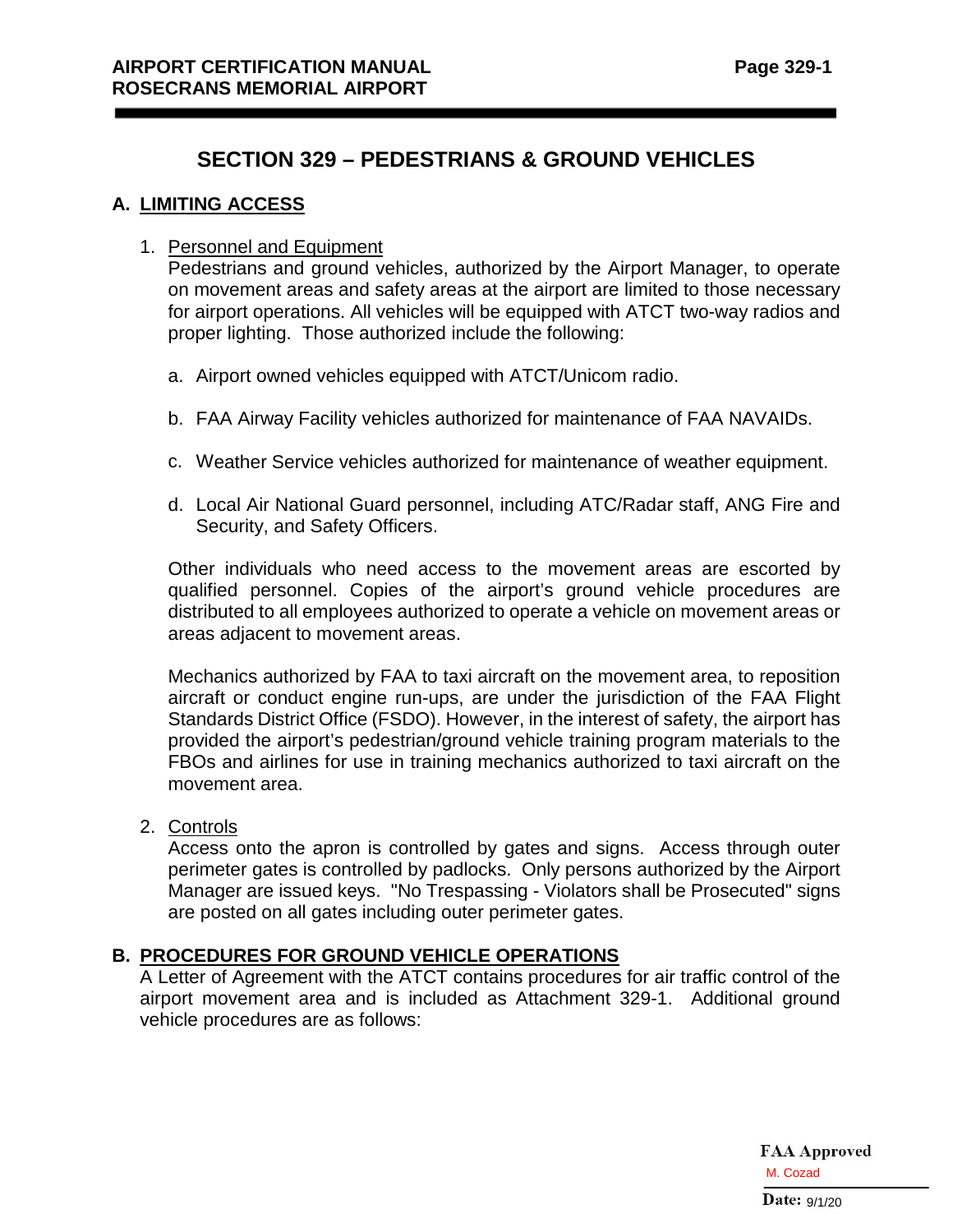## **SECTION 329 – PEDESTRIANS & GROUND VEHICLES**

### **A. LIMITING ACCESS**

#### 1. Personnel and Equipment

Pedestrians and ground vehicles, authorized by the Airport Manager, to operate on movement areas and safety areas at the airport are limited to those necessary for airport operations. All vehicles will be equipped with ATCT two-way radios and proper lighting. Those authorized include the following:

- a. Airport owned vehicles equipped with ATCT/Unicom radio.
- b. FAA Airway Facility vehicles authorized for maintenance of FAA NAVAIDs.
- c. Weather Service vehicles authorized for maintenance of weather equipment.
- d. Local Air National Guard personnel, including ATC/Radar staff, ANG Fire and Security, and Safety Officers.

Other individuals who need access to the movement areas are escorted by qualified personnel. Copies of the airport's ground vehicle procedures are distributed to all employees authorized to operate a vehicle on movement areas or areas adjacent to movement areas.

Mechanics authorized by FAA to taxi aircraft on the movement area, to reposition aircraft or conduct engine run-ups, are under the jurisdiction of the FAA Flight Standards District Office (FSDO). However, in the interest of safety, the airport has provided the airport's pedestrian/ground vehicle training program materials to the FBOs and airlines for use in training mechanics authorized to taxi aircraft on the movement area.

2. Controls

Access onto the apron is controlled by gates and signs. Access through outer perimeter gates is controlled by padlocks. Only persons authorized by the Airport Manager are issued keys. "No Trespassing - Violators shall be Prosecuted" signs are posted on all gates including outer perimeter gates.

## **B. PROCEDURES FOR GROUND VEHICLE OPERATIONS**

A Letter of Agreement with the ATCT contains procedures for air traffic control of the airport movement area and is included as Attachment 329-1. Additional ground vehicle procedures are as follows: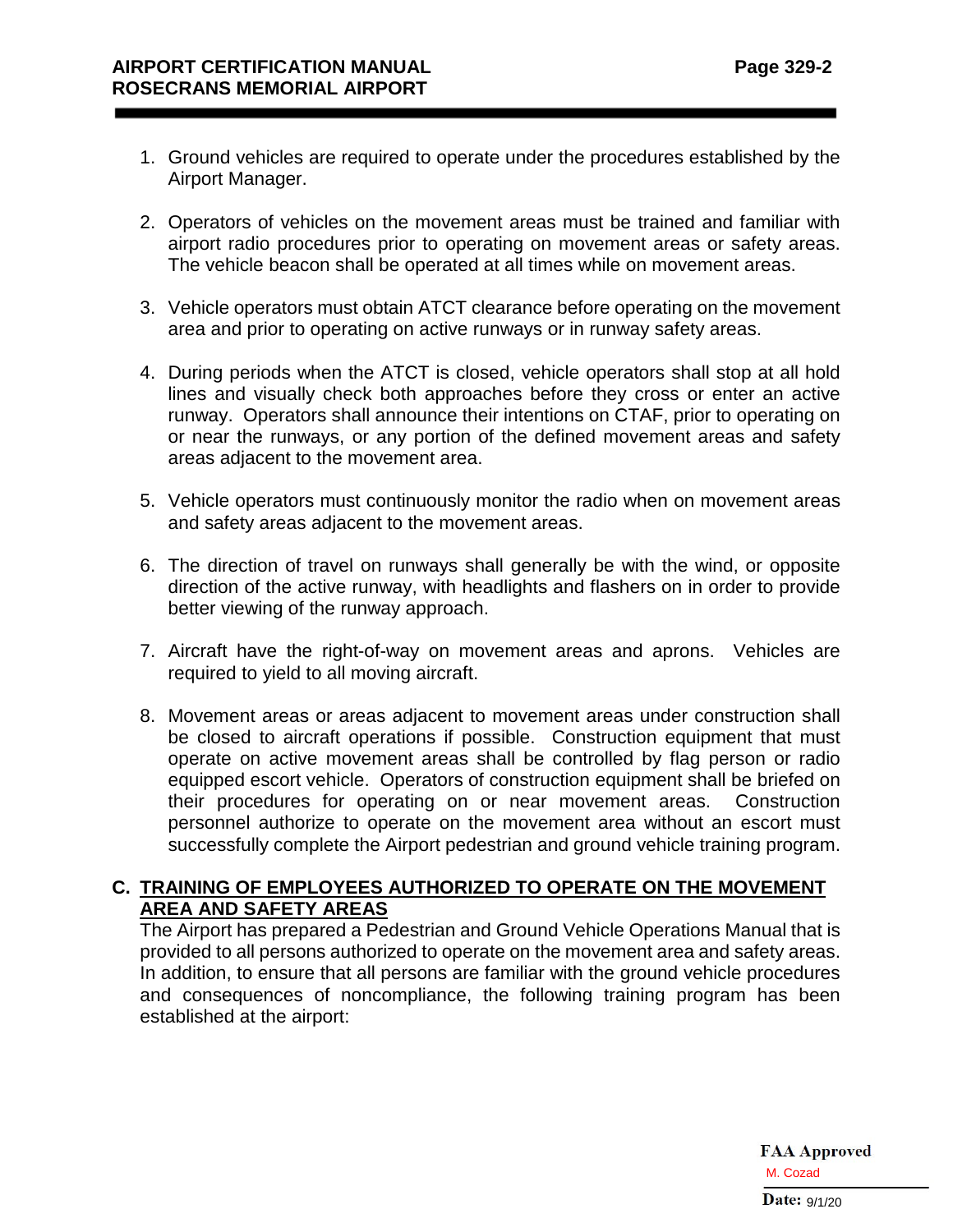- 1. Ground vehicles are required to operate under the procedures established by the Airport Manager.
- 2. Operators of vehicles on the movement areas must be trained and familiar with airport radio procedures prior to operating on movement areas or safety areas. The vehicle beacon shall be operated at all times while on movement areas.
- 3. Vehicle operators must obtain ATCT clearance before operating on the movement area and prior to operating on active runways or in runway safety areas.
- 4. During periods when the ATCT is closed, vehicle operators shall stop at all hold lines and visually check both approaches before they cross or enter an active runway. Operators shall announce their intentions on CTAF, prior to operating on or near the runways, or any portion of the defined movement areas and safety areas adjacent to the movement area.
- 5. Vehicle operators must continuously monitor the radio when on movement areas and safety areas adjacent to the movement areas.
- 6. The direction of travel on runways shall generally be with the wind, or opposite direction of the active runway, with headlights and flashers on in order to provide better viewing of the runway approach.
- 7. Aircraft have the right-of-way on movement areas and aprons. Vehicles are required to yield to all moving aircraft.
- 8. Movement areas or areas adjacent to movement areas under construction shall be closed to aircraft operations if possible. Construction equipment that must operate on active movement areas shall be controlled by flag person or radio equipped escort vehicle. Operators of construction equipment shall be briefed on their procedures for operating on or near movement areas. Construction personnel authorize to operate on the movement area without an escort must successfully complete the Airport pedestrian and ground vehicle training program.

## **C. TRAINING OF EMPLOYEES AUTHORIZED TO OPERATE ON THE MOVEMENT AREA AND SAFETY AREAS**

The Airport has prepared a Pedestrian and Ground Vehicle Operations Manual that is provided to all persons authorized to operate on the movement area and safety areas. In addition, to ensure that all persons are familiar with the ground vehicle procedures and consequences of noncompliance, the following training program has been established at the airport: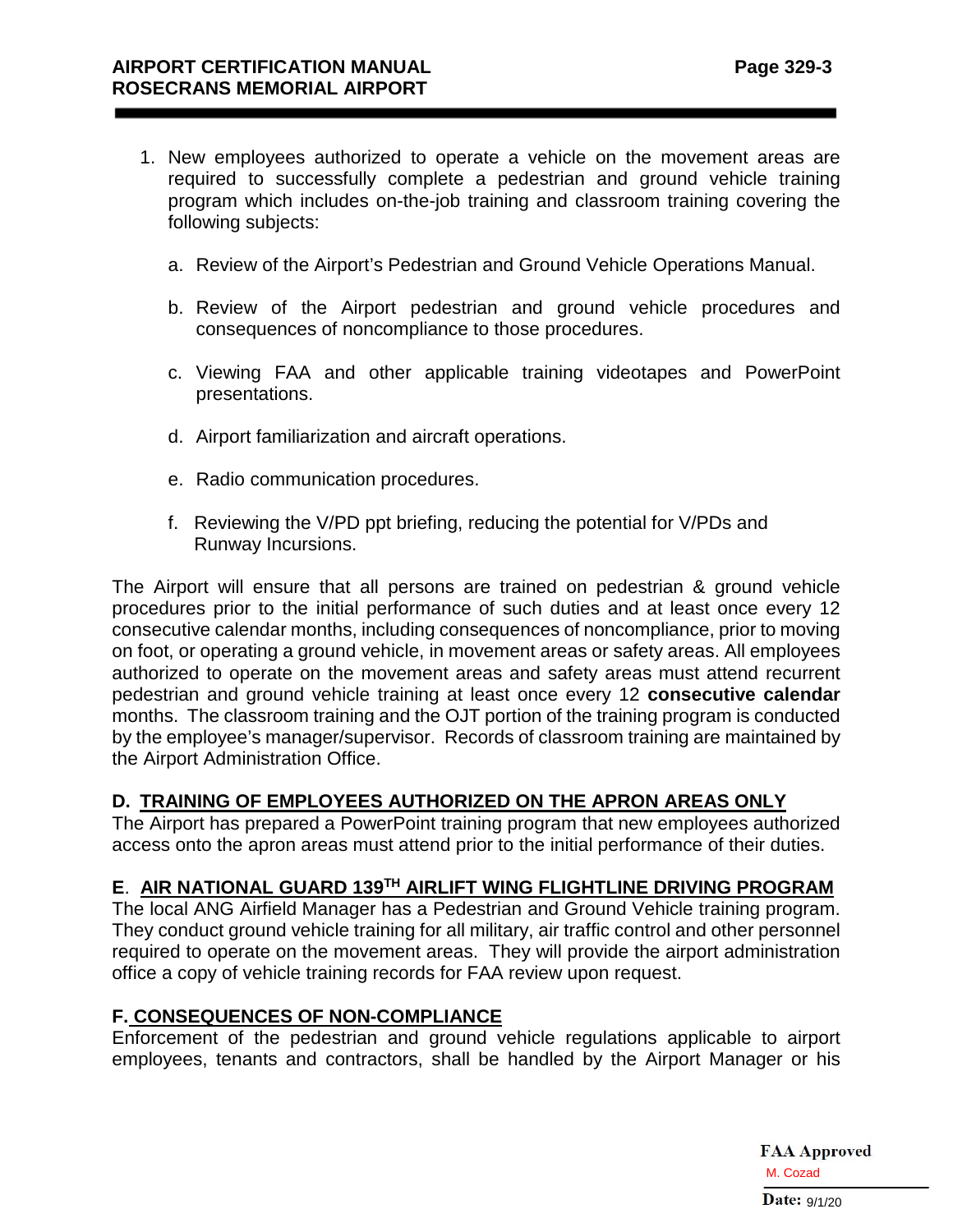- 1. New employees authorized to operate a vehicle on the movement areas are required to successfully complete a pedestrian and ground vehicle training program which includes on-the-job training and classroom training covering the following subjects:
	- a. Review of the Airport's Pedestrian and Ground Vehicle Operations Manual.
	- b. Review of the Airport pedestrian and ground vehicle procedures and consequences of noncompliance to those procedures.
	- c. Viewing FAA and other applicable training videotapes and PowerPoint presentations.
	- d. Airport familiarization and aircraft operations.
	- e. Radio communication procedures.
	- f. Reviewing the V/PD ppt briefing, reducing the potential for V/PDs and Runway Incursions.

The Airport will ensure that all persons are trained on pedestrian & ground vehicle procedures prior to the initial performance of such duties and at least once every 12 consecutive calendar months, including consequences of noncompliance, prior to moving on foot, or operating a ground vehicle, in movement areas or safety areas. All employees authorized to operate on the movement areas and safety areas must attend recurrent pedestrian and ground vehicle training at least once every 12 **consecutive calendar**  months. The classroom training and the OJT portion of the training program is conducted by the employee's manager/supervisor. Records of classroom training are maintained by the Airport Administration Office.

## **D. TRAINING OF EMPLOYEES AUTHORIZED ON THE APRON AREAS ONLY**

The Airport has prepared a PowerPoint training program that new employees authorized access onto the apron areas must attend prior to the initial performance of their duties.

### **E**. **AIR NATIONAL GUARD 139TH AIRLIFT WING FLIGHTLINE DRIVING PROGRAM**

The local ANG Airfield Manager has a Pedestrian and Ground Vehicle training program. They conduct ground vehicle training for all military, air traffic control and other personnel required to operate on the movement areas. They will provide the airport administration office a copy of vehicle training records for FAA review upon request.

## **F. CONSEQUENCES OF NON-COMPLIANCE**

Enforcement of the pedestrian and ground vehicle regulations applicable to airport employees, tenants and contractors, shall be handled by the Airport Manager or his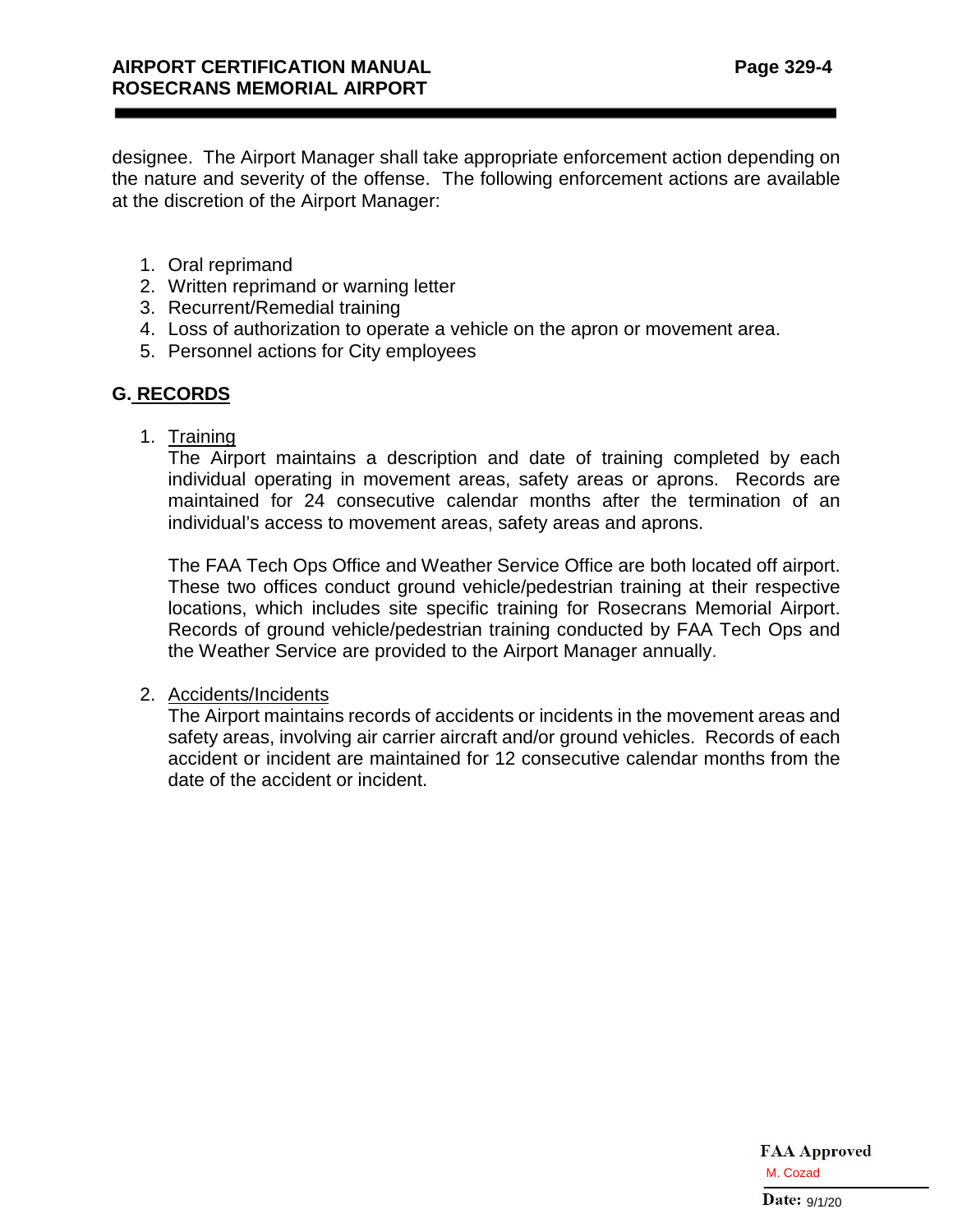designee. The Airport Manager shall take appropriate enforcement action depending on the nature and severity of the offense. The following enforcement actions are available at the discretion of the Airport Manager:

- 1. Oral reprimand
- 2. Written reprimand or warning letter
- 3. Recurrent/Remedial training
- 4. Loss of authorization to operate a vehicle on the apron or movement area.
- 5. Personnel actions for City employees

## **G. RECORDS**

1. Training

The Airport maintains a description and date of training completed by each individual operating in movement areas, safety areas or aprons. Records are maintained for 24 consecutive calendar months after the termination of an individual's access to movement areas, safety areas and aprons.

The FAA Tech Ops Office and Weather Service Office are both located off airport. These two offices conduct ground vehicle/pedestrian training at their respective locations, which includes site specific training for Rosecrans Memorial Airport. Records of ground vehicle/pedestrian training conducted by FAA Tech Ops and the Weather Service are provided to the Airport Manager annually.

#### 2. Accidents/Incidents

The Airport maintains records of accidents or incidents in the movement areas and safety areas, involving air carrier aircraft and/or ground vehicles. Records of each accident or incident are maintained for 12 consecutive calendar months from the date of the accident or incident.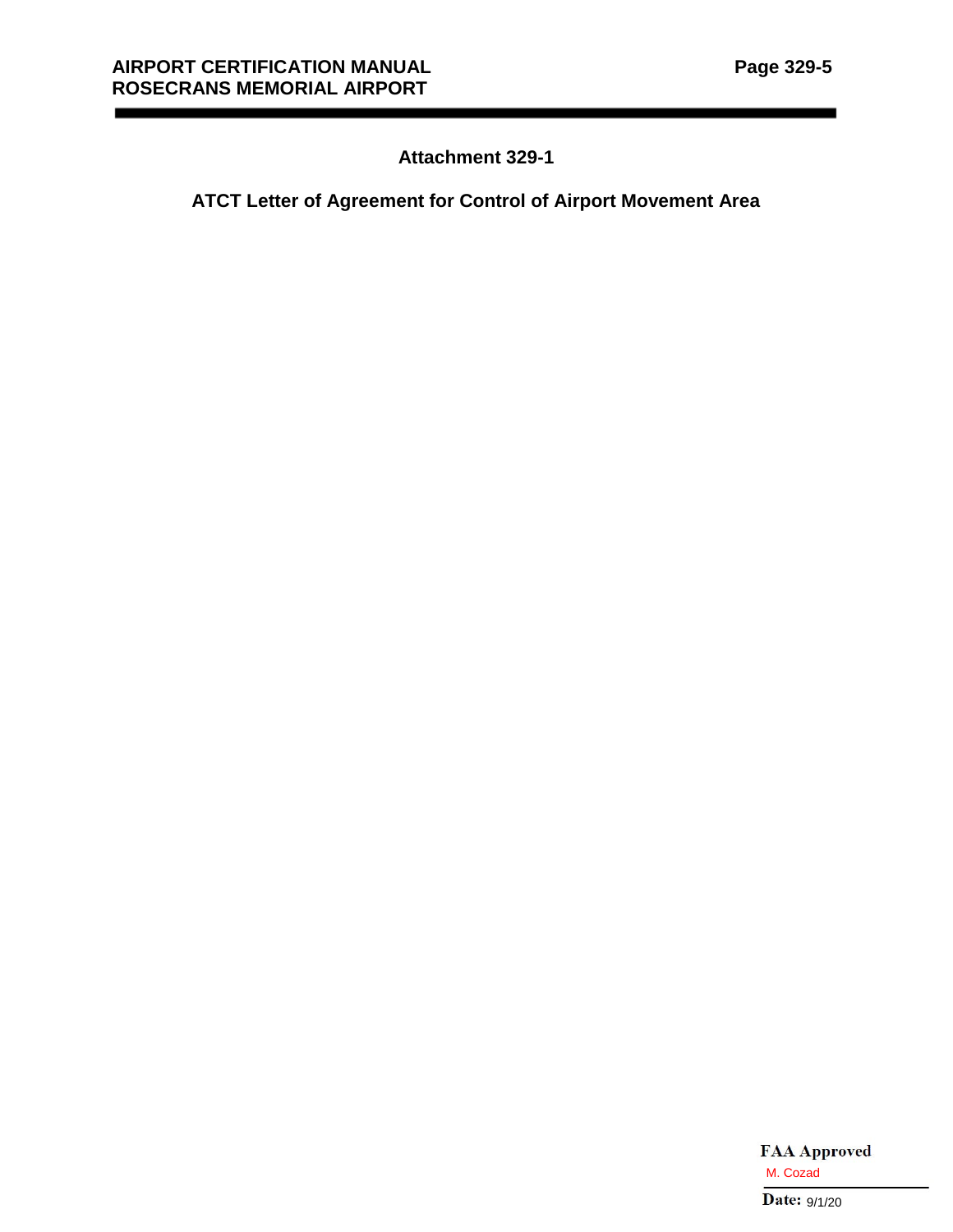# **Attachment 329-1**

## **ATCT Letter of Agreement for Control of Airport Movement Area**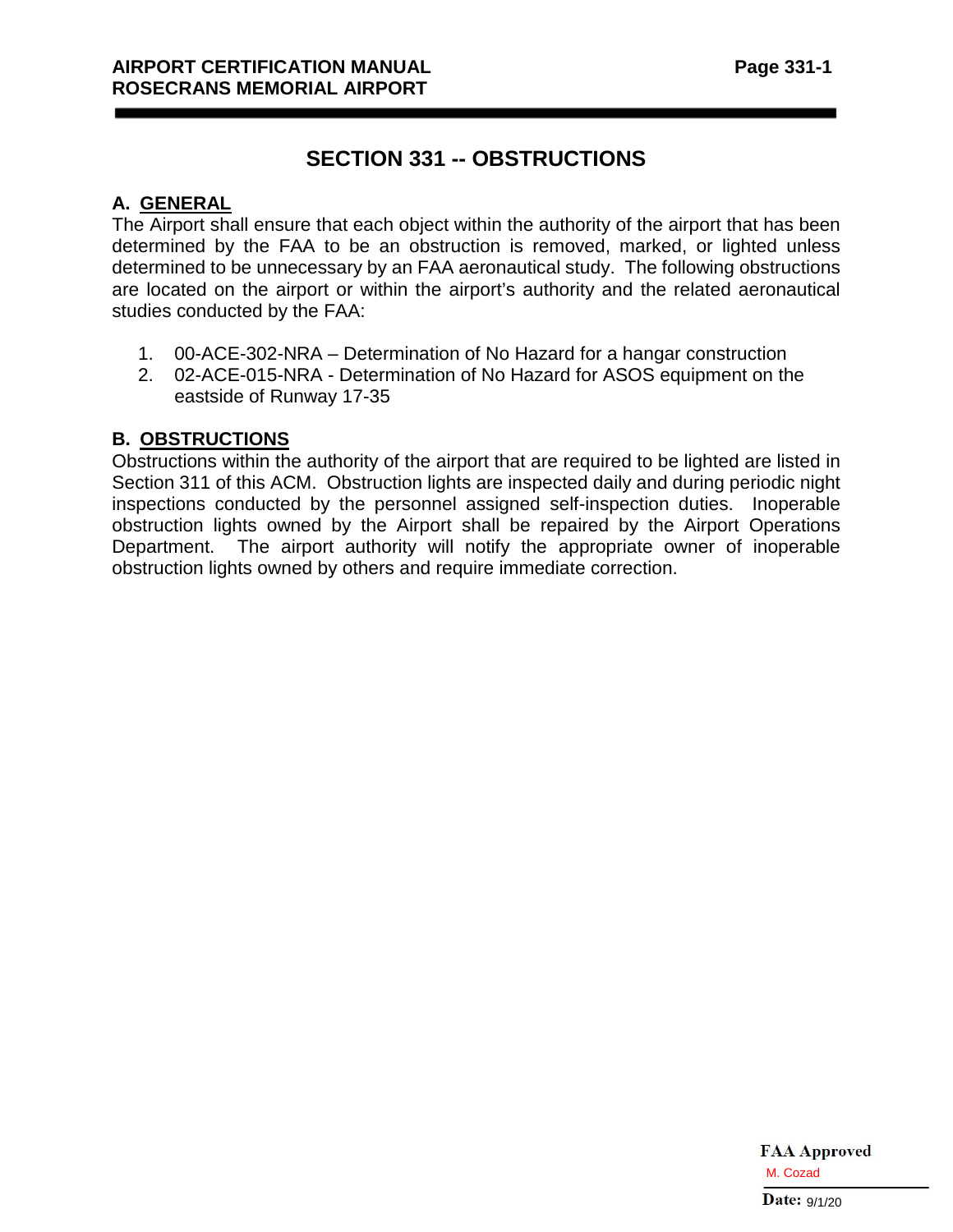# **SECTION 331 -- OBSTRUCTIONS**

## **A. GENERAL**

The Airport shall ensure that each object within the authority of the airport that has been determined by the FAA to be an obstruction is removed, marked, or lighted unless determined to be unnecessary by an FAA aeronautical study. The following obstructions are located on the airport or within the airport's authority and the related aeronautical studies conducted by the FAA:

- 1. 00-ACE-302-NRA Determination of No Hazard for a hangar construction
- 2. 02-ACE-015-NRA Determination of No Hazard for ASOS equipment on the eastside of Runway 17-35

## **B. OBSTRUCTIONS**

Obstructions within the authority of the airport that are required to be lighted are listed in Section 311 of this ACM. Obstruction lights are inspected daily and during periodic night inspections conducted by the personnel assigned self-inspection duties. Inoperable obstruction lights owned by the Airport shall be repaired by the Airport Operations Department. The airport authority will notify the appropriate owner of inoperable obstruction lights owned by others and require immediate correction.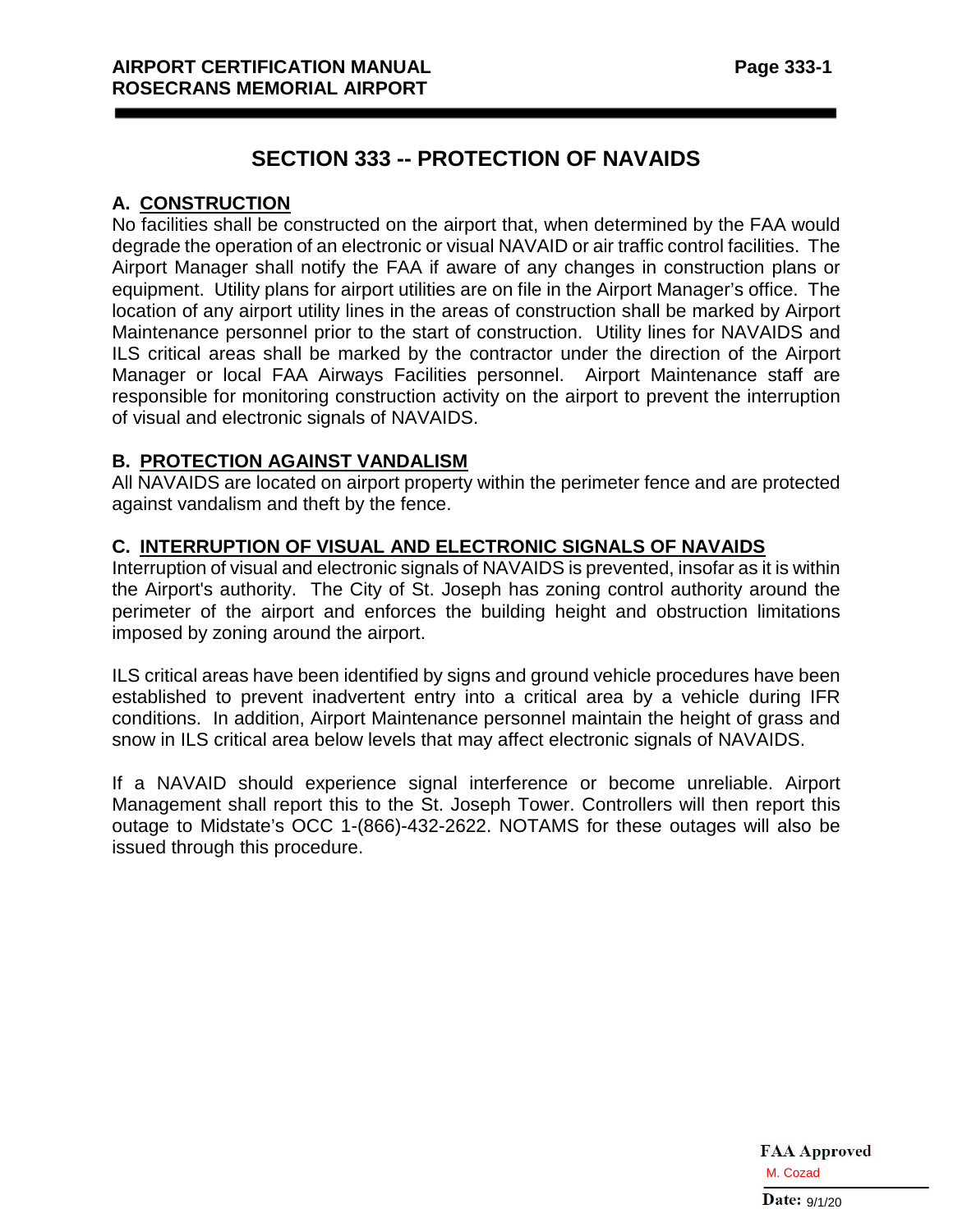# **SECTION 333 -- PROTECTION OF NAVAIDS**

## **A. CONSTRUCTION**

No facilities shall be constructed on the airport that, when determined by the FAA would degrade the operation of an electronic or visual NAVAID or air traffic control facilities. The Airport Manager shall notify the FAA if aware of any changes in construction plans or equipment. Utility plans for airport utilities are on file in the Airport Manager's office. The location of any airport utility lines in the areas of construction shall be marked by Airport Maintenance personnel prior to the start of construction. Utility lines for NAVAIDS and ILS critical areas shall be marked by the contractor under the direction of the Airport Manager or local FAA Airways Facilities personnel. Airport Maintenance staff are responsible for monitoring construction activity on the airport to prevent the interruption of visual and electronic signals of NAVAIDS.

## **B. PROTECTION AGAINST VANDALISM**

All NAVAIDS are located on airport property within the perimeter fence and are protected against vandalism and theft by the fence.

## **C. INTERRUPTION OF VISUAL AND ELECTRONIC SIGNALS OF NAVAIDS**

Interruption of visual and electronic signals of NAVAIDS is prevented, insofar as it is within the Airport's authority. The City of St. Joseph has zoning control authority around the perimeter of the airport and enforces the building height and obstruction limitations imposed by zoning around the airport.

ILS critical areas have been identified by signs and ground vehicle procedures have been established to prevent inadvertent entry into a critical area by a vehicle during IFR conditions. In addition, Airport Maintenance personnel maintain the height of grass and snow in ILS critical area below levels that may affect electronic signals of NAVAIDS.

If a NAVAID should experience signal interference or become unreliable. Airport Management shall report this to the St. Joseph Tower. Controllers will then report this outage to Midstate's OCC 1-(866)-432-2622. NOTAMS for these outages will also be issued through this procedure.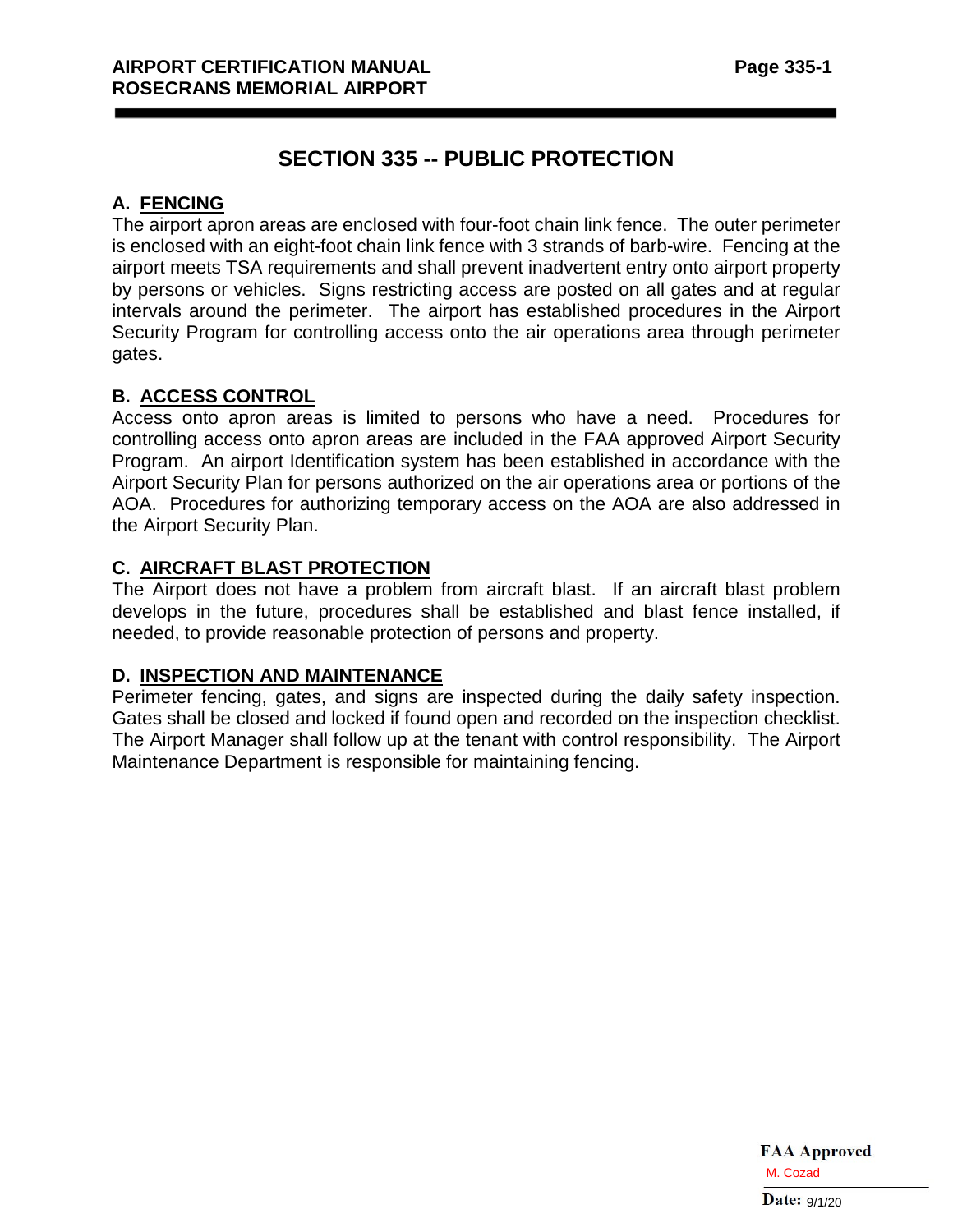# **SECTION 335 -- PUBLIC PROTECTION**

## **A. FENCING**

The airport apron areas are enclosed with four-foot chain link fence. The outer perimeter is enclosed with an eight-foot chain link fence with 3 strands of barb-wire. Fencing at the airport meets TSA requirements and shall prevent inadvertent entry onto airport property by persons or vehicles. Signs restricting access are posted on all gates and at regular intervals around the perimeter. The airport has established procedures in the Airport Security Program for controlling access onto the air operations area through perimeter gates.

## **B. ACCESS CONTROL**

Access onto apron areas is limited to persons who have a need. Procedures for controlling access onto apron areas are included in the FAA approved Airport Security Program. An airport Identification system has been established in accordance with the Airport Security Plan for persons authorized on the air operations area or portions of the AOA. Procedures for authorizing temporary access on the AOA are also addressed in the Airport Security Plan.

## **C. AIRCRAFT BLAST PROTECTION**

The Airport does not have a problem from aircraft blast. If an aircraft blast problem develops in the future, procedures shall be established and blast fence installed, if needed, to provide reasonable protection of persons and property.

## **D. INSPECTION AND MAINTENANCE**

Perimeter fencing, gates, and signs are inspected during the daily safety inspection. Gates shall be closed and locked if found open and recorded on the inspection checklist. The Airport Manager shall follow up at the tenant with control responsibility. The Airport Maintenance Department is responsible for maintaining fencing.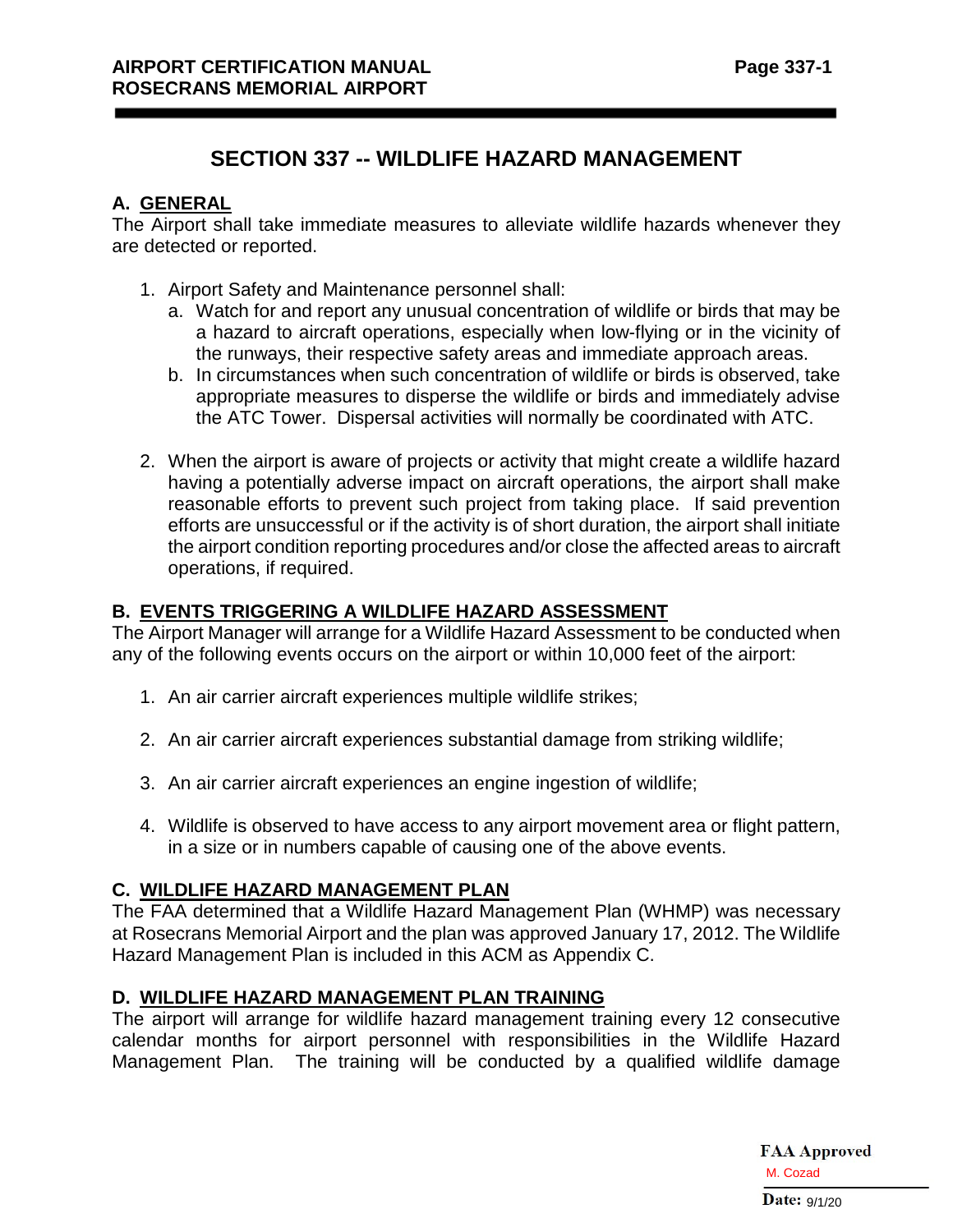# **SECTION 337 -- WILDLIFE HAZARD MANAGEMENT**

## **A. GENERAL**

The Airport shall take immediate measures to alleviate wildlife hazards whenever they are detected or reported.

- 1. Airport Safety and Maintenance personnel shall:
	- a. Watch for and report any unusual concentration of wildlife or birds that may be a hazard to aircraft operations, especially when low-flying or in the vicinity of the runways, their respective safety areas and immediate approach areas.
	- b. In circumstances when such concentration of wildlife or birds is observed, take appropriate measures to disperse the wildlife or birds and immediately advise the ATC Tower. Dispersal activities will normally be coordinated with ATC.
- 2. When the airport is aware of projects or activity that might create a wildlife hazard having a potentially adverse impact on aircraft operations, the airport shall make reasonable efforts to prevent such project from taking place. If said prevention efforts are unsuccessful or if the activity is of short duration, the airport shall initiate the airport condition reporting procedures and/or close the affected areas to aircraft operations, if required.

## **B. EVENTS TRIGGERING A WILDLIFE HAZARD ASSESSMENT**

The Airport Manager will arrange for a Wildlife Hazard Assessment to be conducted when any of the following events occurs on the airport or within 10,000 feet of the airport:

- 1. An air carrier aircraft experiences multiple wildlife strikes;
- 2. An air carrier aircraft experiences substantial damage from striking wildlife;
- 3. An air carrier aircraft experiences an engine ingestion of wildlife;
- 4. Wildlife is observed to have access to any airport movement area or flight pattern, in a size or in numbers capable of causing one of the above events.

## **C. WILDLIFE HAZARD MANAGEMENT PLAN**

The FAA determined that a Wildlife Hazard Management Plan (WHMP) was necessary at Rosecrans Memorial Airport and the plan was approved January 17, 2012. The Wildlife Hazard Management Plan is included in this ACM as Appendix C.

## **D. WILDLIFE HAZARD MANAGEMENT PLAN TRAINING**

The airport will arrange for wildlife hazard management training every 12 consecutive calendar months for airport personnel with responsibilities in the Wildlife Hazard Management Plan. The training will be conducted by a qualified wildlife damage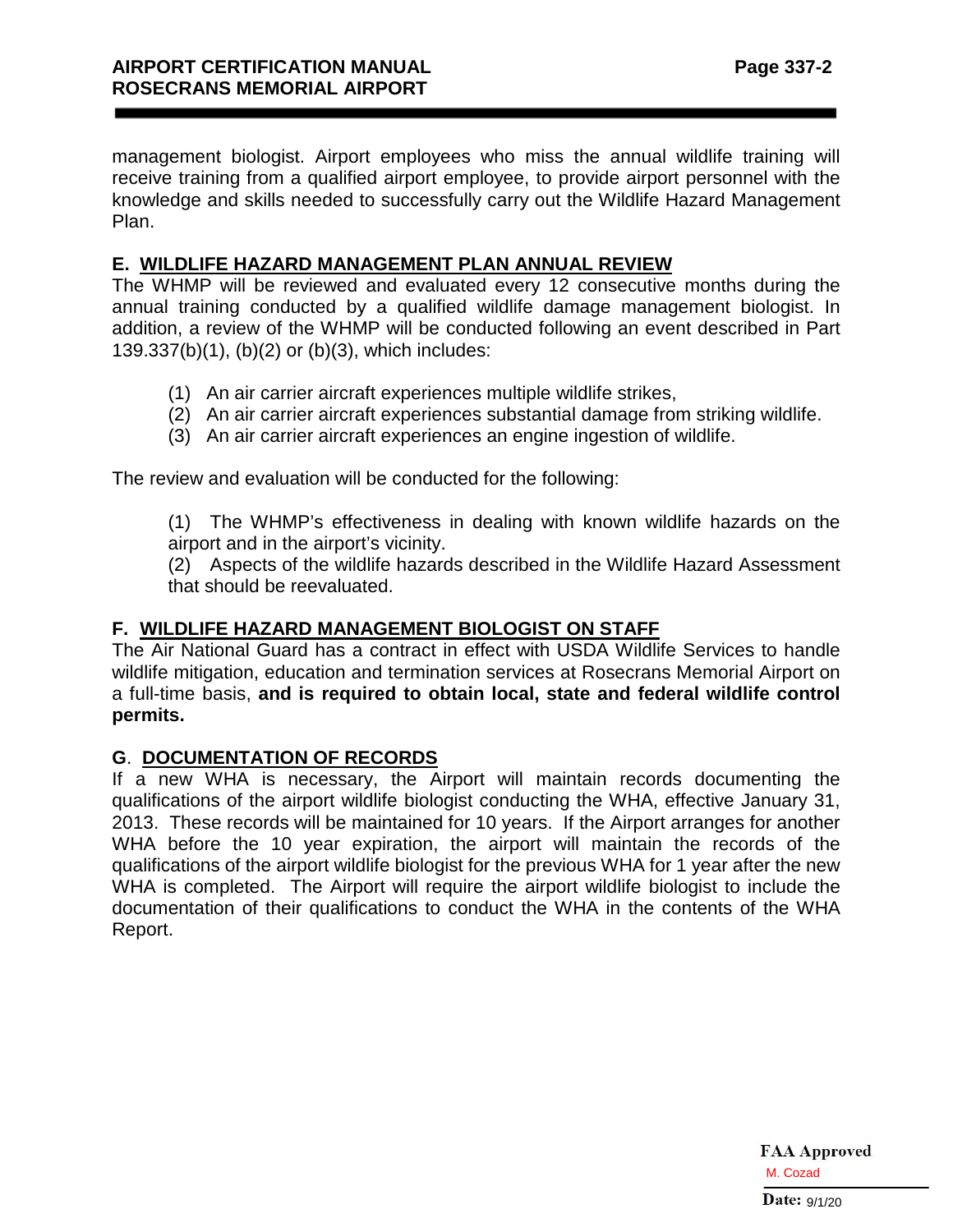management biologist. Airport employees who miss the annual wildlife training will receive training from a qualified airport employee, to provide airport personnel with the knowledge and skills needed to successfully carry out the Wildlife Hazard Management Plan.

## **E. WILDLIFE HAZARD MANAGEMENT PLAN ANNUAL REVIEW**

The WHMP will be reviewed and evaluated every 12 consecutive months during the annual training conducted by a qualified wildlife damage management biologist. In addition, a review of the WHMP will be conducted following an event described in Part 139.337(b)(1), (b)(2) or (b)(3), which includes:

- (1) An air carrier aircraft experiences multiple wildlife strikes,
- (2) An air carrier aircraft experiences substantial damage from striking wildlife.
- (3) An air carrier aircraft experiences an engine ingestion of wildlife.

The review and evaluation will be conducted for the following:

(1) The WHMP's effectiveness in dealing with known wildlife hazards on the airport and in the airport's vicinity.

(2) Aspects of the wildlife hazards described in the Wildlife Hazard Assessment that should be reevaluated.

## **F. WILDLIFE HAZARD MANAGEMENT BIOLOGIST ON STAFF**

The Air National Guard has a contract in effect with USDA Wildlife Services to handle wildlife mitigation, education and termination services at Rosecrans Memorial Airport on a full-time basis, **and is required to obtain local, state and federal wildlife control permits.**

## **G**. **DOCUMENTATION OF RECORDS**

If a new WHA is necessary, the Airport will maintain records documenting the qualifications of the airport wildlife biologist conducting the WHA, effective January 31, 2013. These records will be maintained for 10 years. If the Airport arranges for another WHA before the 10 year expiration, the airport will maintain the records of the qualifications of the airport wildlife biologist for the previous WHA for 1 year after the new WHA is completed. The Airport will require the airport wildlife biologist to include the documentation of their qualifications to conduct the WHA in the contents of the WHA Report.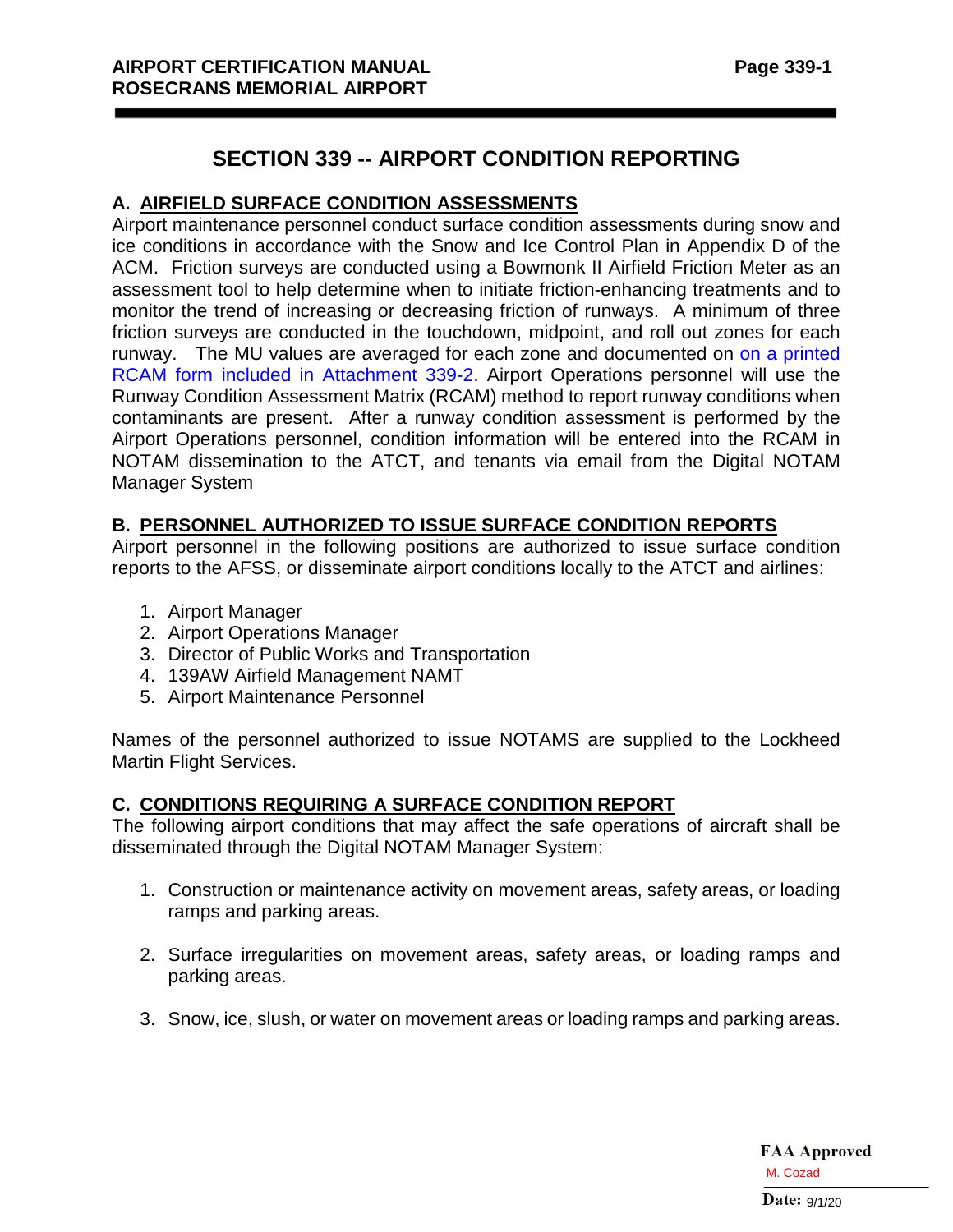## **SECTION 339 -- AIRPORT CONDITION REPORTING**

## **A. AIRFIELD SURFACE CONDITION ASSESSMENTS**

Airport maintenance personnel conduct surface condition assessments during snow and ice conditions in accordance with the Snow and Ice Control Plan in Appendix D of the ACM. Friction surveys are conducted using a Bowmonk II Airfield Friction Meter as an assessment tool to help determine when to initiate friction-enhancing treatments and to monitor the trend of increasing or decreasing friction of runways. A minimum of three friction surveys are conducted in the touchdown, midpoint, and roll out zones for each runway. The MU values are averaged for each zone and documented on on a printed RCAM form included in Attachment 339-2. Airport Operations personnel will use the Runway Condition Assessment Matrix (RCAM) method to report runway conditions when contaminants are present. After a runway condition assessment is performed by the Airport Operations personnel, condition information will be entered into the RCAM in NOTAM dissemination to the ATCT, and tenants via email from the Digital NOTAM Manager System

## **B. PERSONNEL AUTHORIZED TO ISSUE SURFACE CONDITION REPORTS**

Airport personnel in the following positions are authorized to issue surface condition reports to the AFSS, or disseminate airport conditions locally to the ATCT and airlines:

- 1. Airport Manager
- 2. Airport Operations Manager
- 3. Director of Public Works and Transportation
- 4. 139AW Airfield Management NAMT
- 5. Airport Maintenance Personnel

Names of the personnel authorized to issue NOTAMS are supplied to the Lockheed Martin Flight Services.

## **C. CONDITIONS REQUIRING A SURFACE CONDITION REPORT**

The following airport conditions that may affect the safe operations of aircraft shall be disseminated through the Digital NOTAM Manager System:

- 1. Construction or maintenance activity on movement areas, safety areas, or loading ramps and parking areas.
- 2. Surface irregularities on movement areas, safety areas, or loading ramps and parking areas.
- 3. Snow, ice, slush, or water on movement areas or loading ramps and parking areas.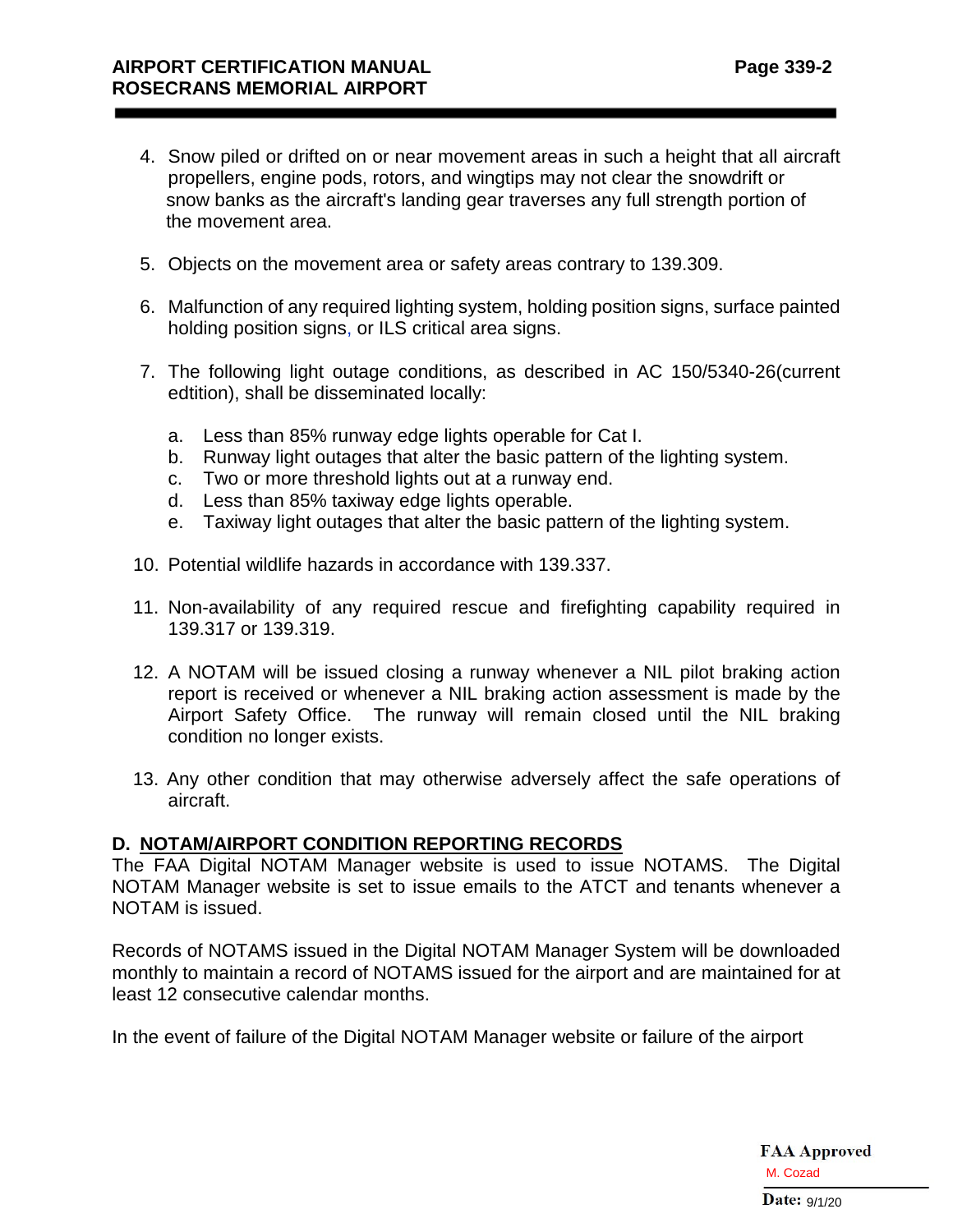- 4. Snow piled or drifted on or near movement areas in such a height that all aircraft propellers, engine pods, rotors, and wingtips may not clear the snowdrift or snow banks as the aircraft's landing gear traverses any full strength portion of the movement area.
- 5. Objects on the movement area or safety areas contrary to 139.309.
- 6. Malfunction of any required lighting system, holding position signs, surface painted holding position signs, or ILS critical area signs.
- 7. The following light outage conditions, as described in AC 150/5340-26(current edtition), shall be disseminated locally:
	- a. Less than 85% runway edge lights operable for Cat I.
	- b. Runway light outages that alter the basic pattern of the lighting system.
	- c. Two or more threshold lights out at a runway end.
	- d. Less than 85% taxiway edge lights operable.
	- e. Taxiway light outages that alter the basic pattern of the lighting system.
- 10. Potential wildlife hazards in accordance with 139.337.
- 11. Non-availability of any required rescue and firefighting capability required in 139.317 or 139.319.
- 12. A NOTAM will be issued closing a runway whenever a NIL pilot braking action report is received or whenever a NIL braking action assessment is made by the Airport Safety Office. The runway will remain closed until the NIL braking condition no longer exists.
- 13. Any other condition that may otherwise adversely affect the safe operations of aircraft.

#### **D. NOTAM/AIRPORT CONDITION REPORTING RECORDS**

The FAA Digital NOTAM Manager website is used to issue NOTAMS. The Digital NOTAM Manager website is set to issue emails to the ATCT and tenants whenever a NOTAM is issued.

Records of NOTAMS issued in the Digital NOTAM Manager System will be downloaded monthly to maintain a record of NOTAMS issued for the airport and are maintained for at least 12 consecutive calendar months.

In the event of failure of the Digital NOTAM Manager website or failure of the airport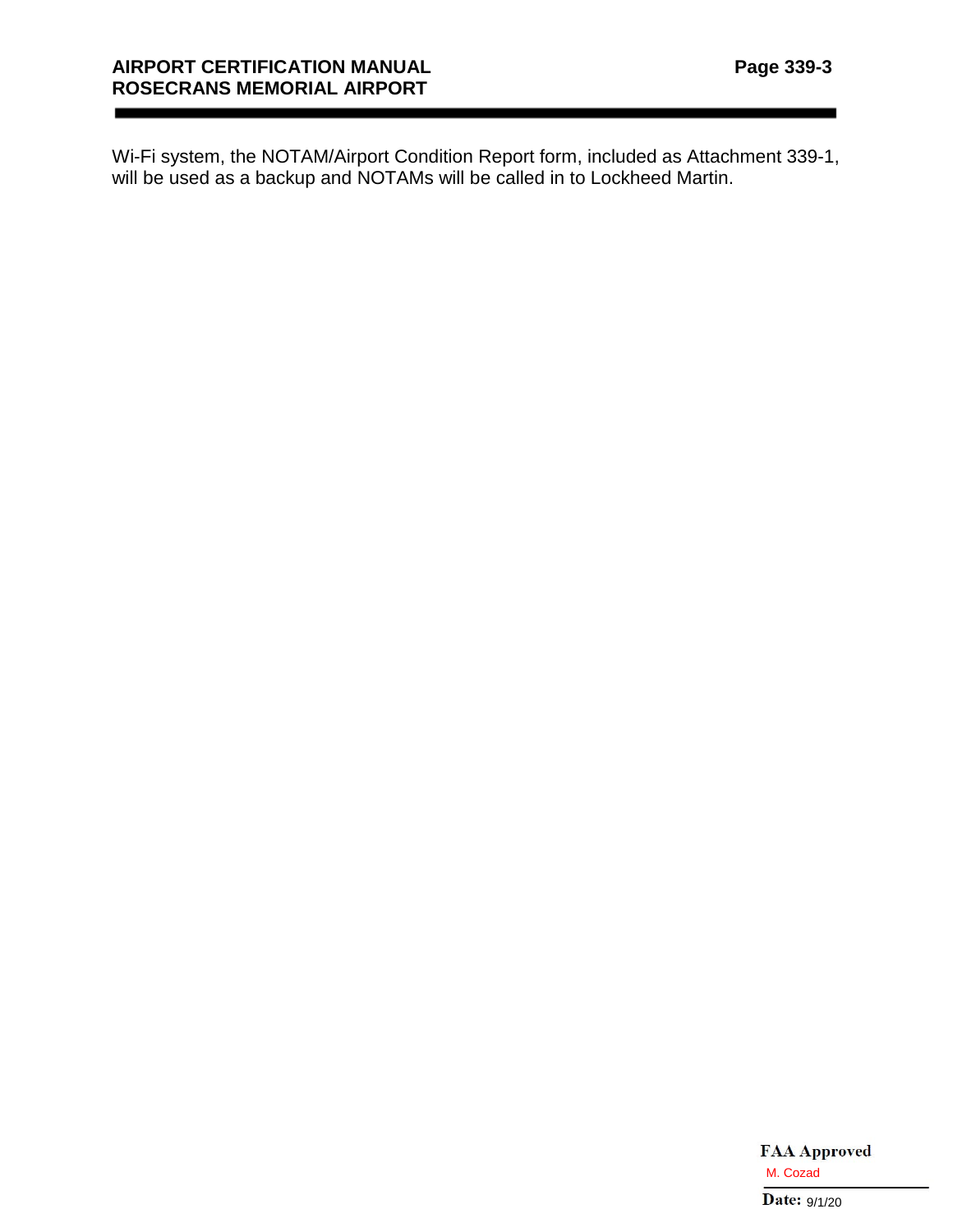Wi-Fi system, the NOTAM/Airport Condition Report form, included as Attachment 339-1, will be used as a backup and NOTAMs will be called in to Lockheed Martin.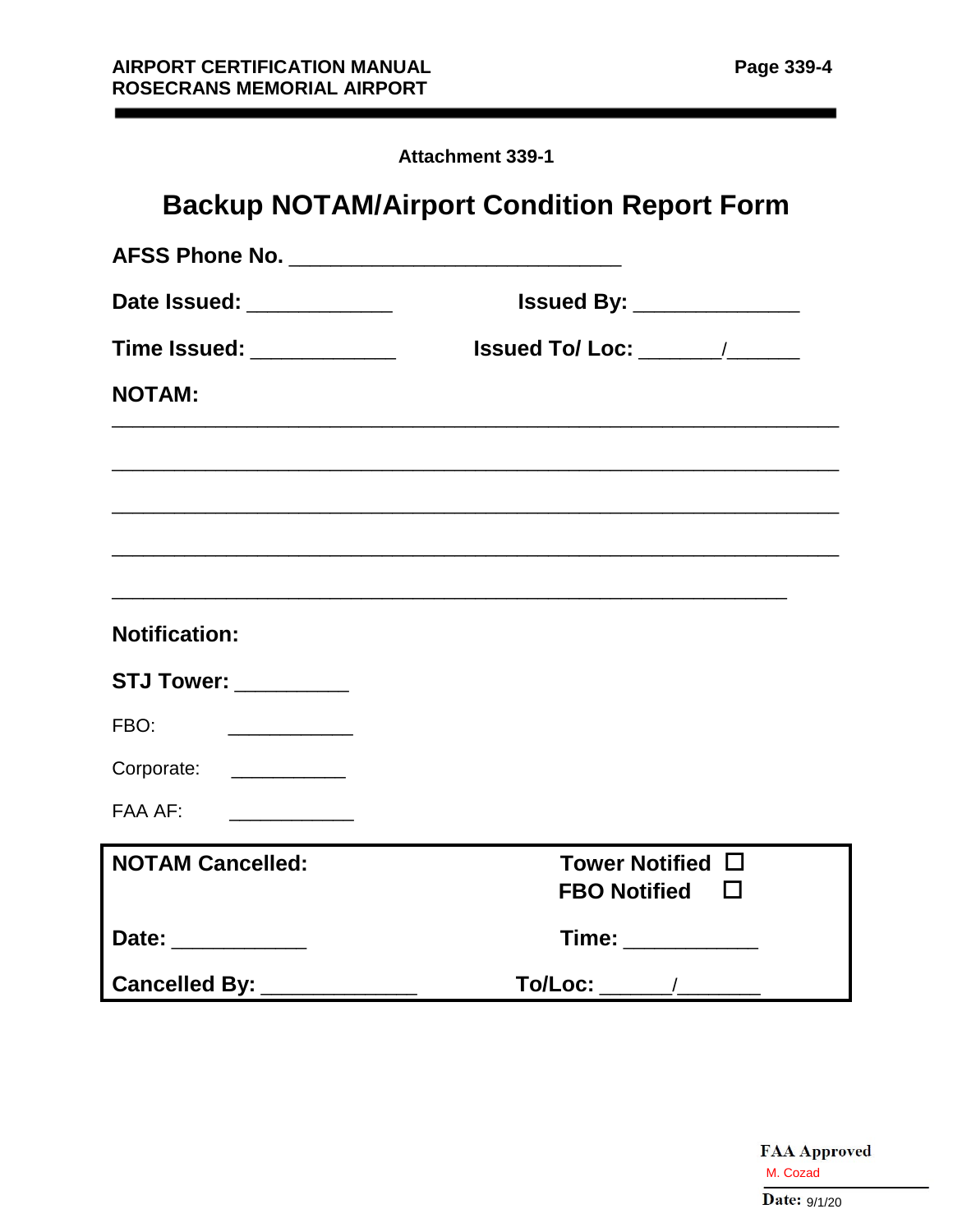| <b>Attachment 339-1</b> |  |
|-------------------------|--|
|-------------------------|--|

| <b>Backup NOTAM/Airport Condition Report Form</b>               |                                              |  |  |  |  |  |  |  |  |  |
|-----------------------------------------------------------------|----------------------------------------------|--|--|--|--|--|--|--|--|--|
|                                                                 |                                              |  |  |  |  |  |  |  |  |  |
| Date Issued: ____________                                       | <b>Issued By: ________________</b>           |  |  |  |  |  |  |  |  |  |
| Time Issued: _____________                                      |                                              |  |  |  |  |  |  |  |  |  |
| <b>NOTAM:</b>                                                   |                                              |  |  |  |  |  |  |  |  |  |
|                                                                 |                                              |  |  |  |  |  |  |  |  |  |
| <b>Notification:</b>                                            |                                              |  |  |  |  |  |  |  |  |  |
|                                                                 |                                              |  |  |  |  |  |  |  |  |  |
| <b>STJ Tower: ___________</b>                                   |                                              |  |  |  |  |  |  |  |  |  |
| FBO:<br><u> El antigo de la contenentación de la contenenta</u> |                                              |  |  |  |  |  |  |  |  |  |
| Corporate: _____________                                        |                                              |  |  |  |  |  |  |  |  |  |
| FAA AF:                                                         |                                              |  |  |  |  |  |  |  |  |  |
| <b>NOTAM Cancelled:</b>                                         | Tower Notified $\Box$<br>FBO Notified $\Box$ |  |  |  |  |  |  |  |  |  |
| Date: ____________                                              | Time: ___________                            |  |  |  |  |  |  |  |  |  |
| Cancelled By: ____________                                      |                                              |  |  |  |  |  |  |  |  |  |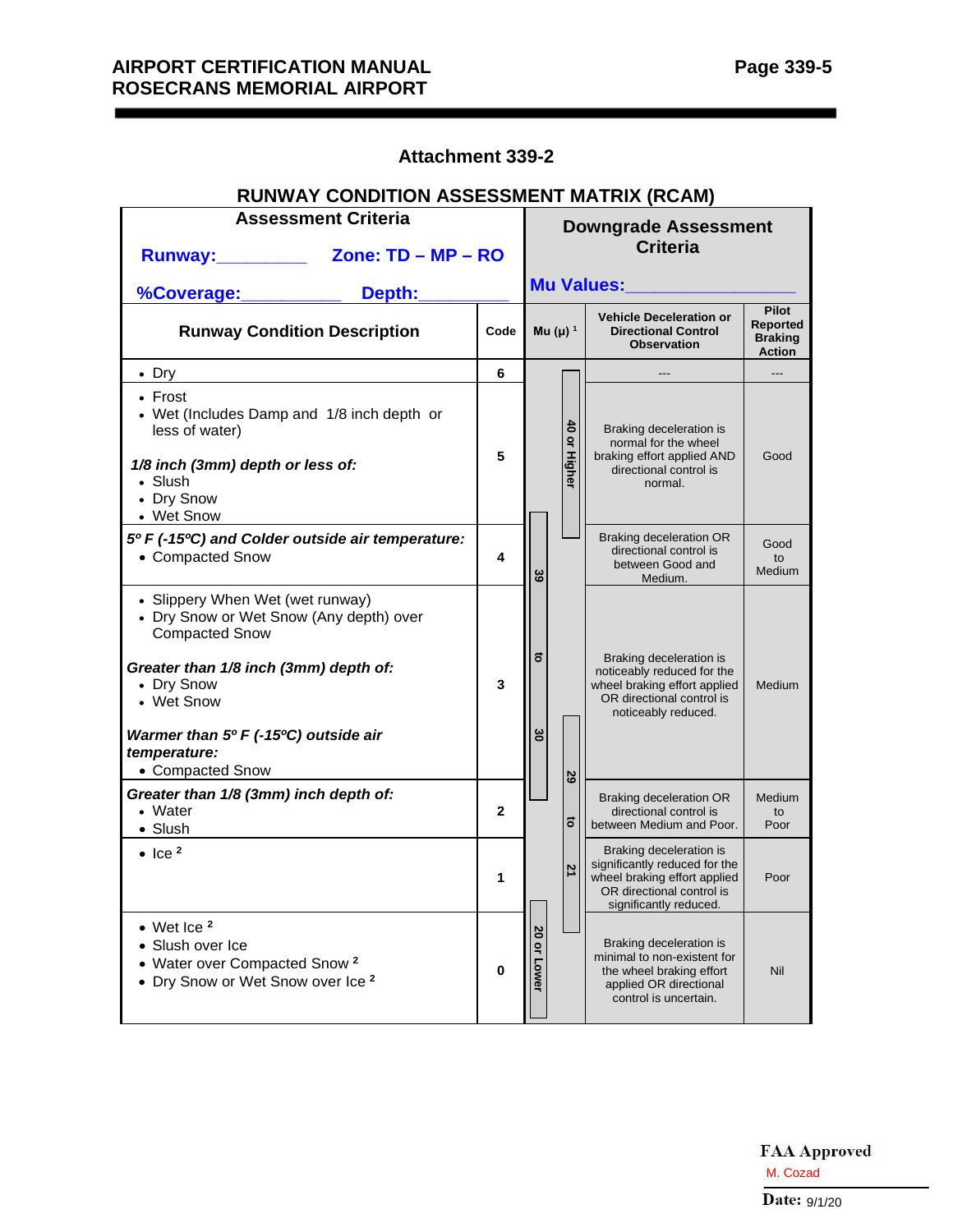## **Attachment 339-2**

| RUNWAY CONDITION ASSESSMENT MATRIX (RCAM)                                                                                                                                                                                                             |                                                          |              |                                                |                                       |                                                                                                                                                 |                                                                    |  |  |  |
|-------------------------------------------------------------------------------------------------------------------------------------------------------------------------------------------------------------------------------------------------------|----------------------------------------------------------|--------------|------------------------------------------------|---------------------------------------|-------------------------------------------------------------------------------------------------------------------------------------------------|--------------------------------------------------------------------|--|--|--|
|                                                                                                                                                                                                                                                       | <b>Assessment Criteria</b><br>Runway: Zone: TD - MP - RO |              | <b>Downgrade Assessment</b><br><b>Criteria</b> |                                       |                                                                                                                                                 |                                                                    |  |  |  |
| %Coverage:                                                                                                                                                                                                                                            | Depth:                                                   |              |                                                |                                       | Mu Values:                                                                                                                                      |                                                                    |  |  |  |
| <b>Runway Condition Description</b>                                                                                                                                                                                                                   |                                                          | Code         |                                                | Mu (µ) $1$                            | <b>Vehicle Deceleration or</b><br><b>Directional Control</b><br><b>Observation</b>                                                              | <b>Pilot</b><br><b>Reported</b><br><b>Braking</b><br><b>Action</b> |  |  |  |
| • Dry                                                                                                                                                                                                                                                 |                                                          | 6            |                                                |                                       |                                                                                                                                                 | ---                                                                |  |  |  |
| $\cdot$ Frost<br>• Wet (Includes Damp and 1/8 inch depth or<br>less of water)<br>1/8 inch (3mm) depth or less of:<br>• Slush<br>• Dry Snow<br>• Wet Snow                                                                                              |                                                          | 5            |                                                | $\bullet$<br>$\mathbf{Q}$<br>' Higher | Braking deceleration is<br>normal for the wheel<br>braking effort applied AND<br>directional control is<br>normal.                              | Good                                                               |  |  |  |
| 5º F (-15°C) and Colder outside air temperature:<br>• Compacted Snow                                                                                                                                                                                  |                                                          | 4            | 39                                             |                                       | Braking deceleration OR<br>directional control is<br>between Good and<br>Medium.                                                                | Good<br>to<br><b>Medium</b>                                        |  |  |  |
| • Slippery When Wet (wet runway)<br>• Dry Snow or Wet Snow (Any depth) over<br><b>Compacted Snow</b><br>Greater than 1/8 inch (3mm) depth of:<br>• Dry Snow<br>• Wet Snow<br>Warmer than 5º F (-15°C) outside air<br>temperature:<br>• Compacted Snow |                                                          | 3            | $\vec{0}$<br>မွ                                | 29                                    | Braking deceleration is<br>noticeably reduced for the<br>wheel braking effort applied<br>OR directional control is<br>noticeably reduced.       | <b>Medium</b>                                                      |  |  |  |
| Greater than 1/8 (3mm) inch depth of:<br>• Water<br>• Slush                                                                                                                                                                                           |                                                          | $\mathbf{2}$ |                                                | 5                                     | Braking deceleration OR<br>directional control is<br>between Medium and Poor.                                                                   | Medium<br>to<br>Poor                                               |  |  |  |
| $\bullet$ Ice <sup>2</sup>                                                                                                                                                                                                                            |                                                          | 1            |                                                | 21                                    | Braking deceleration is<br>significantly reduced for the<br>wheel braking effort applied<br>OR directional control is<br>significantly reduced. | Poor                                                               |  |  |  |
| $\bullet$ Wet Ice $^2$<br>• Slush over Ice<br>• Water over Compacted Snow <sup>2</sup><br>• Dry Snow or Wet Snow over Ice 2                                                                                                                           |                                                          | 0            | 20 or Lower                                    |                                       | Braking deceleration is<br>minimal to non-existent for<br>the wheel braking effort<br>applied OR directional<br>control is uncertain.           | Nil                                                                |  |  |  |

## **RUNWAY CONDITION ASSESSMENT MATRIX (RCAM)**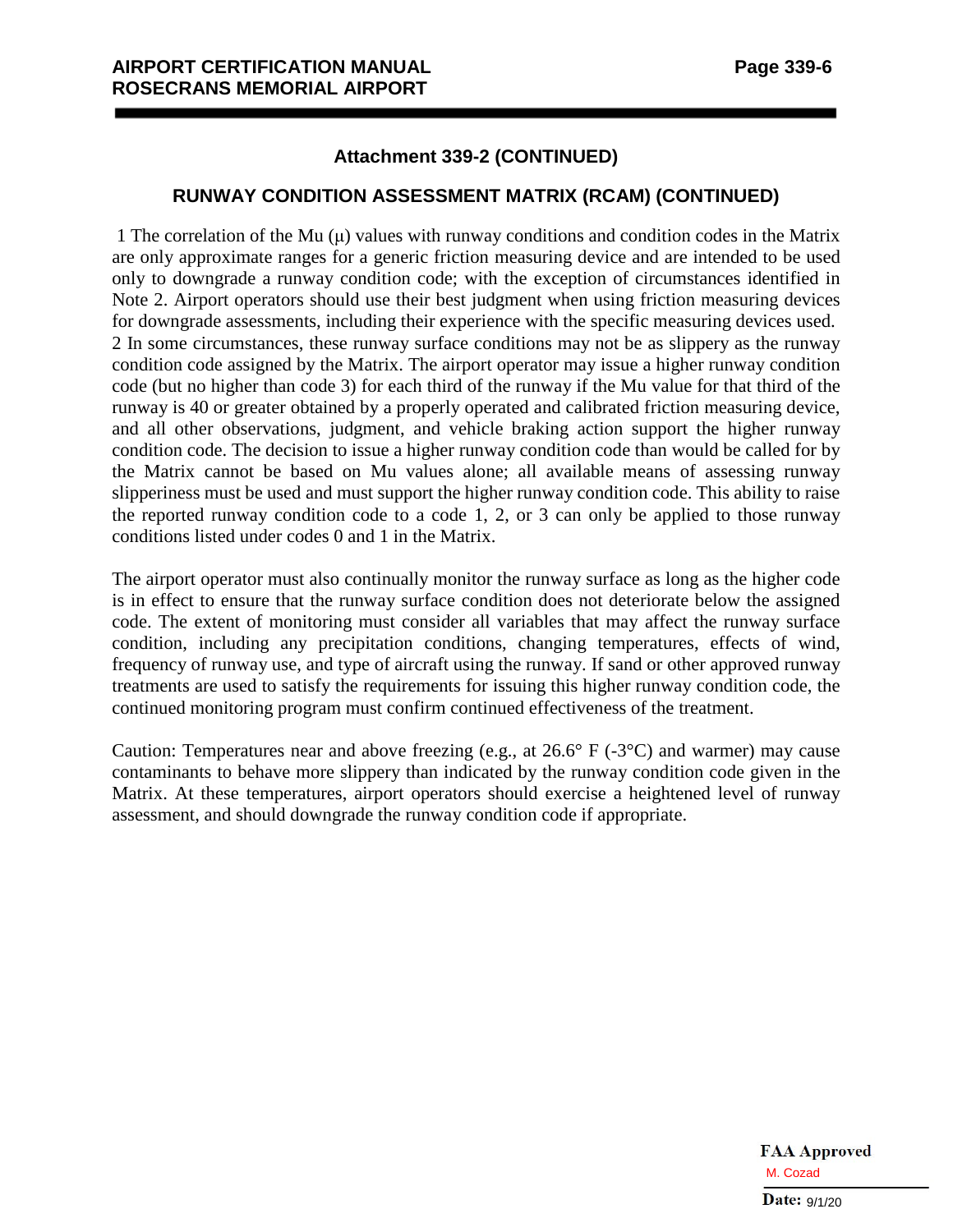#### **Attachment 339-2 (CONTINUED)**

#### **RUNWAY CONDITION ASSESSMENT MATRIX (RCAM) (CONTINUED)**

1 The correlation of the Mu  $(\mu)$  values with runway conditions and condition codes in the Matrix are only approximate ranges for a generic friction measuring device and are intended to be used only to downgrade a runway condition code; with the exception of circumstances identified in Note 2. Airport operators should use their best judgment when using friction measuring devices for downgrade assessments, including their experience with the specific measuring devices used. 2 In some circumstances, these runway surface conditions may not be as slippery as the runway condition code assigned by the Matrix. The airport operator may issue a higher runway condition code (but no higher than code 3) for each third of the runway if the Mu value for that third of the runway is 40 or greater obtained by a properly operated and calibrated friction measuring device, and all other observations, judgment, and vehicle braking action support the higher runway condition code. The decision to issue a higher runway condition code than would be called for by the Matrix cannot be based on Mu values alone; all available means of assessing runway slipperiness must be used and must support the higher runway condition code. This ability to raise the reported runway condition code to a code 1, 2, or 3 can only be applied to those runway conditions listed under codes 0 and 1 in the Matrix.

The airport operator must also continually monitor the runway surface as long as the higher code is in effect to ensure that the runway surface condition does not deteriorate below the assigned code. The extent of monitoring must consider all variables that may affect the runway surface condition, including any precipitation conditions, changing temperatures, effects of wind, frequency of runway use, and type of aircraft using the runway. If sand or other approved runway treatments are used to satisfy the requirements for issuing this higher runway condition code, the continued monitoring program must confirm continued effectiveness of the treatment.

Caution: Temperatures near and above freezing (e.g., at  $26.6^{\circ}$  F (-3 $^{\circ}$ C) and warmer) may cause contaminants to behave more slippery than indicated by the runway condition code given in the Matrix. At these temperatures, airport operators should exercise a heightened level of runway assessment, and should downgrade the runway condition code if appropriate.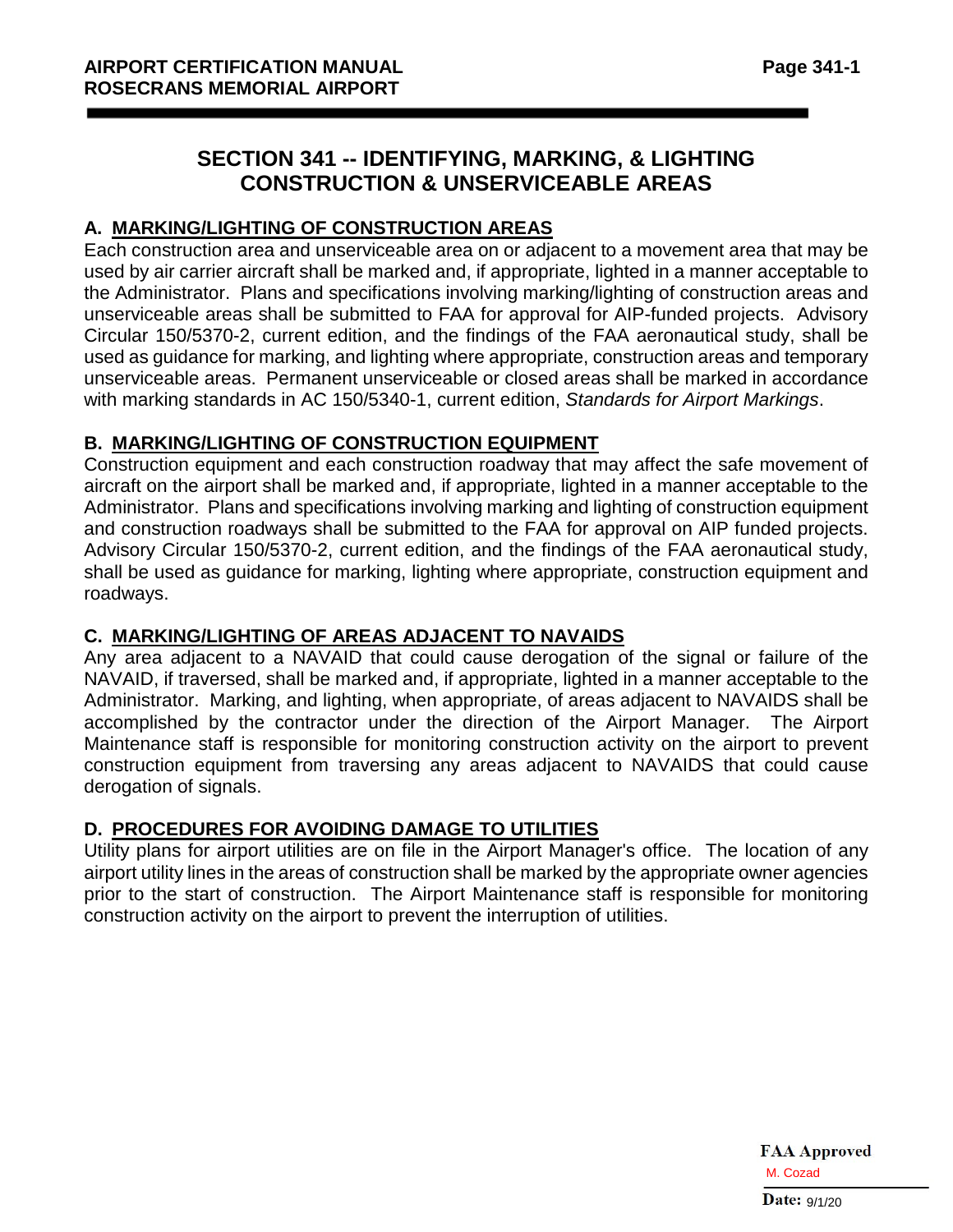# **SECTION 341 -- IDENTIFYING, MARKING, & LIGHTING CONSTRUCTION & UNSERVICEABLE AREAS**

## **A. MARKING/LIGHTING OF CONSTRUCTION AREAS**

Each construction area and unserviceable area on or adjacent to a movement area that may be used by air carrier aircraft shall be marked and, if appropriate, lighted in a manner acceptable to the Administrator. Plans and specifications involving marking/lighting of construction areas and unserviceable areas shall be submitted to FAA for approval for AIP-funded projects. Advisory Circular 150/5370-2, current edition, and the findings of the FAA aeronautical study, shall be used as guidance for marking, and lighting where appropriate, construction areas and temporary unserviceable areas. Permanent unserviceable or closed areas shall be marked in accordance with marking standards in AC 150/5340-1, current edition, *Standards for Airport Markings*.

## **B. MARKING/LIGHTING OF CONSTRUCTION EQUIPMENT**

Construction equipment and each construction roadway that may affect the safe movement of aircraft on the airport shall be marked and, if appropriate, lighted in a manner acceptable to the Administrator. Plans and specifications involving marking and lighting of construction equipment and construction roadways shall be submitted to the FAA for approval on AIP funded projects. Advisory Circular 150/5370-2, current edition, and the findings of the FAA aeronautical study, shall be used as guidance for marking, lighting where appropriate, construction equipment and roadways.

## **C. MARKING/LIGHTING OF AREAS ADJACENT TO NAVAIDS**

Any area adjacent to a NAVAID that could cause derogation of the signal or failure of the NAVAID, if traversed, shall be marked and, if appropriate, lighted in a manner acceptable to the Administrator. Marking, and lighting, when appropriate, of areas adjacent to NAVAIDS shall be accomplished by the contractor under the direction of the Airport Manager. The Airport Maintenance staff is responsible for monitoring construction activity on the airport to prevent construction equipment from traversing any areas adjacent to NAVAIDS that could cause derogation of signals.

## **D. PROCEDURES FOR AVOIDING DAMAGE TO UTILITIES**

Utility plans for airport utilities are on file in the Airport Manager's office. The location of any airport utility lines in the areas of construction shall be marked by the appropriate owner agencies prior to the start of construction. The Airport Maintenance staff is responsible for monitoring construction activity on the airport to prevent the interruption of utilities.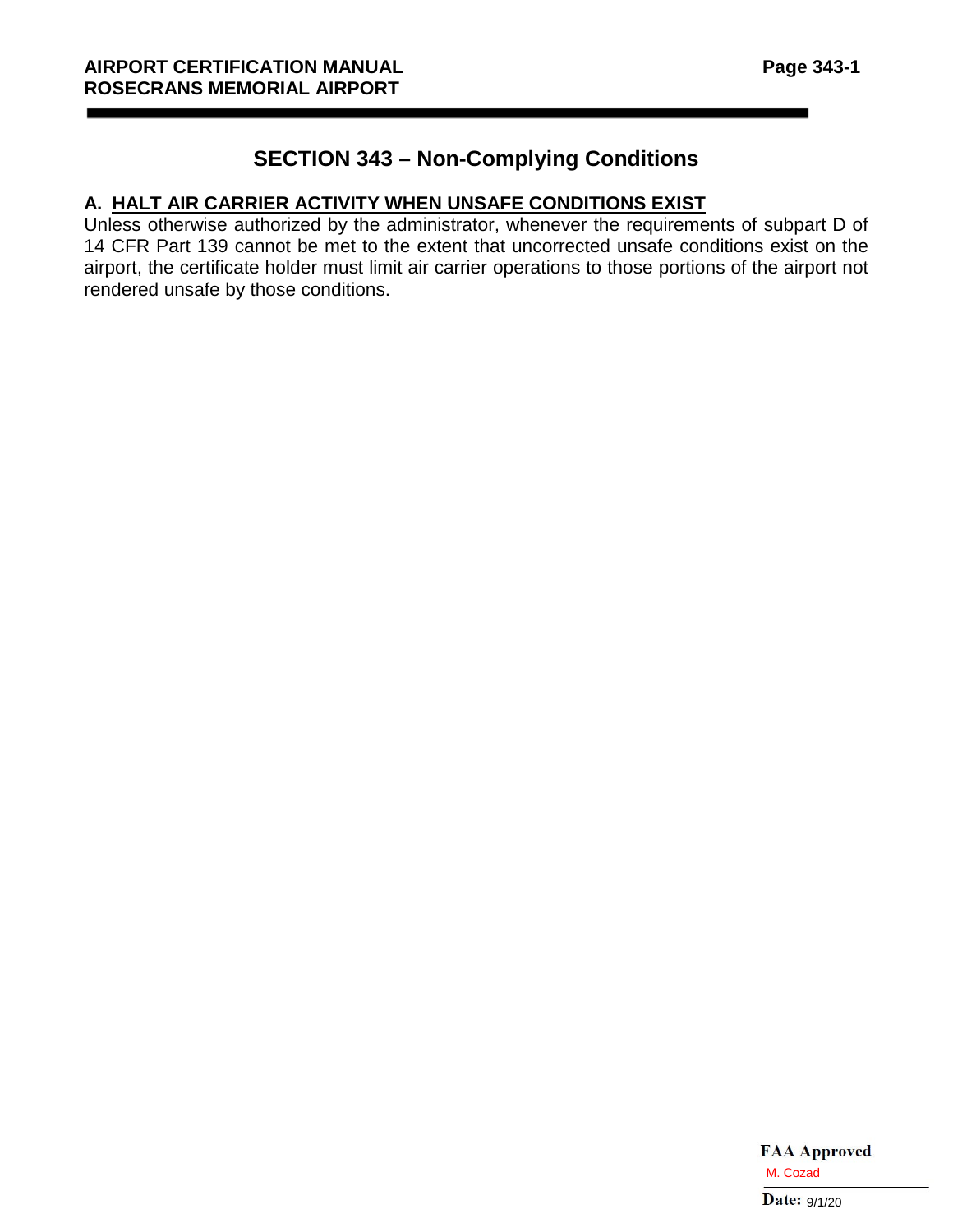# **SECTION 343 – Non-Complying Conditions**

## **A. HALT AIR CARRIER ACTIVITY WHEN UNSAFE CONDITIONS EXIST**

Unless otherwise authorized by the administrator, whenever the requirements of subpart D of 14 CFR Part 139 cannot be met to the extent that uncorrected unsafe conditions exist on the airport, the certificate holder must limit air carrier operations to those portions of the airport not rendered unsafe by those conditions.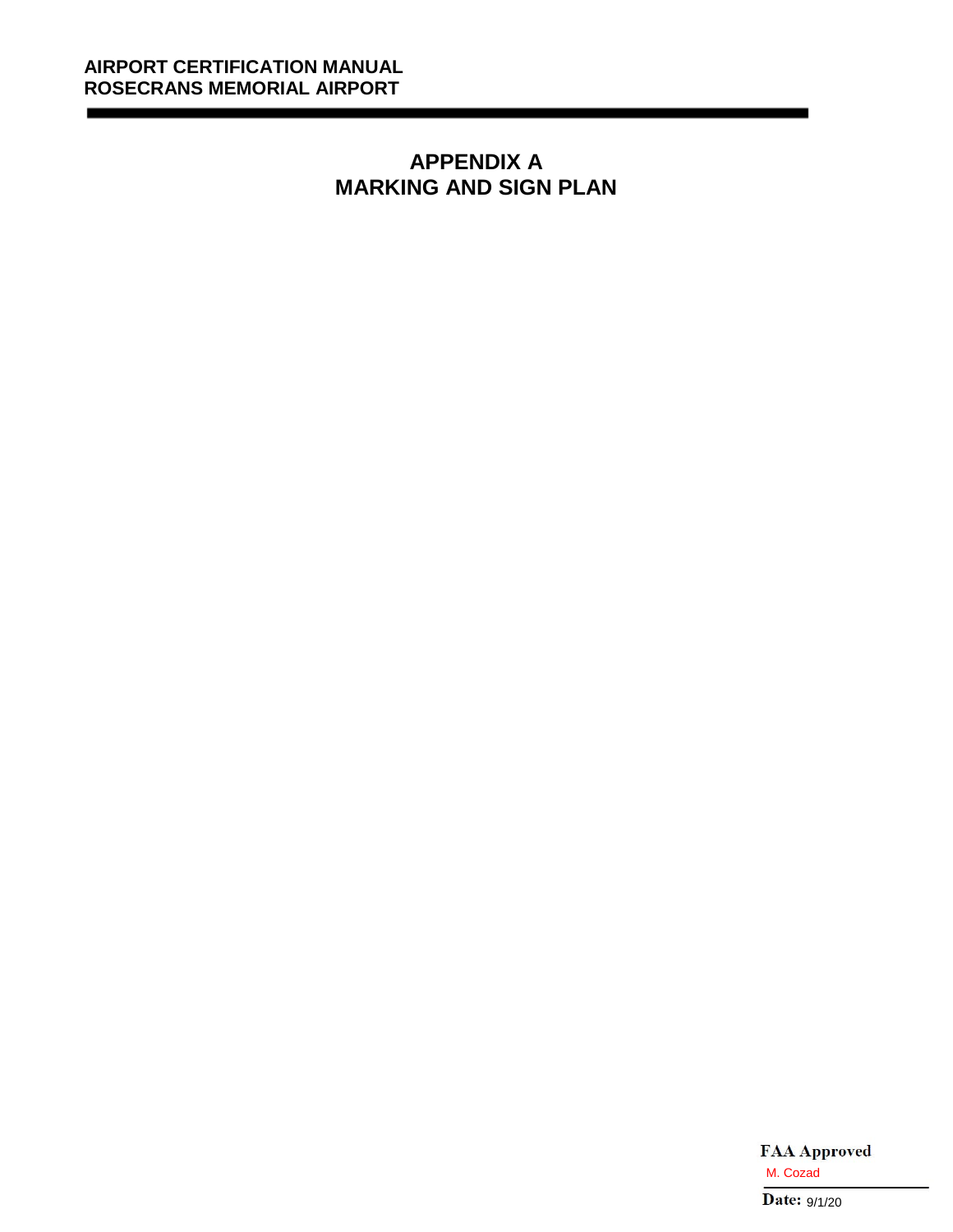# **APPENDIX A MARKING AND SIGN PLAN**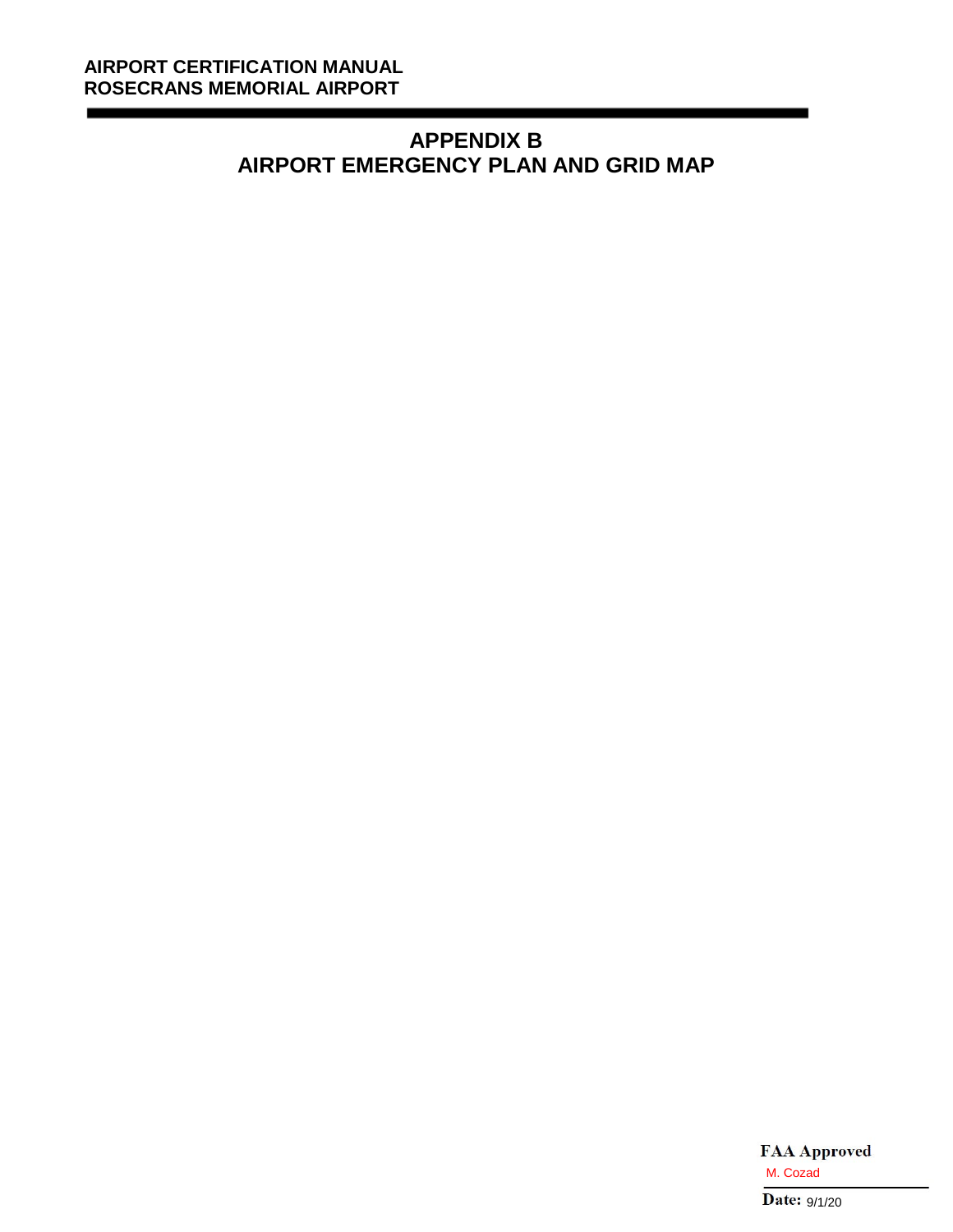# **APPENDIX B AIRPORT EMERGENCY PLAN AND GRID MAP**

**FAA Approved** M. Cozad<br>Date:  $9/1/20$ 

\_\_\_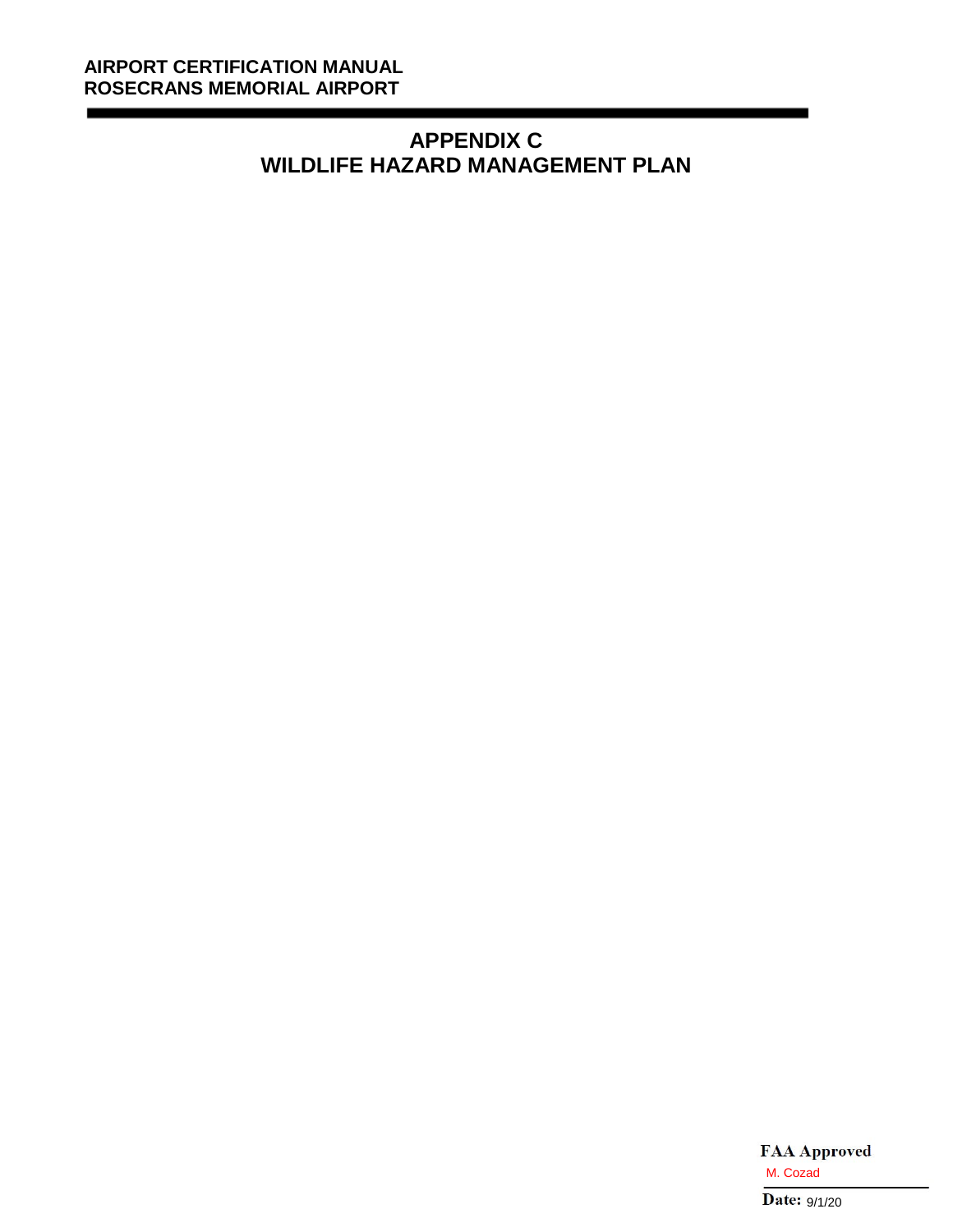\_\_\_

# **APPENDIX C WILDLIFE HAZARD MANAGEMENT PLAN**

\_\_\_